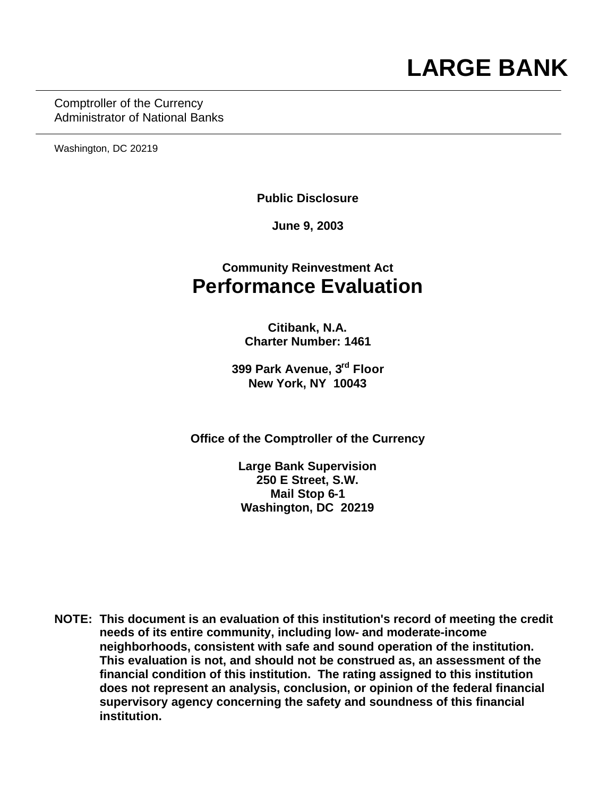Comptroller of the Currency Administrator of National Banks

Washington, DC 20219

**Public Disclosure**

**June 9, 2003**

## **Community Reinvestment Act Performance Evaluation**

**Citibank, N.A. Charter Number: 1461**

**399 Park Avenue, 3rd Floor New York, NY 10043**

**Office of the Comptroller of the Currency**

**Large Bank Supervision 250 E Street, S.W. Mail Stop 6-1 Washington, DC 20219**

**NOTE: This document is an evaluation of this institution's record of meeting the credit needs of its entire community, including low- and moderate-income neighborhoods, consistent with safe and sound operation of the institution.** **This evaluation is not, and should not be construed as, an assessment of the financial condition of this institution. The rating assigned to this institution does not represent an analysis, conclusion, or opinion of the federal financial supervisory agency concerning the safety and soundness of this financial institution.**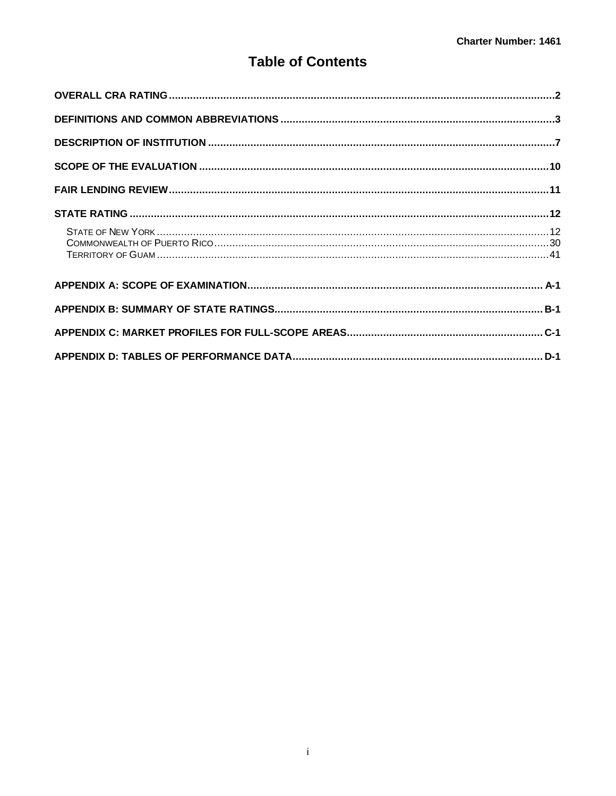## **Table of Contents**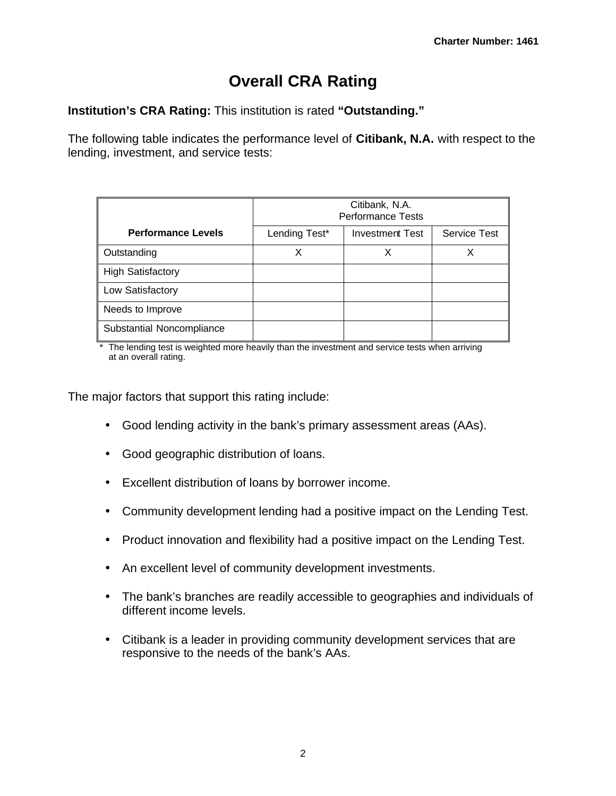# **Overall CRA Rating**

**Institution's CRA Rating:** This institution is rated **"Outstanding."**

The following table indicates the performance level of **Citibank, N.A.** with respect to the lending, investment, and service tests:

|                           | Citibank, N.A.<br><b>Performance Tests</b> |                        |                     |
|---------------------------|--------------------------------------------|------------------------|---------------------|
| <b>Performance Levels</b> | Lending Test*                              | <b>Investment Test</b> | <b>Service Test</b> |
| Outstanding               | Х                                          | х                      | Х                   |
| <b>High Satisfactory</b>  |                                            |                        |                     |
| Low Satisfactory          |                                            |                        |                     |
| Needs to Improve          |                                            |                        |                     |
| Substantial Noncompliance |                                            |                        |                     |

The lending test is weighted more heavily than the investment and service tests when arriving at an overall rating.

The major factors that support this rating include:

- Good lending activity in the bank's primary assessment areas (AAs).
- Good geographic distribution of loans.
- Excellent distribution of loans by borrower income.
- Community development lending had a positive impact on the Lending Test.
- Product innovation and flexibility had a positive impact on the Lending Test.
- An excellent level of community development investments.
- The bank's branches are readily accessible to geographies and individuals of different income levels.
- Citibank is a leader in providing community development services that are responsive to the needs of the bank's AAs.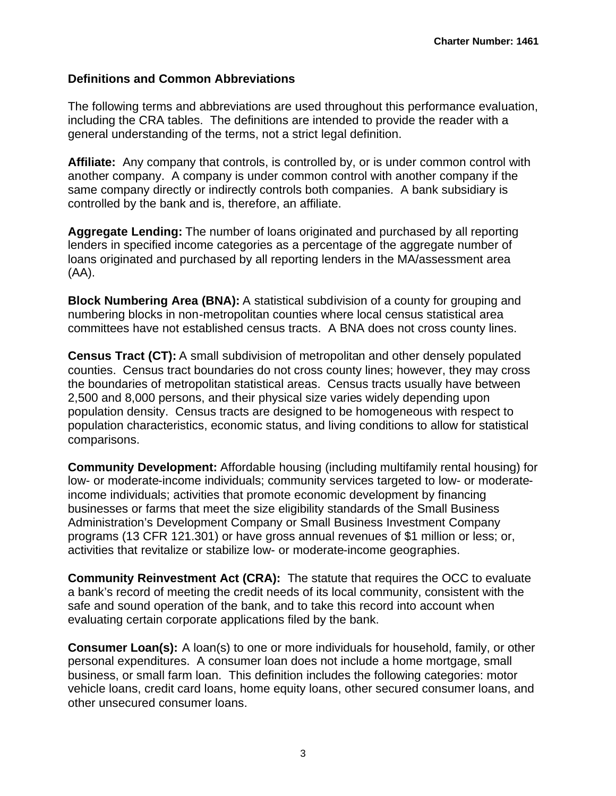#### **Definitions and Common Abbreviations**

The following terms and abbreviations are used throughout this performance evaluation, including the CRA tables. The definitions are intended to provide the reader with a general understanding of the terms, not a strict legal definition.

**Affiliate:** Any company that controls, is controlled by, or is under common control with another company. A company is under common control with another company if the same company directly or indirectly controls both companies. A bank subsidiary is controlled by the bank and is, therefore, an affiliate.

**Aggregate Lending:** The number of loans originated and purchased by all reporting lenders in specified income categories as a percentage of the aggregate number of loans originated and purchased by all reporting lenders in the MA/assessment area (AA).

**Block Numbering Area (BNA):** A statistical subdivision of a county for grouping and numbering blocks in non-metropolitan counties where local census statistical area committees have not established census tracts. A BNA does not cross county lines.

**Census Tract (CT):** A small subdivision of metropolitan and other densely populated counties. Census tract boundaries do not cross county lines; however, they may cross the boundaries of metropolitan statistical areas. Census tracts usually have between 2,500 and 8,000 persons, and their physical size varies widely depending upon population density. Census tracts are designed to be homogeneous with respect to population characteristics, economic status, and living conditions to allow for statistical comparisons.

**Community Development:** Affordable housing (including multifamily rental housing) for low- or moderate-income individuals; community services targeted to low- or moderateincome individuals; activities that promote economic development by financing businesses or farms that meet the size eligibility standards of the Small Business Administration's Development Company or Small Business Investment Company programs (13 CFR 121.301) or have gross annual revenues of \$1 million or less; or, activities that revitalize or stabilize low- or moderate-income geographies.

**Community Reinvestment Act (CRA):** The statute that requires the OCC to evaluate a bank's record of meeting the credit needs of its local community, consistent with the safe and sound operation of the bank, and to take this record into account when evaluating certain corporate applications filed by the bank.

**Consumer Loan(s):** A loan(s) to one or more individuals for household, family, or other personal expenditures. A consumer loan does not include a home mortgage, small business, or small farm loan. This definition includes the following categories: motor vehicle loans, credit card loans, home equity loans, other secured consumer loans, and other unsecured consumer loans.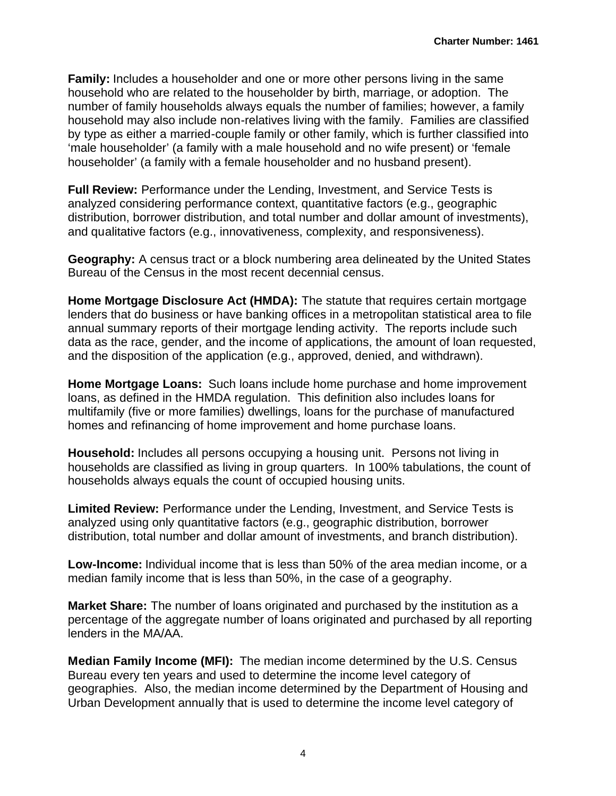**Family:** Includes a householder and one or more other persons living in the same household who are related to the householder by birth, marriage, or adoption. The number of family households always equals the number of families; however, a family household may also include non-relatives living with the family. Families are classified by type as either a married-couple family or other family, which is further classified into 'male householder' (a family with a male household and no wife present) or 'female householder' (a family with a female householder and no husband present).

**Full Review:** Performance under the Lending, Investment, and Service Tests is analyzed considering performance context, quantitative factors (e.g., geographic distribution, borrower distribution, and total number and dollar amount of investments), and qualitative factors (e.g., innovativeness, complexity, and responsiveness).

**Geography:** A census tract or a block numbering area delineated by the United States Bureau of the Census in the most recent decennial census.

**Home Mortgage Disclosure Act (HMDA):** The statute that requires certain mortgage lenders that do business or have banking offices in a metropolitan statistical area to file annual summary reports of their mortgage lending activity. The reports include such data as the race, gender, and the income of applications, the amount of loan requested, and the disposition of the application (e.g., approved, denied, and withdrawn).

**Home Mortgage Loans:** Such loans include home purchase and home improvement loans, as defined in the HMDA regulation. This definition also includes loans for multifamily (five or more families) dwellings, loans for the purchase of manufactured homes and refinancing of home improvement and home purchase loans.

**Household:** Includes all persons occupying a housing unit. Persons not living in households are classified as living in group quarters. In 100% tabulations, the count of households always equals the count of occupied housing units.

**Limited Review:** Performance under the Lending, Investment, and Service Tests is analyzed using only quantitative factors (e.g., geographic distribution, borrower distribution, total number and dollar amount of investments, and branch distribution).

**Low-Income:** Individual income that is less than 50% of the area median income, or a median family income that is less than 50%, in the case of a geography.

**Market Share:** The number of loans originated and purchased by the institution as a percentage of the aggregate number of loans originated and purchased by all reporting lenders in the MA/AA.

**Median Family Income (MFI):** The median income determined by the U.S. Census Bureau every ten years and used to determine the income level category of geographies. Also, the median income determined by the Department of Housing and Urban Development annually that is used to determine the income level category of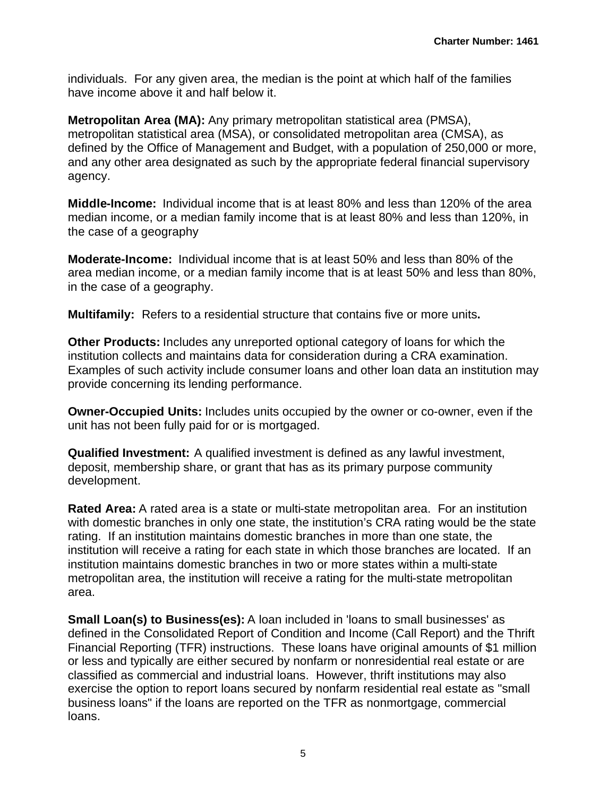individuals. For any given area, the median is the point at which half of the families have income above it and half below it.

**Metropolitan Area (MA):** Any primary metropolitan statistical area (PMSA), metropolitan statistical area (MSA), or consolidated metropolitan area (CMSA), as defined by the Office of Management and Budget, with a population of 250,000 or more, and any other area designated as such by the appropriate federal financial supervisory agency.

**Middle-Income:** Individual income that is at least 80% and less than 120% of the area median income, or a median family income that is at least 80% and less than 120%, in the case of a geography

**Moderate-Income:** Individual income that is at least 50% and less than 80% of the area median income, or a median family income that is at least 50% and less than 80%, in the case of a geography.

**Multifamily:** Refers to a residential structure that contains five or more units**.**

**Other Products:** Includes any unreported optional category of loans for which the institution collects and maintains data for consideration during a CRA examination. Examples of such activity include consumer loans and other loan data an institution may provide concerning its lending performance.

**Owner-Occupied Units:** Includes units occupied by the owner or co-owner, even if the unit has not been fully paid for or is mortgaged.

**Qualified Investment:** A qualified investment is defined as any lawful investment, deposit, membership share, or grant that has as its primary purpose community development.

**Rated Area:** A rated area is a state or multi-state metropolitan area. For an institution with domestic branches in only one state, the institution's CRA rating would be the state rating. If an institution maintains domestic branches in more than one state, the institution will receive a rating for each state in which those branches are located. If an institution maintains domestic branches in two or more states within a multi-state metropolitan area, the institution will receive a rating for the multi-state metropolitan area.

**Small Loan(s) to Business(es):** A loan included in 'loans to small businesses' as defined in the Consolidated Report of Condition and Income (Call Report) and the Thrift Financial Reporting (TFR) instructions. These loans have original amounts of \$1 million or less and typically are either secured by nonfarm or nonresidential real estate or are classified as commercial and industrial loans. However, thrift institutions may also exercise the option to report loans secured by nonfarm residential real estate as "small business loans" if the loans are reported on the TFR as nonmortgage, commercial loans.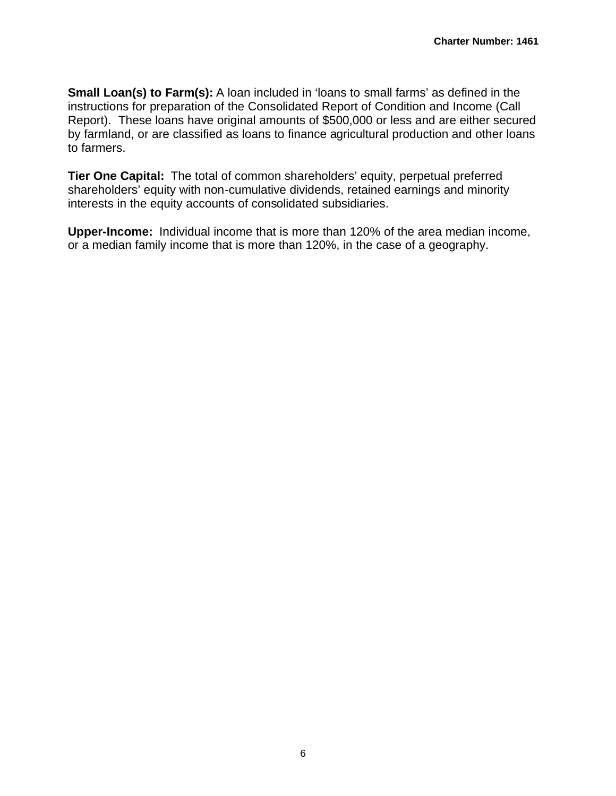**Small Loan(s) to Farm(s):** A loan included in 'loans to small farms' as defined in the instructions for preparation of the Consolidated Report of Condition and Income (Call Report). These loans have original amounts of \$500,000 or less and are either secured by farmland, or are classified as loans to finance agricultural production and other loans to farmers.

**Tier One Capital:** The total of common shareholders' equity, perpetual preferred shareholders' equity with non-cumulative dividends, retained earnings and minority interests in the equity accounts of consolidated subsidiaries.

**Upper-Income:** Individual income that is more than 120% of the area median income, or a median family income that is more than 120%, in the case of a geography.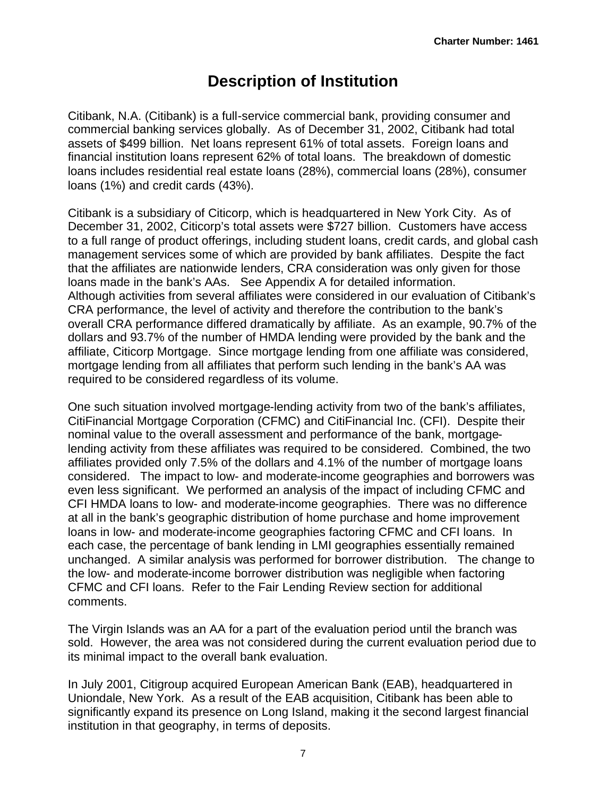# **Description of Institution**

Citibank, N.A. (Citibank) is a full-service commercial bank, providing consumer and commercial banking services globally. As of December 31, 2002, Citibank had total assets of \$499 billion. Net loans represent 61% of total assets. Foreign loans and financial institution loans represent 62% of total loans. The breakdown of domestic loans includes residential real estate loans (28%), commercial loans (28%), consumer loans (1%) and credit cards (43%).

Citibank is a subsidiary of Citicorp, which is headquartered in New York City. As of December 31, 2002, Citicorp's total assets were \$727 billion. Customers have access to a full range of product offerings, including student loans, credit cards, and global cash management services some of which are provided by bank affiliates. Despite the fact that the affiliates are nationwide lenders, CRA consideration was only given for those loans made in the bank's AAs. See Appendix A for detailed information. Although activities from several affiliates were considered in our evaluation of Citibank's CRA performance, the level of activity and therefore the contribution to the bank's overall CRA performance differed dramatically by affiliate. As an example, 90.7% of the dollars and 93.7% of the number of HMDA lending were provided by the bank and the affiliate, Citicorp Mortgage. Since mortgage lending from one affiliate was considered, mortgage lending from all affiliates that perform such lending in the bank's AA was required to be considered regardless of its volume.

One such situation involved mortgage-lending activity from two of the bank's affiliates, CitiFinancial Mortgage Corporation (CFMC) and CitiFinancial Inc. (CFI). Despite their nominal value to the overall assessment and performance of the bank, mortgagelending activity from these affiliates was required to be considered. Combined, the two affiliates provided only 7.5% of the dollars and 4.1% of the number of mortgage loans considered. The impact to low- and moderate-income geographies and borrowers was even less significant. We performed an analysis of the impact of including CFMC and CFI HMDA loans to low- and moderate-income geographies. There was no difference at all in the bank's geographic distribution of home purchase and home improvement loans in low- and moderate-income geographies factoring CFMC and CFI loans. In each case, the percentage of bank lending in LMI geographies essentially remained unchanged. A similar analysis was performed for borrower distribution. The change to the low- and moderate-income borrower distribution was negligible when factoring CFMC and CFI loans. Refer to the Fair Lending Review section for additional comments.

The Virgin Islands was an AA for a part of the evaluation period until the branch was sold. However, the area was not considered during the current evaluation period due to its minimal impact to the overall bank evaluation.

In July 2001, Citigroup acquired European American Bank (EAB), headquartered in Uniondale, New York. As a result of the EAB acquisition, Citibank has been able to significantly expand its presence on Long Island, making it the second largest financial institution in that geography, in terms of deposits.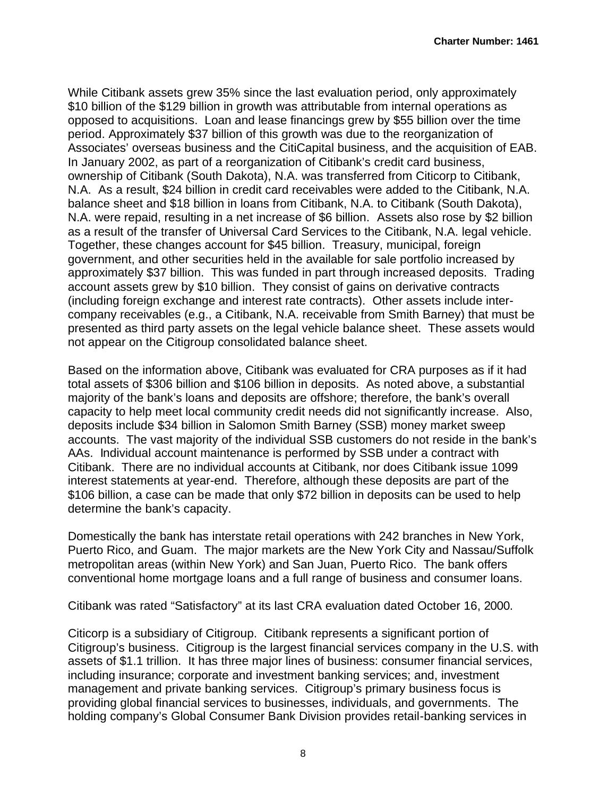While Citibank assets grew 35% since the last evaluation period, only approximately \$10 billion of the \$129 billion in growth was attributable from internal operations as opposed to acquisitions. Loan and lease financings grew by \$55 billion over the time period. Approximately \$37 billion of this growth was due to the reorganization of Associates' overseas business and the CitiCapital business, and the acquisition of EAB. In January 2002, as part of a reorganization of Citibank's credit card business, ownership of Citibank (South Dakota), N.A. was transferred from Citicorp to Citibank, N.A. As a result, \$24 billion in credit card receivables were added to the Citibank, N.A. balance sheet and \$18 billion in loans from Citibank, N.A. to Citibank (South Dakota), N.A. were repaid, resulting in a net increase of \$6 billion. Assets also rose by \$2 billion as a result of the transfer of Universal Card Services to the Citibank, N.A. legal vehicle. Together, these changes account for \$45 billion. Treasury, municipal, foreign government, and other securities held in the available for sale portfolio increased by approximately \$37 billion. This was funded in part through increased deposits. Trading account assets grew by \$10 billion. They consist of gains on derivative contracts (including foreign exchange and interest rate contracts). Other assets include intercompany receivables (e.g., a Citibank, N.A. receivable from Smith Barney) that must be presented as third party assets on the legal vehicle balance sheet. These assets would not appear on the Citigroup consolidated balance sheet.

Based on the information above, Citibank was evaluated for CRA purposes as if it had total assets of \$306 billion and \$106 billion in deposits. As noted above, a substantial majority of the bank's loans and deposits are offshore; therefore, the bank's overall capacity to help meet local community credit needs did not significantly increase. Also, deposits include \$34 billion in Salomon Smith Barney (SSB) money market sweep accounts. The vast majority of the individual SSB customers do not reside in the bank's AAs. Individual account maintenance is performed by SSB under a contract with Citibank. There are no individual accounts at Citibank, nor does Citibank issue 1099 interest statements at year-end. Therefore, although these deposits are part of the \$106 billion, a case can be made that only \$72 billion in deposits can be used to help determine the bank's capacity.

Domestically the bank has interstate retail operations with 242 branches in New York, Puerto Rico, and Guam. The major markets are the New York City and Nassau/Suffolk metropolitan areas (within New York) and San Juan, Puerto Rico. The bank offers conventional home mortgage loans and a full range of business and consumer loans.

Citibank was rated "Satisfactory" at its last CRA evaluation dated October 16, 2000.

Citicorp is a subsidiary of Citigroup. Citibank represents a significant portion of Citigroup's business. Citigroup is the largest financial services company in the U.S. with assets of \$1.1 trillion. It has three major lines of business: consumer financial services, including insurance; corporate and investment banking services; and, investment management and private banking services. Citigroup's primary business focus is providing global financial services to businesses, individuals, and governments. The holding company's Global Consumer Bank Division provides retail-banking services in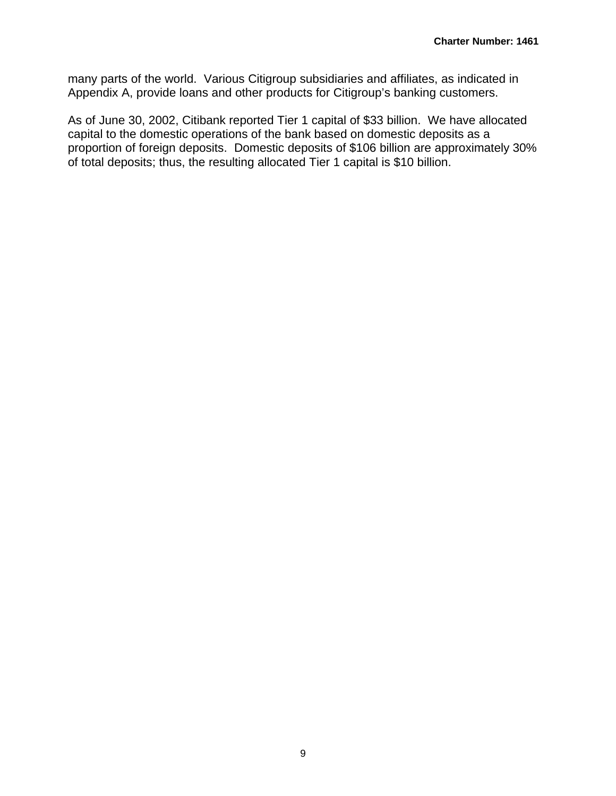many parts of the world. Various Citigroup subsidiaries and affiliates, as indicated in Appendix A, provide loans and other products for Citigroup's banking customers.

As of June 30, 2002, Citibank reported Tier 1 capital of \$33 billion. We have allocated capital to the domestic operations of the bank based on domestic deposits as a proportion of foreign deposits. Domestic deposits of \$106 billion are approximately 30% of total deposits; thus, the resulting allocated Tier 1 capital is \$10 billion.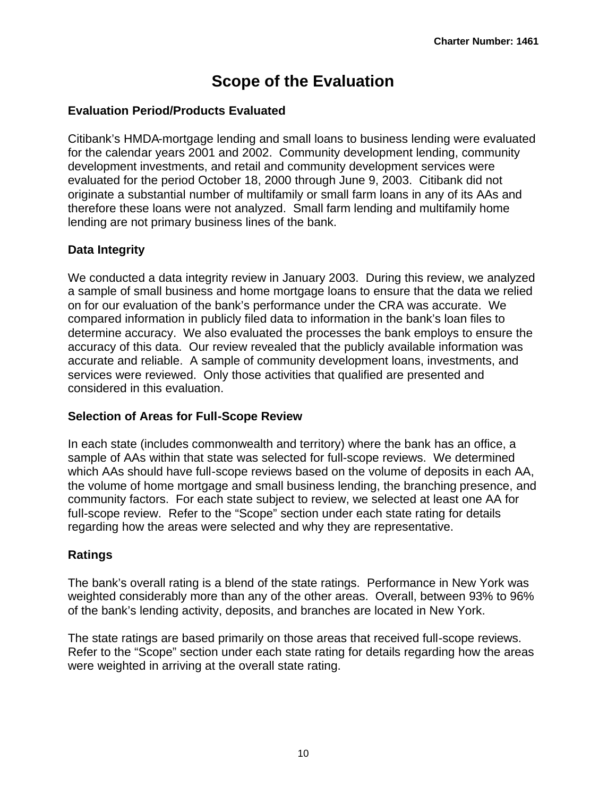# **Scope of the Evaluation**

#### **Evaluation Period/Products Evaluated**

Citibank's HMDA-mortgage lending and small loans to business lending were evaluated for the calendar years 2001 and 2002. Community development lending, community development investments, and retail and community development services were evaluated for the period October 18, 2000 through June 9, 2003. Citibank did not originate a substantial number of multifamily or small farm loans in any of its AAs and therefore these loans were not analyzed. Small farm lending and multifamily home lending are not primary business lines of the bank.

#### **Data Integrity**

We conducted a data integrity review in January 2003. During this review, we analyzed a sample of small business and home mortgage loans to ensure that the data we relied on for our evaluation of the bank's performance under the CRA was accurate. We compared information in publicly filed data to information in the bank's loan files to determine accuracy. We also evaluated the processes the bank employs to ensure the accuracy of this data. Our review revealed that the publicly available information was accurate and reliable. A sample of community development loans, investments, and services were reviewed. Only those activities that qualified are presented and considered in this evaluation.

#### **Selection of Areas for Full-Scope Review**

In each state (includes commonwealth and territory) where the bank has an office, a sample of AAs within that state was selected for full-scope reviews. We determined which AAs should have full-scope reviews based on the volume of deposits in each AA, the volume of home mortgage and small business lending, the branching presence, and community factors. For each state subject to review, we selected at least one AA for full-scope review. Refer to the "Scope" section under each state rating for details regarding how the areas were selected and why they are representative.

### **Ratings**

The bank's overall rating is a blend of the state ratings. Performance in New York was weighted considerably more than any of the other areas. Overall, between 93% to 96% of the bank's lending activity, deposits, and branches are located in New York.

The state ratings are based primarily on those areas that received full-scope reviews. Refer to the "Scope" section under each state rating for details regarding how the areas were weighted in arriving at the overall state rating.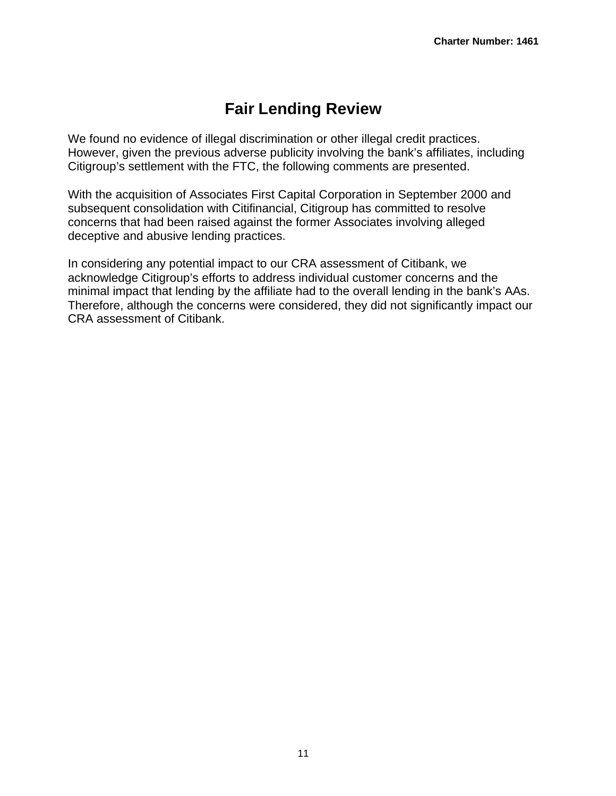# **Fair Lending Review**

We found no evidence of illegal discrimination or other illegal credit practices. However, given the previous adverse publicity involving the bank's affiliates, including Citigroup's settlement with the FTC, the following comments are presented.

With the acquisition of Associates First Capital Corporation in September 2000 and subsequent consolidation with Citifinancial, Citigroup has committed to resolve concerns that had been raised against the former Associates involving alleged deceptive and abusive lending practices.

In considering any potential impact to our CRA assessment of Citibank, we acknowledge Citigroup's efforts to address individual customer concerns and the minimal impact that lending by the affiliate had to the overall lending in the bank's AAs. Therefore, although the concerns were considered, they did not significantly impact our CRA assessment of Citibank.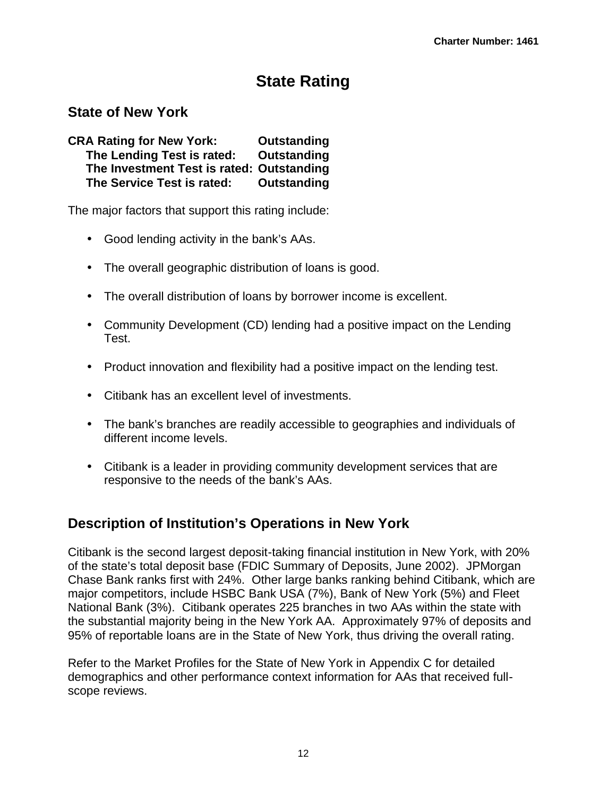# **State Rating**

## **State of New York**

**CRA Rating for New York: Outstanding The Lending Test is rated: Outstanding The Investment Test is rated: Outstanding The Service Test is rated: Outstanding**

The major factors that support this rating include:

- Good lending activity in the bank's AAs.
- The overall geographic distribution of loans is good.
- The overall distribution of loans by borrower income is excellent.
- Community Development (CD) lending had a positive impact on the Lending Test.
- Product innovation and flexibility had a positive impact on the lending test.
- Citibank has an excellent level of investments.
- The bank's branches are readily accessible to geographies and individuals of different income levels.
- Citibank is a leader in providing community development services that are responsive to the needs of the bank's AAs.

## **Description of Institution's Operations in New York**

Citibank is the second largest deposit-taking financial institution in New York, with 20% of the state's total deposit base (FDIC Summary of Deposits, June 2002). JPMorgan Chase Bank ranks first with 24%. Other large banks ranking behind Citibank, which are major competitors, include HSBC Bank USA (7%), Bank of New York (5%) and Fleet National Bank (3%). Citibank operates 225 branches in two AAs within the state with the substantial majority being in the New York AA. Approximately 97% of deposits and 95% of reportable loans are in the State of New York, thus driving the overall rating.

Refer to the Market Profiles for the State of New York in Appendix C for detailed demographics and other performance context information for AAs that received fullscope reviews.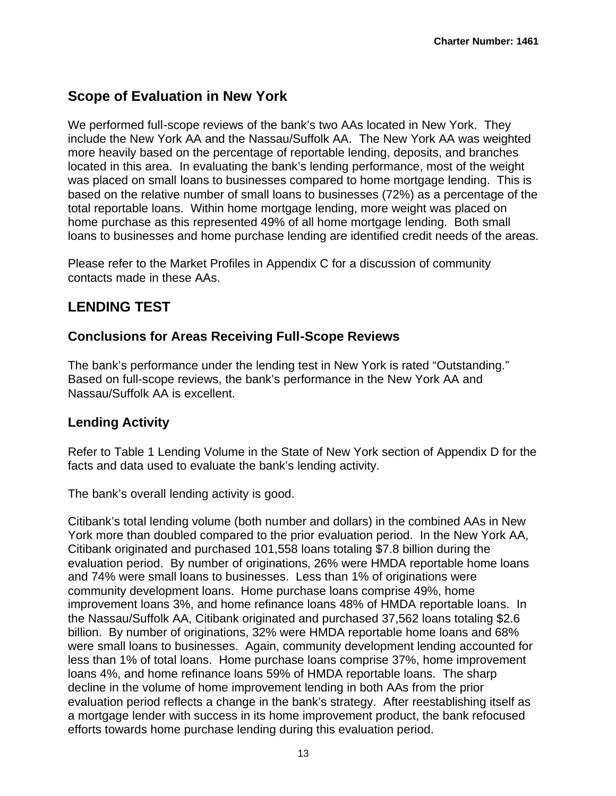## **Scope of Evaluation in New York**

We performed full-scope reviews of the bank's two AAs located in New York. They include the New York AA and the Nassau/Suffolk AA. The New York AA was weighted more heavily based on the percentage of reportable lending, deposits, and branches located in this area. In evaluating the bank's lending performance, most of the weight was placed on small loans to businesses compared to home mortgage lending. This is based on the relative number of small loans to businesses (72%) as a percentage of the total reportable loans. Within home mortgage lending, more weight was placed on home purchase as this represented 49% of all home mortgage lending. Both small loans to businesses and home purchase lending are identified credit needs of the areas.

Please refer to the Market Profiles in Appendix C for a discussion of community contacts made in these AAs.

## **LENDING TEST**

## **Conclusions for Areas Receiving Full-Scope Reviews**

The bank's performance under the lending test in New York is rated "Outstanding." Based on full-scope reviews, the bank's performance in the New York AA and Nassau/Suffolk AA is excellent.

## **Lending Activity**

Refer to Table 1 Lending Volume in the State of New York section of Appendix D for the facts and data used to evaluate the bank's lending activity.

The bank's overall lending activity is good.

Citibank's total lending volume (both number and dollars) in the combined AAs in New York more than doubled compared to the prior evaluation period. In the New York AA, Citibank originated and purchased 101,558 loans totaling \$7.8 billion during the evaluation period. By number of originations, 26% were HMDA reportable home loans and 74% were small loans to businesses. Less than 1% of originations were community development loans. Home purchase loans comprise 49%, home improvement loans 3%, and home refinance loans 48% of HMDA reportable loans. In the Nassau/Suffolk AA, Citibank originated and purchased 37,562 loans totaling \$2.6 billion. By number of originations, 32% were HMDA reportable home loans and 68% were small loans to businesses. Again, community development lending accounted for less than 1% of total loans. Home purchase loans comprise 37%, home improvement loans 4%, and home refinance loans 59% of HMDA reportable loans. The sharp decline in the volume of home improvement lending in both AAs from the prior evaluation period reflects a change in the bank's strategy. After reestablishing itself as a mortgage lender with success in its home improvement product, the bank refocused efforts towards home purchase lending during this evaluation period.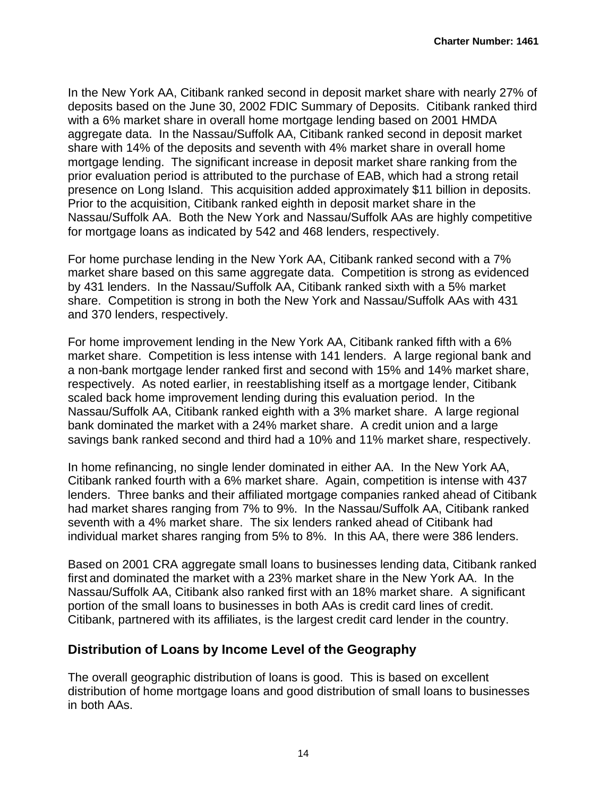In the New York AA, Citibank ranked second in deposit market share with nearly 27% of deposits based on the June 30, 2002 FDIC Summary of Deposits. Citibank ranked third with a 6% market share in overall home mortgage lending based on 2001 HMDA aggregate data. In the Nassau/Suffolk AA, Citibank ranked second in deposit market share with 14% of the deposits and seventh with 4% market share in overall home mortgage lending. The significant increase in deposit market share ranking from the prior evaluation period is attributed to the purchase of EAB, which had a strong retail presence on Long Island. This acquisition added approximately \$11 billion in deposits. Prior to the acquisition, Citibank ranked eighth in deposit market share in the Nassau/Suffolk AA. Both the New York and Nassau/Suffolk AAs are highly competitive for mortgage loans as indicated by 542 and 468 lenders, respectively.

For home purchase lending in the New York AA, Citibank ranked second with a 7% market share based on this same aggregate data. Competition is strong as evidenced by 431 lenders. In the Nassau/Suffolk AA, Citibank ranked sixth with a 5% market share. Competition is strong in both the New York and Nassau/Suffolk AAs with 431 and 370 lenders, respectively.

For home improvement lending in the New York AA, Citibank ranked fifth with a 6% market share. Competition is less intense with 141 lenders. A large regional bank and a non-bank mortgage lender ranked first and second with 15% and 14% market share, respectively. As noted earlier, in reestablishing itself as a mortgage lender, Citibank scaled back home improvement lending during this evaluation period. In the Nassau/Suffolk AA, Citibank ranked eighth with a 3% market share. A large regional bank dominated the market with a 24% market share. A credit union and a large savings bank ranked second and third had a 10% and 11% market share, respectively.

In home refinancing, no single lender dominated in either AA. In the New York AA, Citibank ranked fourth with a 6% market share. Again, competition is intense with 437 lenders. Three banks and their affiliated mortgage companies ranked ahead of Citibank had market shares ranging from 7% to 9%. In the Nassau/Suffolk AA, Citibank ranked seventh with a 4% market share. The six lenders ranked ahead of Citibank had individual market shares ranging from 5% to 8%. In this AA, there were 386 lenders.

Based on 2001 CRA aggregate small loans to businesses lending data, Citibank ranked first and dominated the market with a 23% market share in the New York AA. In the Nassau/Suffolk AA, Citibank also ranked first with an 18% market share. A significant portion of the small loans to businesses in both AAs is credit card lines of credit. Citibank, partnered with its affiliates, is the largest credit card lender in the country.

### **Distribution of Loans by Income Level of the Geography**

The overall geographic distribution of loans is good. This is based on excellent distribution of home mortgage loans and good distribution of small loans to businesses in both AAs.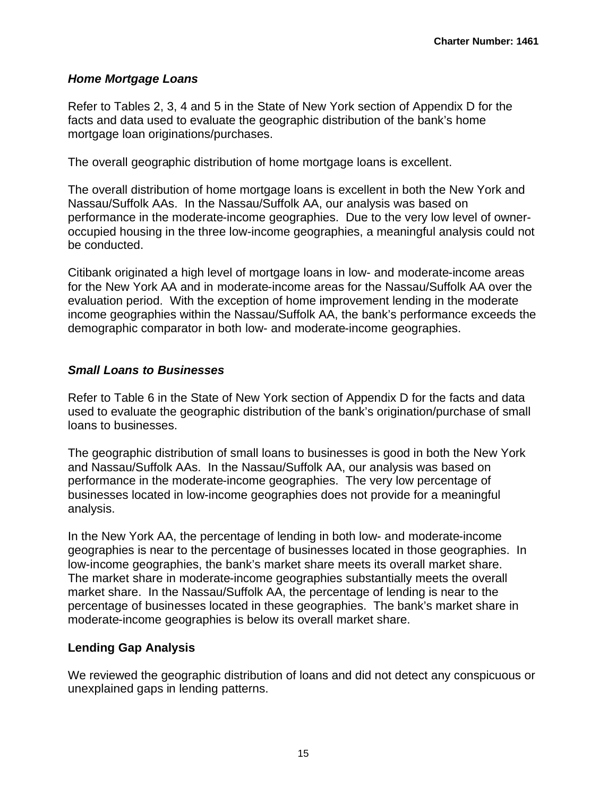#### *Home Mortgage Loans*

Refer to Tables 2, 3, 4 and 5 in the State of New York section of Appendix D for the facts and data used to evaluate the geographic distribution of the bank's home mortgage loan originations/purchases.

The overall geographic distribution of home mortgage loans is excellent.

The overall distribution of home mortgage loans is excellent in both the New York and Nassau/Suffolk AAs. In the Nassau/Suffolk AA, our analysis was based on performance in the moderate-income geographies. Due to the very low level of owneroccupied housing in the three low-income geographies, a meaningful analysis could not be conducted.

Citibank originated a high level of mortgage loans in low- and moderate-income areas for the New York AA and in moderate-income areas for the Nassau/Suffolk AA over the evaluation period. With the exception of home improvement lending in the moderate income geographies within the Nassau/Suffolk AA, the bank's performance exceeds the demographic comparator in both low- and moderate-income geographies.

#### *Small Loans to Businesses*

Refer to Table 6 in the State of New York section of Appendix D for the facts and data used to evaluate the geographic distribution of the bank's origination/purchase of small loans to businesses.

The geographic distribution of small loans to businesses is good in both the New York and Nassau/Suffolk AAs. In the Nassau/Suffolk AA, our analysis was based on performance in the moderate-income geographies. The very low percentage of businesses located in low-income geographies does not provide for a meaningful analysis.

In the New York AA, the percentage of lending in both low- and moderate-income geographies is near to the percentage of businesses located in those geographies. In low-income geographies, the bank's market share meets its overall market share. The market share in moderate-income geographies substantially meets the overall market share. In the Nassau/Suffolk AA, the percentage of lending is near to the percentage of businesses located in these geographies. The bank's market share in moderate-income geographies is below its overall market share.

#### **Lending Gap Analysis**

We reviewed the geographic distribution of loans and did not detect any conspicuous or unexplained gaps in lending patterns.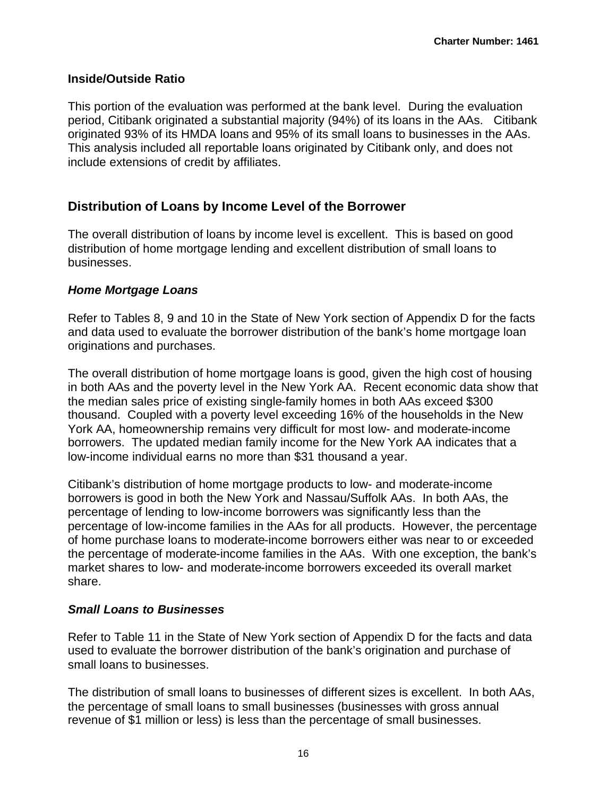#### **Inside/Outside Ratio**

This portion of the evaluation was performed at the bank level. During the evaluation period, Citibank originated a substantial majority (94%) of its loans in the AAs. Citibank originated 93% of its HMDA loans and 95% of its small loans to businesses in the AAs. This analysis included all reportable loans originated by Citibank only, and does not include extensions of credit by affiliates.

### **Distribution of Loans by Income Level of the Borrower**

The overall distribution of loans by income level is excellent. This is based on good distribution of home mortgage lending and excellent distribution of small loans to businesses.

#### *Home Mortgage Loans*

Refer to Tables 8, 9 and 10 in the State of New York section of Appendix D for the facts and data used to evaluate the borrower distribution of the bank's home mortgage loan originations and purchases.

The overall distribution of home mortgage loans is good, given the high cost of housing in both AAs and the poverty level in the New York AA. Recent economic data show that the median sales price of existing single-family homes in both AAs exceed \$300 thousand. Coupled with a poverty level exceeding 16% of the households in the New York AA, homeownership remains very difficult for most low- and moderate-income borrowers. The updated median family income for the New York AA indicates that a low-income individual earns no more than \$31 thousand a year.

Citibank's distribution of home mortgage products to low- and moderate-income borrowers is good in both the New York and Nassau/Suffolk AAs. In both AAs, the percentage of lending to low-income borrowers was significantly less than the percentage of low-income families in the AAs for all products. However, the percentage of home purchase loans to moderate-income borrowers either was near to or exceeded the percentage of moderate-income families in the AAs. With one exception, the bank's market shares to low- and moderate-income borrowers exceeded its overall market share.

#### *Small Loans to Businesses*

Refer to Table 11 in the State of New York section of Appendix D for the facts and data used to evaluate the borrower distribution of the bank's origination and purchase of small loans to businesses.

The distribution of small loans to businesses of different sizes is excellent. In both AAs, the percentage of small loans to small businesses (businesses with gross annual revenue of \$1 million or less) is less than the percentage of small businesses.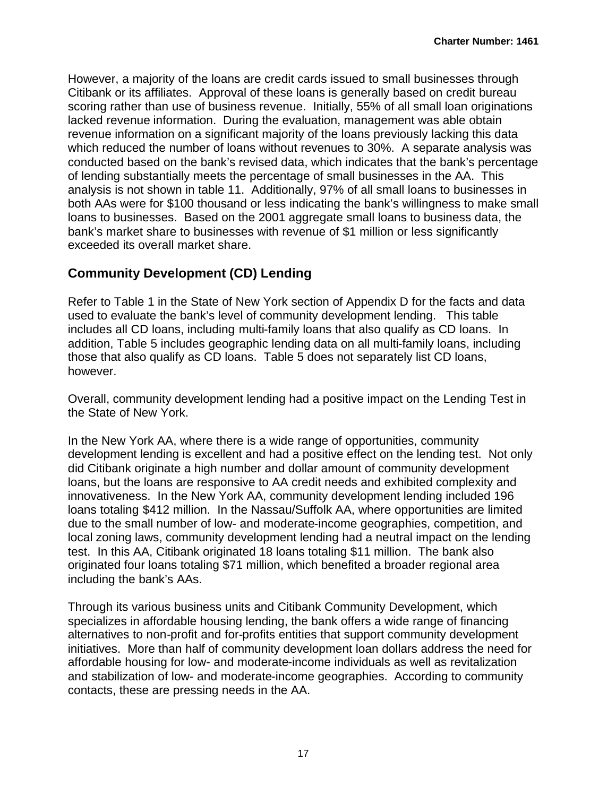However, a majority of the loans are credit cards issued to small businesses through Citibank or its affiliates. Approval of these loans is generally based on credit bureau scoring rather than use of business revenue. Initially, 55% of all small loan originations lacked revenue information. During the evaluation, management was able obtain revenue information on a significant majority of the loans previously lacking this data which reduced the number of loans without revenues to 30%. A separate analysis was conducted based on the bank's revised data, which indicates that the bank's percentage of lending substantially meets the percentage of small businesses in the AA. This analysis is not shown in table 11. Additionally, 97% of all small loans to businesses in both AAs were for \$100 thousand or less indicating the bank's willingness to make small loans to businesses. Based on the 2001 aggregate small loans to business data, the bank's market share to businesses with revenue of \$1 million or less significantly exceeded its overall market share.

## **Community Development (CD) Lending**

Refer to Table 1 in the State of New York section of Appendix D for the facts and data used to evaluate the bank's level of community development lending. This table includes all CD loans, including multi-family loans that also qualify as CD loans. In addition, Table 5 includes geographic lending data on all multi-family loans, including those that also qualify as CD loans. Table 5 does not separately list CD loans, however.

Overall, community development lending had a positive impact on the Lending Test in the State of New York.

In the New York AA, where there is a wide range of opportunities, community development lending is excellent and had a positive effect on the lending test. Not only did Citibank originate a high number and dollar amount of community development loans, but the loans are responsive to AA credit needs and exhibited complexity and innovativeness. In the New York AA, community development lending included 196 loans totaling \$412 million. In the Nassau/Suffolk AA, where opportunities are limited due to the small number of low- and moderate-income geographies, competition, and local zoning laws, community development lending had a neutral impact on the lending test. In this AA, Citibank originated 18 loans totaling \$11 million. The bank also originated four loans totaling \$71 million, which benefited a broader regional area including the bank's AAs.

Through its various business units and Citibank Community Development, which specializes in affordable housing lending, the bank offers a wide range of financing alternatives to non-profit and for-profits entities that support community development initiatives. More than half of community development loan dollars address the need for affordable housing for low- and moderate-income individuals as well as revitalization and stabilization of low- and moderate-income geographies. According to community contacts, these are pressing needs in the AA.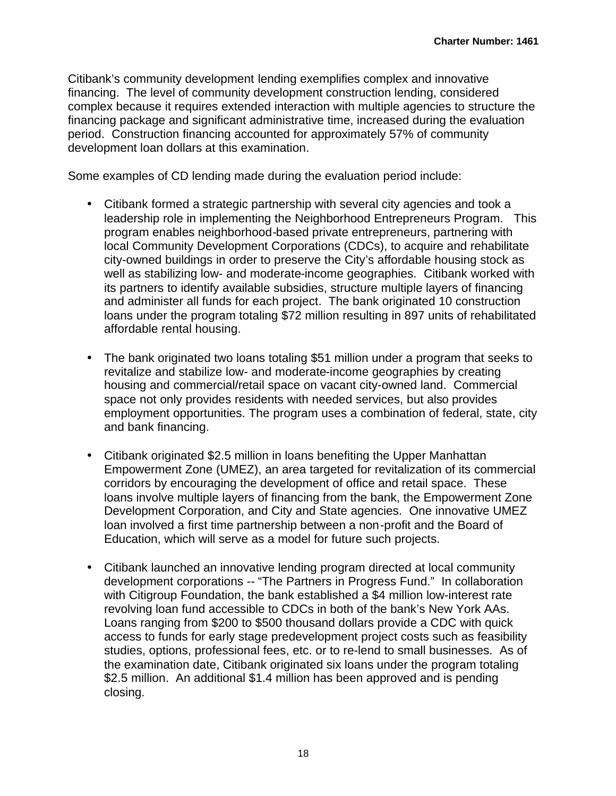Citibank's community development lending exemplifies complex and innovative financing. The level of community development construction lending, considered complex because it requires extended interaction with multiple agencies to structure the financing package and significant administrative time, increased during the evaluation period. Construction financing accounted for approximately 57% of community development loan dollars at this examination.

Some examples of CD lending made during the evaluation period include:

- Citibank formed a strategic partnership with several city agencies and took a leadership role in implementing the Neighborhood Entrepreneurs Program. This program enables neighborhood-based private entrepreneurs, partnering with local Community Development Corporations (CDCs), to acquire and rehabilitate city-owned buildings in order to preserve the City's affordable housing stock as well as stabilizing low- and moderate-income geographies. Citibank worked with its partners to identify available subsidies, structure multiple layers of financing and administer all funds for each project. The bank originated 10 construction loans under the program totaling \$72 million resulting in 897 units of rehabilitated affordable rental housing.
- The bank originated two loans totaling \$51 million under a program that seeks to revitalize and stabilize low- and moderate-income geographies by creating housing and commercial/retail space on vacant city-owned land. Commercial space not only provides residents with needed services, but also provides employment opportunities. The program uses a combination of federal, state, city and bank financing.
- Citibank originated \$2.5 million in loans benefiting the Upper Manhattan Empowerment Zone (UMEZ), an area targeted for revitalization of its commercial corridors by encouraging the development of office and retail space. These loans involve multiple layers of financing from the bank, the Empowerment Zone Development Corporation, and City and State agencies. One innovative UMEZ loan involved a first time partnership between a non-profit and the Board of Education, which will serve as a model for future such projects.
- Citibank launched an innovative lending program directed at local community development corporations -- "The Partners in Progress Fund." In collaboration with Citigroup Foundation, the bank established a \$4 million low-interest rate revolving loan fund accessible to CDCs in both of the bank's New York AAs. Loans ranging from \$200 to \$500 thousand dollars provide a CDC with quick access to funds for early stage predevelopment project costs such as feasibility studies, options, professional fees, etc. or to re-lend to small businesses. As of the examination date, Citibank originated six loans under the program totaling \$2.5 million. An additional \$1.4 million has been approved and is pending closing.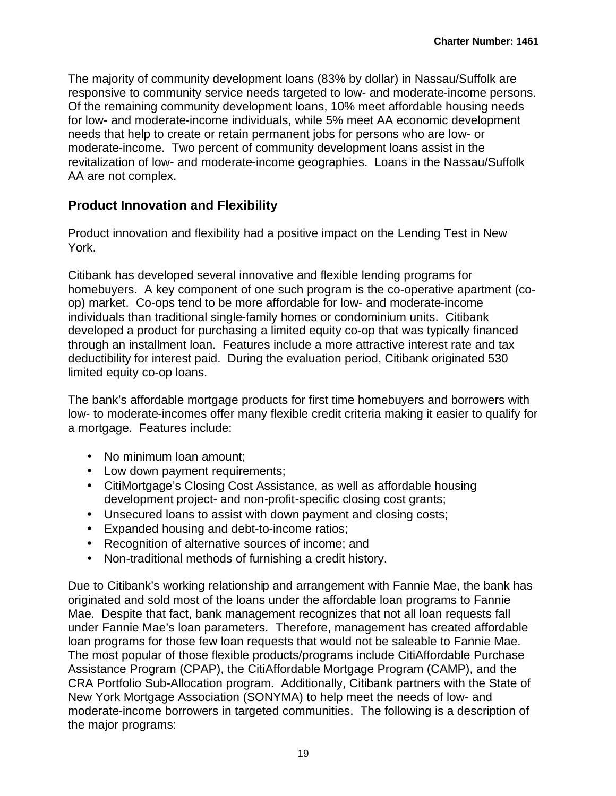The majority of community development loans (83% by dollar) in Nassau/Suffolk are responsive to community service needs targeted to low- and moderate-income persons. Of the remaining community development loans, 10% meet affordable housing needs for low- and moderate-income individuals, while 5% meet AA economic development needs that help to create or retain permanent jobs for persons who are low- or moderate-income. Two percent of community development loans assist in the revitalization of low- and moderate-income geographies. Loans in the Nassau/Suffolk AA are not complex.

## **Product Innovation and Flexibility**

Product innovation and flexibility had a positive impact on the Lending Test in New York.

Citibank has developed several innovative and flexible lending programs for homebuyers. A key component of one such program is the co-operative apartment (coop) market. Co-ops tend to be more affordable for low- and moderate-income individuals than traditional single-family homes or condominium units. Citibank developed a product for purchasing a limited equity co-op that was typically financed through an installment loan. Features include a more attractive interest rate and tax deductibility for interest paid. During the evaluation period, Citibank originated 530 limited equity co-op loans.

The bank's affordable mortgage products for first time homebuyers and borrowers with low- to moderate-incomes offer many flexible credit criteria making it easier to qualify for a mortgage. Features include:

- No minimum loan amount:
- Low down payment requirements;
- CitiMortgage's Closing Cost Assistance, as well as affordable housing development project- and non-profit-specific closing cost grants;
- Unsecured loans to assist with down payment and closing costs;
- Expanded housing and debt-to-income ratios;
- Recognition of alternative sources of income; and
- Non-traditional methods of furnishing a credit history.

Due to Citibank's working relationship and arrangement with Fannie Mae, the bank has originated and sold most of the loans under the affordable loan programs to Fannie Mae. Despite that fact, bank management recognizes that not all loan requests fall under Fannie Mae's loan parameters. Therefore, management has created affordable loan programs for those few loan requests that would not be saleable to Fannie Mae. The most popular of those flexible products/programs include CitiAffordable Purchase Assistance Program (CPAP), the CitiAffordable Mortgage Program (CAMP), and the CRA Portfolio Sub-Allocation program. Additionally, Citibank partners with the State of New York Mortgage Association (SONYMA) to help meet the needs of low- and moderate-income borrowers in targeted communities. The following is a description of the major programs: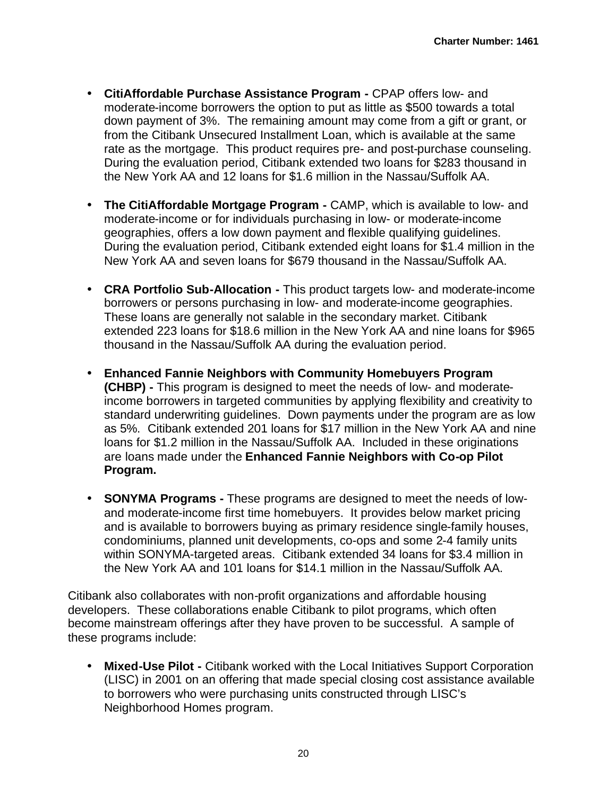- **CitiAffordable Purchase Assistance Program -** CPAP offers low- and moderate-income borrowers the option to put as little as \$500 towards a total down payment of 3%. The remaining amount may come from a gift or grant, or from the Citibank Unsecured Installment Loan, which is available at the same rate as the mortgage. This product requires pre- and post-purchase counseling. During the evaluation period, Citibank extended two loans for \$283 thousand in the New York AA and 12 loans for \$1.6 million in the Nassau/Suffolk AA.
- **The CitiAffordable Mortgage Program -** CAMP, which is available to low- and moderate-income or for individuals purchasing in low- or moderate-income geographies, offers a low down payment and flexible qualifying guidelines. During the evaluation period, Citibank extended eight loans for \$1.4 million in the New York AA and seven loans for \$679 thousand in the Nassau/Suffolk AA.
- **CRA Portfolio Sub-Allocation -** This product targets low- and moderate-income borrowers or persons purchasing in low- and moderate-income geographies. These loans are generally not salable in the secondary market. Citibank extended 223 loans for \$18.6 million in the New York AA and nine loans for \$965 thousand in the Nassau/Suffolk AA during the evaluation period.
- **Enhanced Fannie Neighbors with Community Homebuyers Program (CHBP) -** This program is designed to meet the needs of low- and moderateincome borrowers in targeted communities by applying flexibility and creativity to standard underwriting guidelines. Down payments under the program are as low as 5%. Citibank extended 201 loans for \$17 million in the New York AA and nine loans for \$1.2 million in the Nassau/Suffolk AA. Included in these originations are loans made under the **Enhanced Fannie Neighbors with Co-op Pilot Program.**
- **SONYMA Programs -** These programs are designed to meet the needs of lowand moderate-income first time homebuyers. It provides below market pricing and is available to borrowers buying as primary residence single-family houses, condominiums, planned unit developments, co-ops and some 2-4 family units within SONYMA-targeted areas. Citibank extended 34 loans for \$3.4 million in the New York AA and 101 loans for \$14.1 million in the Nassau/Suffolk AA.

Citibank also collaborates with non-profit organizations and affordable housing developers. These collaborations enable Citibank to pilot programs, which often become mainstream offerings after they have proven to be successful. A sample of these programs include:

• **Mixed-Use Pilot -** Citibank worked with the Local Initiatives Support Corporation (LISC) in 2001 on an offering that made special closing cost assistance available to borrowers who were purchasing units constructed through LISC's Neighborhood Homes program.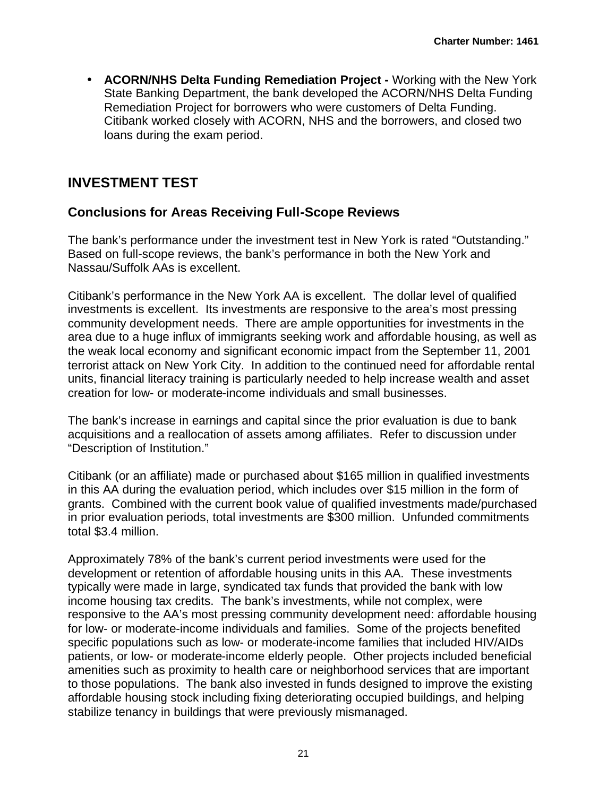• **ACORN/NHS Delta Funding Remediation Project -** Working with the New York State Banking Department, the bank developed the ACORN/NHS Delta Funding Remediation Project for borrowers who were customers of Delta Funding. Citibank worked closely with ACORN, NHS and the borrowers, and closed two loans during the exam period.

## **INVESTMENT TEST**

## **Conclusions for Areas Receiving Full-Scope Reviews**

The bank's performance under the investment test in New York is rated "Outstanding." Based on full-scope reviews, the bank's performance in both the New York and Nassau/Suffolk AAs is excellent.

Citibank's performance in the New York AA is excellent. The dollar level of qualified investments is excellent. Its investments are responsive to the area's most pressing community development needs. There are ample opportunities for investments in the area due to a huge influx of immigrants seeking work and affordable housing, as well as the weak local economy and significant economic impact from the September 11, 2001 terrorist attack on New York City. In addition to the continued need for affordable rental units, financial literacy training is particularly needed to help increase wealth and asset creation for low- or moderate-income individuals and small businesses.

The bank's increase in earnings and capital since the prior evaluation is due to bank acquisitions and a reallocation of assets among affiliates. Refer to discussion under "Description of Institution."

Citibank (or an affiliate) made or purchased about \$165 million in qualified investments in this AA during the evaluation period, which includes over \$15 million in the form of grants. Combined with the current book value of qualified investments made/purchased in prior evaluation periods, total investments are \$300 million. Unfunded commitments total \$3.4 million.

Approximately 78% of the bank's current period investments were used for the development or retention of affordable housing units in this AA. These investments typically were made in large, syndicated tax funds that provided the bank with low income housing tax credits. The bank's investments, while not complex, were responsive to the AA's most pressing community development need: affordable housing for low- or moderate-income individuals and families. Some of the projects benefited specific populations such as low- or moderate-income families that included HIV/AIDs patients, or low- or moderate-income elderly people. Other projects included beneficial amenities such as proximity to health care or neighborhood services that are important to those populations. The bank also invested in funds designed to improve the existing affordable housing stock including fixing deteriorating occupied buildings, and helping stabilize tenancy in buildings that were previously mismanaged.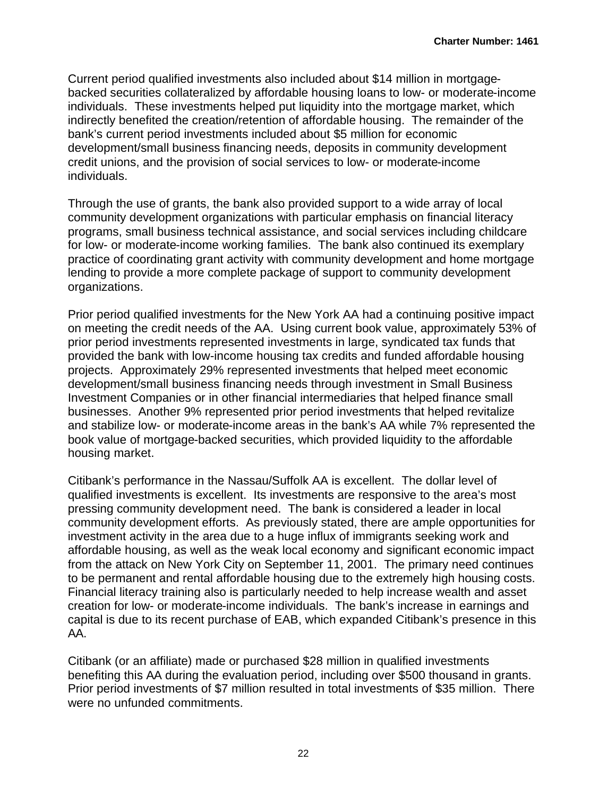Current period qualified investments also included about \$14 million in mortgagebacked securities collateralized by affordable housing loans to low- or moderate-income individuals. These investments helped put liquidity into the mortgage market, which indirectly benefited the creation/retention of affordable housing. The remainder of the bank's current period investments included about \$5 million for economic development/small business financing needs, deposits in community development credit unions, and the provision of social services to low- or moderate-income individuals.

Through the use of grants, the bank also provided support to a wide array of local community development organizations with particular emphasis on financial literacy programs, small business technical assistance, and social services including childcare for low- or moderate-income working families. The bank also continued its exemplary practice of coordinating grant activity with community development and home mortgage lending to provide a more complete package of support to community development organizations.

Prior period qualified investments for the New York AA had a continuing positive impact on meeting the credit needs of the AA. Using current book value, approximately 53% of prior period investments represented investments in large, syndicated tax funds that provided the bank with low-income housing tax credits and funded affordable housing projects. Approximately 29% represented investments that helped meet economic development/small business financing needs through investment in Small Business Investment Companies or in other financial intermediaries that helped finance small businesses. Another 9% represented prior period investments that helped revitalize and stabilize low- or moderate-income areas in the bank's AA while 7% represented the book value of mortgage-backed securities, which provided liquidity to the affordable housing market.

Citibank's performance in the Nassau/Suffolk AA is excellent. The dollar level of qualified investments is excellent. Its investments are responsive to the area's most pressing community development need. The bank is considered a leader in local community development efforts. As previously stated, there are ample opportunities for investment activity in the area due to a huge influx of immigrants seeking work and affordable housing, as well as the weak local economy and significant economic impact from the attack on New York City on September 11, 2001. The primary need continues to be permanent and rental affordable housing due to the extremely high housing costs. Financial literacy training also is particularly needed to help increase wealth and asset creation for low- or moderate-income individuals. The bank's increase in earnings and capital is due to its recent purchase of EAB, which expanded Citibank's presence in this AA.

Citibank (or an affiliate) made or purchased \$28 million in qualified investments benefiting this AA during the evaluation period, including over \$500 thousand in grants. Prior period investments of \$7 million resulted in total investments of \$35 million. There were no unfunded commitments.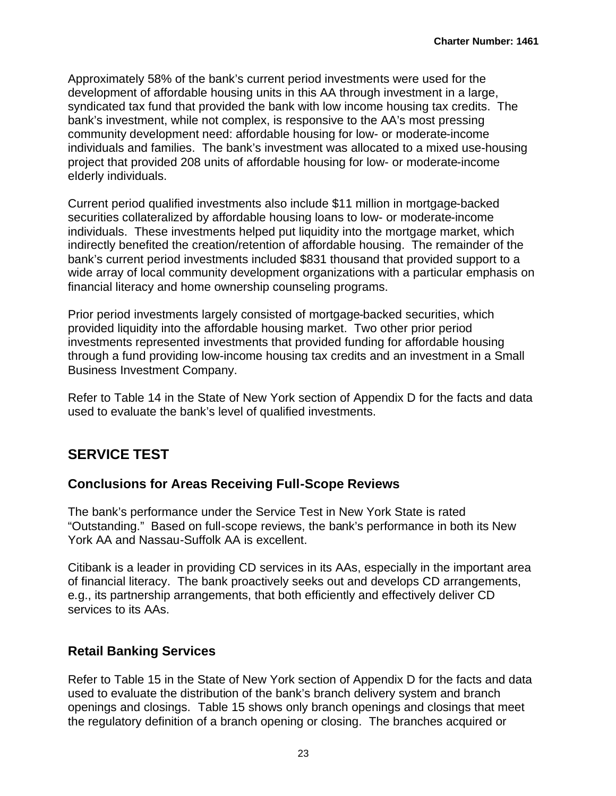Approximately 58% of the bank's current period investments were used for the development of affordable housing units in this AA through investment in a large, syndicated tax fund that provided the bank with low income housing tax credits. The bank's investment, while not complex, is responsive to the AA's most pressing community development need: affordable housing for low- or moderate-income individuals and families. The bank's investment was allocated to a mixed use-housing project that provided 208 units of affordable housing for low- or moderate-income elderly individuals.

Current period qualified investments also include \$11 million in mortgage-backed securities collateralized by affordable housing loans to low- or moderate-income individuals. These investments helped put liquidity into the mortgage market, which indirectly benefited the creation/retention of affordable housing. The remainder of the bank's current period investments included \$831 thousand that provided support to a wide array of local community development organizations with a particular emphasis on financial literacy and home ownership counseling programs.

Prior period investments largely consisted of mortgage-backed securities, which provided liquidity into the affordable housing market. Two other prior period investments represented investments that provided funding for affordable housing through a fund providing low-income housing tax credits and an investment in a Small Business Investment Company.

Refer to Table 14 in the State of New York section of Appendix D for the facts and data used to evaluate the bank's level of qualified investments.

## **SERVICE TEST**

### **Conclusions for Areas Receiving Full-Scope Reviews**

The bank's performance under the Service Test in New York State is rated "Outstanding." Based on full-scope reviews, the bank's performance in both its New York AA and Nassau-Suffolk AA is excellent.

Citibank is a leader in providing CD services in its AAs, especially in the important area of financial literacy. The bank proactively seeks out and develops CD arrangements, e.g., its partnership arrangements, that both efficiently and effectively deliver CD services to its AAs.

## **Retail Banking Services**

Refer to Table 15 in the State of New York section of Appendix D for the facts and data used to evaluate the distribution of the bank's branch delivery system and branch openings and closings. Table 15 shows only branch openings and closings that meet the regulatory definition of a branch opening or closing. The branches acquired or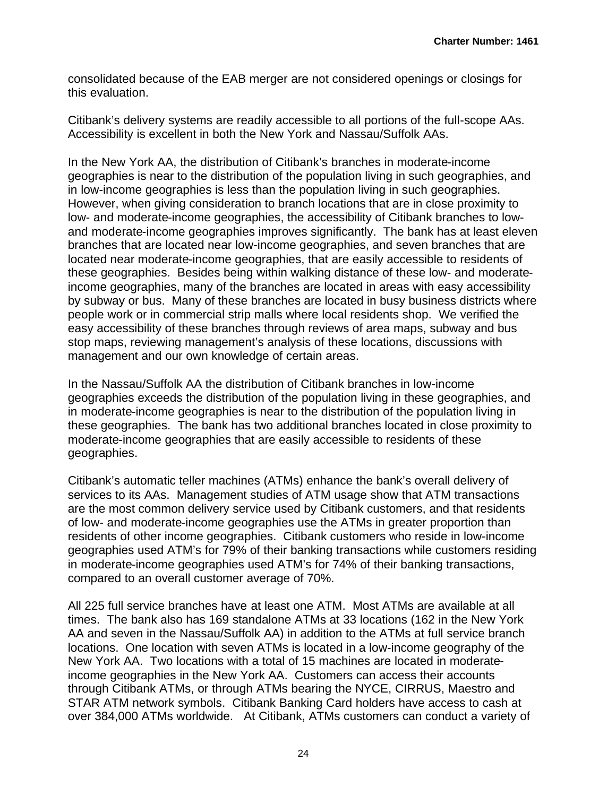consolidated because of the EAB merger are not considered openings or closings for this evaluation.

Citibank's delivery systems are readily accessible to all portions of the full-scope AAs. Accessibility is excellent in both the New York and Nassau/Suffolk AAs.

In the New York AA, the distribution of Citibank's branches in moderate-income geographies is near to the distribution of the population living in such geographies, and in low-income geographies is less than the population living in such geographies. However, when giving consideration to branch locations that are in close proximity to low- and moderate-income geographies, the accessibility of Citibank branches to lowand moderate-income geographies improves significantly. The bank has at least eleven branches that are located near low-income geographies, and seven branches that are located near moderate-income geographies, that are easily accessible to residents of these geographies. Besides being within walking distance of these low- and moderateincome geographies, many of the branches are located in areas with easy accessibility by subway or bus. Many of these branches are located in busy business districts where people work or in commercial strip malls where local residents shop. We verified the easy accessibility of these branches through reviews of area maps, subway and bus stop maps, reviewing management's analysis of these locations, discussions with management and our own knowledge of certain areas.

In the Nassau/Suffolk AA the distribution of Citibank branches in low-income geographies exceeds the distribution of the population living in these geographies, and in moderate-income geographies is near to the distribution of the population living in these geographies. The bank has two additional branches located in close proximity to moderate-income geographies that are easily accessible to residents of these geographies.

Citibank's automatic teller machines (ATMs) enhance the bank's overall delivery of services to its AAs. Management studies of ATM usage show that ATM transactions are the most common delivery service used by Citibank customers, and that residents of low- and moderate-income geographies use the ATMs in greater proportion than residents of other income geographies. Citibank customers who reside in low-income geographies used ATM's for 79% of their banking transactions while customers residing in moderate-income geographies used ATM's for 74% of their banking transactions, compared to an overall customer average of 70%.

All 225 full service branches have at least one ATM. Most ATMs are available at all times. The bank also has 169 standalone ATMs at 33 locations (162 in the New York AA and seven in the Nassau/Suffolk AA) in addition to the ATMs at full service branch locations. One location with seven ATMs is located in a low-income geography of the New York AA. Two locations with a total of 15 machines are located in moderateincome geographies in the New York AA. Customers can access their accounts through Citibank ATMs, or through ATMs bearing the NYCE, CIRRUS, Maestro and STAR ATM network symbols. Citibank Banking Card holders have access to cash at over 384,000 ATMs worldwide. At Citibank, ATMs customers can conduct a variety of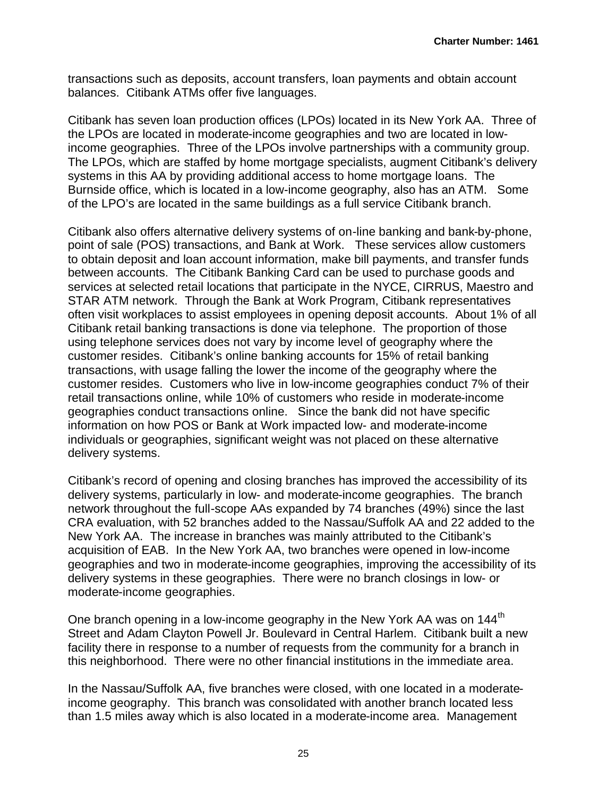transactions such as deposits, account transfers, loan payments and obtain account balances. Citibank ATMs offer five languages.

Citibank has seven loan production offices (LPOs) located in its New York AA. Three of the LPOs are located in moderate-income geographies and two are located in lowincome geographies. Three of the LPOs involve partnerships with a community group. The LPOs, which are staffed by home mortgage specialists, augment Citibank's delivery systems in this AA by providing additional access to home mortgage loans. The Burnside office, which is located in a low-income geography, also has an ATM. Some of the LPO's are located in the same buildings as a full service Citibank branch.

Citibank also offers alternative delivery systems of on-line banking and bank-by-phone, point of sale (POS) transactions, and Bank at Work. These services allow customers to obtain deposit and loan account information, make bill payments, and transfer funds between accounts. The Citibank Banking Card can be used to purchase goods and services at selected retail locations that participate in the NYCE, CIRRUS, Maestro and STAR ATM network. Through the Bank at Work Program, Citibank representatives often visit workplaces to assist employees in opening deposit accounts. About 1% of all Citibank retail banking transactions is done via telephone. The proportion of those using telephone services does not vary by income level of geography where the customer resides. Citibank's online banking accounts for 15% of retail banking transactions, with usage falling the lower the income of the geography where the customer resides. Customers who live in low-income geographies conduct 7% of their retail transactions online, while 10% of customers who reside in moderate-income geographies conduct transactions online. Since the bank did not have specific information on how POS or Bank at Work impacted low- and moderate-income individuals or geographies, significant weight was not placed on these alternative delivery systems.

Citibank's record of opening and closing branches has improved the accessibility of its delivery systems, particularly in low- and moderate-income geographies. The branch network throughout the full-scope AAs expanded by 74 branches (49%) since the last CRA evaluation, with 52 branches added to the Nassau/Suffolk AA and 22 added to the New York AA. The increase in branches was mainly attributed to the Citibank's acquisition of EAB. In the New York AA, two branches were opened in low-income geographies and two in moderate-income geographies, improving the accessibility of its delivery systems in these geographies. There were no branch closings in low- or moderate-income geographies.

One branch opening in a low-income geography in the New York AA was on 144<sup>th</sup> Street and Adam Clayton Powell Jr. Boulevard in Central Harlem. Citibank built a new facility there in response to a number of requests from the community for a branch in this neighborhood. There were no other financial institutions in the immediate area.

In the Nassau/Suffolk AA, five branches were closed, with one located in a moderateincome geography. This branch was consolidated with another branch located less than 1.5 miles away which is also located in a moderate-income area. Management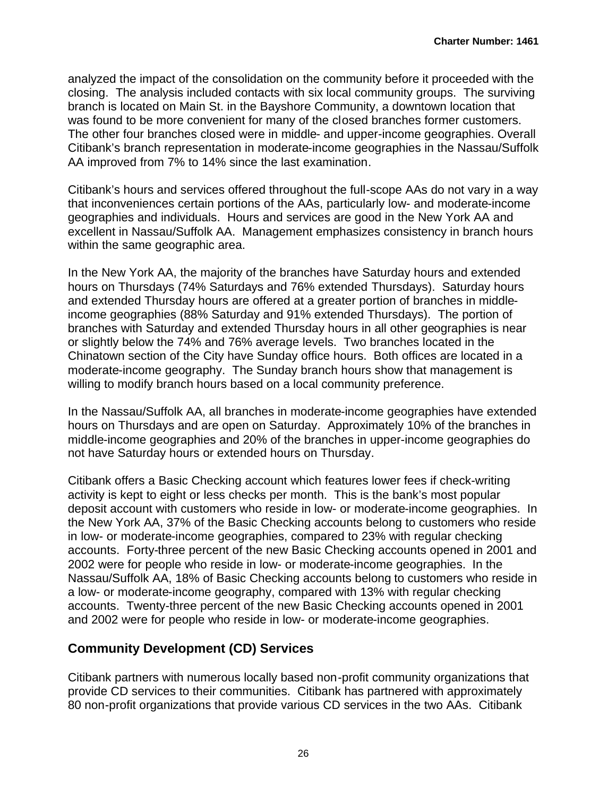analyzed the impact of the consolidation on the community before it proceeded with the closing. The analysis included contacts with six local community groups. The surviving branch is located on Main St. in the Bayshore Community, a downtown location that was found to be more convenient for many of the closed branches former customers. The other four branches closed were in middle- and upper-income geographies. Overall Citibank's branch representation in moderate-income geographies in the Nassau/Suffolk AA improved from 7% to 14% since the last examination.

Citibank's hours and services offered throughout the full-scope AAs do not vary in a way that inconveniences certain portions of the AAs, particularly low- and moderate-income geographies and individuals. Hours and services are good in the New York AA and excellent in Nassau/Suffolk AA. Management emphasizes consistency in branch hours within the same geographic area.

In the New York AA, the majority of the branches have Saturday hours and extended hours on Thursdays (74% Saturdays and 76% extended Thursdays). Saturday hours and extended Thursday hours are offered at a greater portion of branches in middleincome geographies (88% Saturday and 91% extended Thursdays). The portion of branches with Saturday and extended Thursday hours in all other geographies is near or slightly below the 74% and 76% average levels. Two branches located in the Chinatown section of the City have Sunday office hours. Both offices are located in a moderate-income geography. The Sunday branch hours show that management is willing to modify branch hours based on a local community preference.

In the Nassau/Suffolk AA, all branches in moderate-income geographies have extended hours on Thursdays and are open on Saturday. Approximately 10% of the branches in middle-income geographies and 20% of the branches in upper-income geographies do not have Saturday hours or extended hours on Thursday.

Citibank offers a Basic Checking account which features lower fees if check-writing activity is kept to eight or less checks per month. This is the bank's most popular deposit account with customers who reside in low- or moderate-income geographies. In the New York AA, 37% of the Basic Checking accounts belong to customers who reside in low- or moderate-income geographies, compared to 23% with regular checking accounts. Forty-three percent of the new Basic Checking accounts opened in 2001 and 2002 were for people who reside in low- or moderate-income geographies. In the Nassau/Suffolk AA, 18% of Basic Checking accounts belong to customers who reside in a low- or moderate-income geography, compared with 13% with regular checking accounts. Twenty-three percent of the new Basic Checking accounts opened in 2001 and 2002 were for people who reside in low- or moderate-income geographies.

### **Community Development (CD) Services**

Citibank partners with numerous locally based non-profit community organizations that provide CD services to their communities. Citibank has partnered with approximately 80 non-profit organizations that provide various CD services in the two AAs. Citibank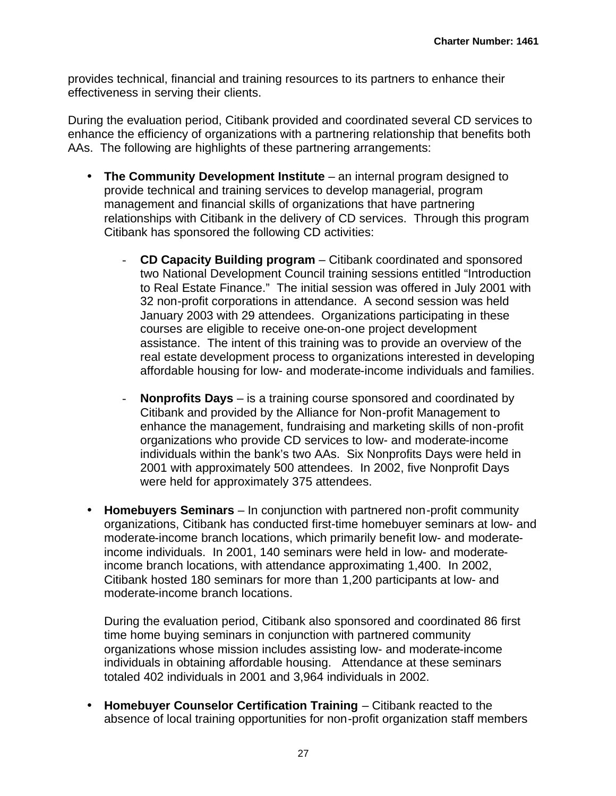provides technical, financial and training resources to its partners to enhance their effectiveness in serving their clients.

During the evaluation period, Citibank provided and coordinated several CD services to enhance the efficiency of organizations with a partnering relationship that benefits both AAs. The following are highlights of these partnering arrangements:

- **The Community Development Institute** an internal program designed to provide technical and training services to develop managerial, program management and financial skills of organizations that have partnering relationships with Citibank in the delivery of CD services. Through this program Citibank has sponsored the following CD activities:
	- **CD Capacity Building program** Citibank coordinated and sponsored two National Development Council training sessions entitled "Introduction to Real Estate Finance." The initial session was offered in July 2001 with 32 non-profit corporations in attendance. A second session was held January 2003 with 29 attendees. Organizations participating in these courses are eligible to receive one-on-one project development assistance. The intent of this training was to provide an overview of the real estate development process to organizations interested in developing affordable housing for low- and moderate-income individuals and families.
	- **Nonprofits Days** is a training course sponsored and coordinated by Citibank and provided by the Alliance for Non-profit Management to enhance the management, fundraising and marketing skills of non-profit organizations who provide CD services to low- and moderate-income individuals within the bank's two AAs. Six Nonprofits Days were held in 2001 with approximately 500 attendees. In 2002, five Nonprofit Days were held for approximately 375 attendees.
- **Homebuyers Seminars** In conjunction with partnered non-profit community organizations, Citibank has conducted first-time homebuyer seminars at low- and moderate-income branch locations, which primarily benefit low- and moderateincome individuals. In 2001, 140 seminars were held in low- and moderateincome branch locations, with attendance approximating 1,400. In 2002, Citibank hosted 180 seminars for more than 1,200 participants at low- and moderate-income branch locations.

During the evaluation period, Citibank also sponsored and coordinated 86 first time home buying seminars in conjunction with partnered community organizations whose mission includes assisting low- and moderate-income individuals in obtaining affordable housing. Attendance at these seminars totaled 402 individuals in 2001 and 3,964 individuals in 2002.

• **Homebuyer Counselor Certification Training** – Citibank reacted to the absence of local training opportunities for non-profit organization staff members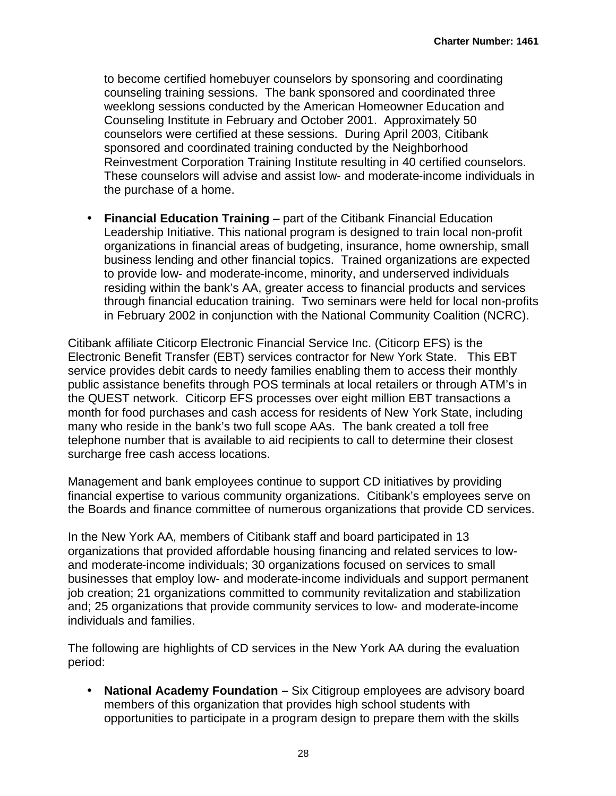to become certified homebuyer counselors by sponsoring and coordinating counseling training sessions. The bank sponsored and coordinated three weeklong sessions conducted by the American Homeowner Education and Counseling Institute in February and October 2001. Approximately 50 counselors were certified at these sessions. During April 2003, Citibank sponsored and coordinated training conducted by the Neighborhood Reinvestment Corporation Training Institute resulting in 40 certified counselors. These counselors will advise and assist low- and moderate-income individuals in the purchase of a home.

• **Financial Education Training** – part of the Citibank Financial Education Leadership Initiative. This national program is designed to train local non-profit organizations in financial areas of budgeting, insurance, home ownership, small business lending and other financial topics. Trained organizations are expected to provide low- and moderate-income, minority, and underserved individuals residing within the bank's AA, greater access to financial products and services through financial education training. Two seminars were held for local non-profits in February 2002 in conjunction with the National Community Coalition (NCRC).

Citibank affiliate Citicorp Electronic Financial Service Inc. (Citicorp EFS) is the Electronic Benefit Transfer (EBT) services contractor for New York State. This EBT service provides debit cards to needy families enabling them to access their monthly public assistance benefits through POS terminals at local retailers or through ATM's in the QUEST network. Citicorp EFS processes over eight million EBT transactions a month for food purchases and cash access for residents of New York State, including many who reside in the bank's two full scope AAs. The bank created a toll free telephone number that is available to aid recipients to call to determine their closest surcharge free cash access locations.

Management and bank employees continue to support CD initiatives by providing financial expertise to various community organizations. Citibank's employees serve on the Boards and finance committee of numerous organizations that provide CD services.

In the New York AA, members of Citibank staff and board participated in 13 organizations that provided affordable housing financing and related services to lowand moderate-income individuals; 30 organizations focused on services to small businesses that employ low- and moderate-income individuals and support permanent job creation; 21 organizations committed to community revitalization and stabilization and; 25 organizations that provide community services to low- and moderate-income individuals and families.

The following are highlights of CD services in the New York AA during the evaluation period:

• **National Academy Foundation –** Six Citigroup employees are advisory board members of this organization that provides high school students with opportunities to participate in a program design to prepare them with the skills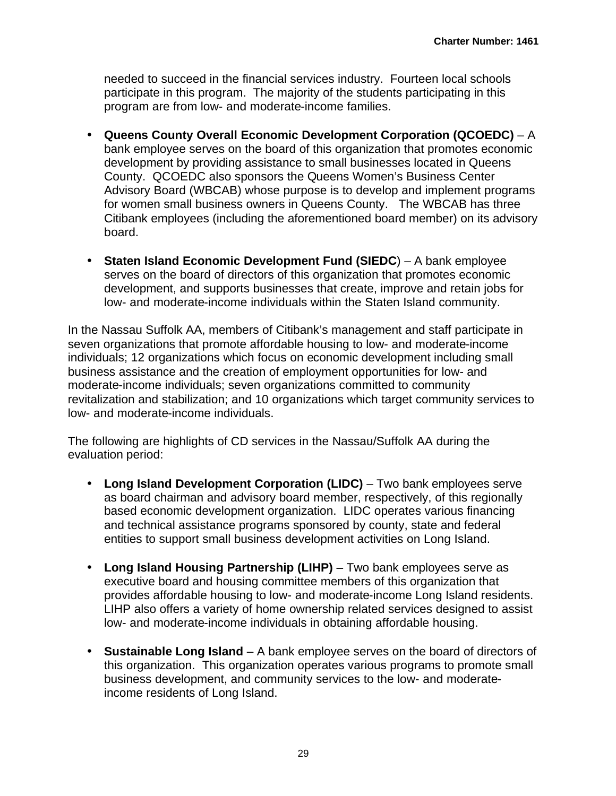needed to succeed in the financial services industry. Fourteen local schools participate in this program. The majority of the students participating in this program are from low- and moderate-income families.

- **Queens County Overall Economic Development Corporation (QCOEDC)** A bank employee serves on the board of this organization that promotes economic development by providing assistance to small businesses located in Queens County. QCOEDC also sponsors the Queens Women's Business Center Advisory Board (WBCAB) whose purpose is to develop and implement programs for women small business owners in Queens County. The WBCAB has three Citibank employees (including the aforementioned board member) on its advisory board.
- **Staten Island Economic Development Fund (SIEDC**) A bank employee serves on the board of directors of this organization that promotes economic development, and supports businesses that create, improve and retain jobs for low- and moderate-income individuals within the Staten Island community.

In the Nassau Suffolk AA, members of Citibank's management and staff participate in seven organizations that promote affordable housing to low- and moderate-income individuals; 12 organizations which focus on economic development including small business assistance and the creation of employment opportunities for low- and moderate-income individuals; seven organizations committed to community revitalization and stabilization; and 10 organizations which target community services to low- and moderate-income individuals.

The following are highlights of CD services in the Nassau/Suffolk AA during the evaluation period:

- **Long Island Development Corporation (LIDC)** Two bank employees serve as board chairman and advisory board member, respectively, of this regionally based economic development organization. LIDC operates various financing and technical assistance programs sponsored by county, state and federal entities to support small business development activities on Long Island.
- **Long Island Housing Partnership (LIHP)** Two bank employees serve as executive board and housing committee members of this organization that provides affordable housing to low- and moderate-income Long Island residents. LIHP also offers a variety of home ownership related services designed to assist low- and moderate-income individuals in obtaining affordable housing.
- **Sustainable Long Island** A bank employee serves on the board of directors of this organization. This organization operates various programs to promote small business development, and community services to the low- and moderateincome residents of Long Island.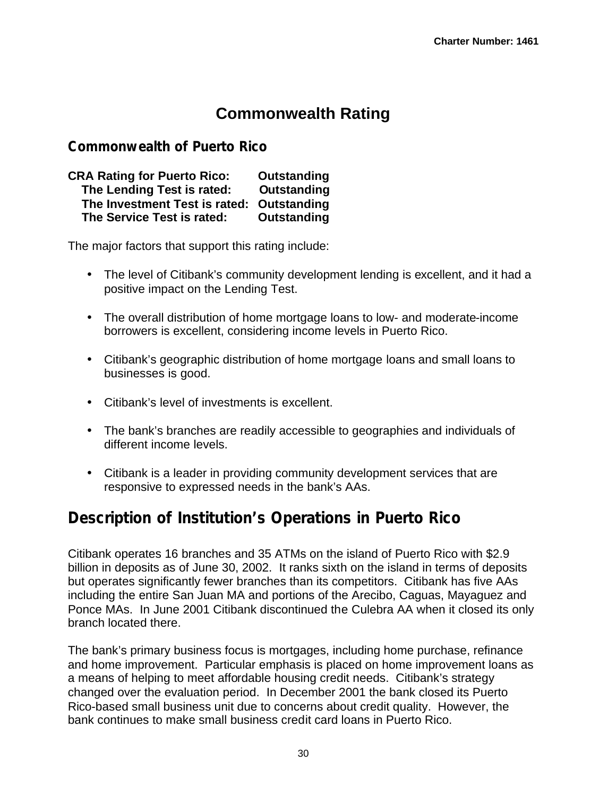# **Commonwealth Rating**

### **Commonwealth of Puerto Rico**

**CRA Rating for Puerto Rico: Outstanding The Lending Test is rated: Outstanding The Investment Test is rated: Outstanding The Service Test is rated: Outstanding**

The major factors that support this rating include:

- The level of Citibank's community development lending is excellent, and it had a positive impact on the Lending Test.
- The overall distribution of home mortgage loans to low- and moderate-income borrowers is excellent, considering income levels in Puerto Rico.
- Citibank's geographic distribution of home mortgage loans and small loans to businesses is good.
- Citibank's level of investments is excellent.
- The bank's branches are readily accessible to geographies and individuals of different income levels.
- Citibank is a leader in providing community development services that are responsive to expressed needs in the bank's AAs.

# **Description of Institution's Operations in Puerto Rico**

Citibank operates 16 branches and 35 ATMs on the island of Puerto Rico with \$2.9 billion in deposits as of June 30, 2002. It ranks sixth on the island in terms of deposits but operates significantly fewer branches than its competitors. Citibank has five AAs including the entire San Juan MA and portions of the Arecibo, Caguas, Mayaguez and Ponce MAs. In June 2001 Citibank discontinued the Culebra AA when it closed its only branch located there.

The bank's primary business focus is mortgages, including home purchase, refinance and home improvement. Particular emphasis is placed on home improvement loans as a means of helping to meet affordable housing credit needs. Citibank's strategy changed over the evaluation period. In December 2001 the bank closed its Puerto Rico-based small business unit due to concerns about credit quality. However, the bank continues to make small business credit card loans in Puerto Rico.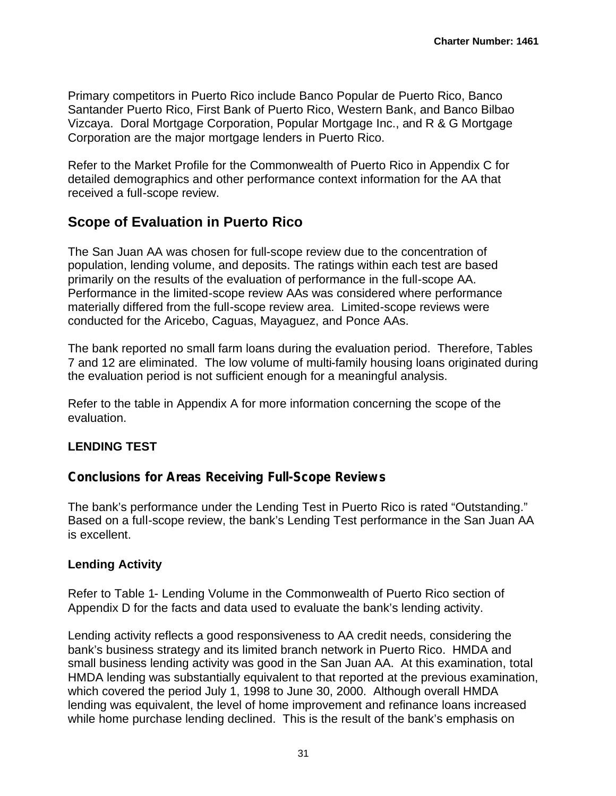Primary competitors in Puerto Rico include Banco Popular de Puerto Rico, Banco Santander Puerto Rico, First Bank of Puerto Rico, Western Bank, and Banco Bilbao Vizcaya. Doral Mortgage Corporation, Popular Mortgage Inc., and R & G Mortgage Corporation are the major mortgage lenders in Puerto Rico.

Refer to the Market Profile for the Commonwealth of Puerto Rico in Appendix C for detailed demographics and other performance context information for the AA that received a full-scope review.

## **Scope of Evaluation in Puerto Rico**

The San Juan AA was chosen for full-scope review due to the concentration of population, lending volume, and deposits. The ratings within each test are based primarily on the results of the evaluation of performance in the full-scope AA. Performance in the limited-scope review AAs was considered where performance materially differed from the full-scope review area. Limited-scope reviews were conducted for the Aricebo, Caguas, Mayaguez, and Ponce AAs.

The bank reported no small farm loans during the evaluation period. Therefore, Tables 7 and 12 are eliminated. The low volume of multi-family housing loans originated during the evaluation period is not sufficient enough for a meaningful analysis.

Refer to the table in Appendix A for more information concerning the scope of the evaluation.

### **LENDING TEST**

### **Conclusions for Areas Receiving Full-Scope Reviews**

The bank's performance under the Lending Test in Puerto Rico is rated "Outstanding." Based on a full-scope review, the bank's Lending Test performance in the San Juan AA is excellent.

#### **Lending Activity**

Refer to Table 1- Lending Volume in the Commonwealth of Puerto Rico section of Appendix D for the facts and data used to evaluate the bank's lending activity.

Lending activity reflects a good responsiveness to AA credit needs, considering the bank's business strategy and its limited branch network in Puerto Rico. HMDA and small business lending activity was good in the San Juan AA. At this examination, total HMDA lending was substantially equivalent to that reported at the previous examination, which covered the period July 1, 1998 to June 30, 2000. Although overall HMDA lending was equivalent, the level of home improvement and refinance loans increased while home purchase lending declined. This is the result of the bank's emphasis on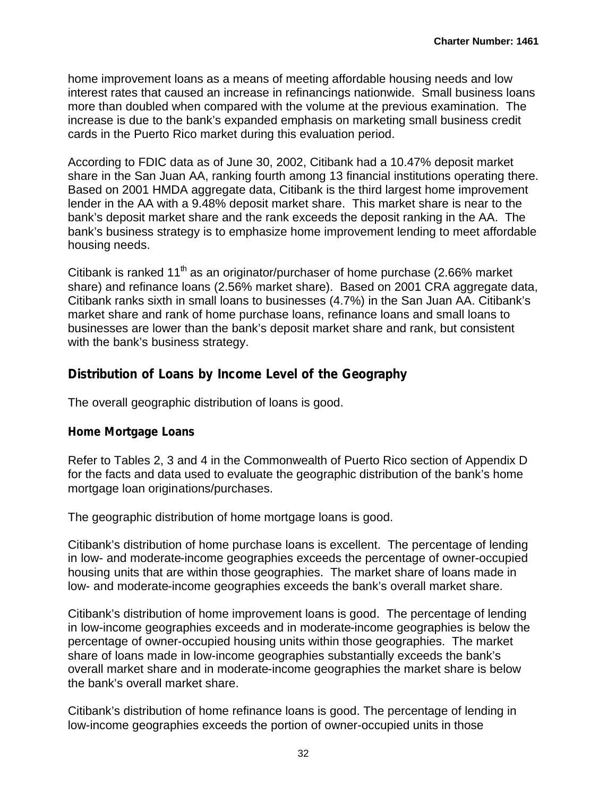home improvement loans as a means of meeting affordable housing needs and low interest rates that caused an increase in refinancings nationwide. Small business loans more than doubled when compared with the volume at the previous examination. The increase is due to the bank's expanded emphasis on marketing small business credit cards in the Puerto Rico market during this evaluation period.

According to FDIC data as of June 30, 2002, Citibank had a 10.47% deposit market share in the San Juan AA, ranking fourth among 13 financial institutions operating there. Based on 2001 HMDA aggregate data, Citibank is the third largest home improvement lender in the AA with a 9.48% deposit market share. This market share is near to the bank's deposit market share and the rank exceeds the deposit ranking in the AA. The bank's business strategy is to emphasize home improvement lending to meet affordable housing needs.

Citibank is ranked 11<sup>th</sup> as an originator/purchaser of home purchase (2.66% market share) and refinance loans (2.56% market share). Based on 2001 CRA aggregate data, Citibank ranks sixth in small loans to businesses (4.7%) in the San Juan AA. Citibank's market share and rank of home purchase loans, refinance loans and small loans to businesses are lower than the bank's deposit market share and rank, but consistent with the bank's business strategy.

### **Distribution of Loans by Income Level of the Geography**

The overall geographic distribution of loans is good.

#### *Home Mortgage Loans*

Refer to Tables 2, 3 and 4 in the Commonwealth of Puerto Rico section of Appendix D for the facts and data used to evaluate the geographic distribution of the bank's home mortgage loan originations/purchases.

The geographic distribution of home mortgage loans is good.

Citibank's distribution of home purchase loans is excellent. The percentage of lending in low- and moderate-income geographies exceeds the percentage of owner-occupied housing units that are within those geographies. The market share of loans made in low- and moderate-income geographies exceeds the bank's overall market share.

Citibank's distribution of home improvement loans is good. The percentage of lending in low-income geographies exceeds and in moderate-income geographies is below the percentage of owner-occupied housing units within those geographies. The market share of loans made in low-income geographies substantially exceeds the bank's overall market share and in moderate-income geographies the market share is below the bank's overall market share.

Citibank's distribution of home refinance loans is good. The percentage of lending in low-income geographies exceeds the portion of owner-occupied units in those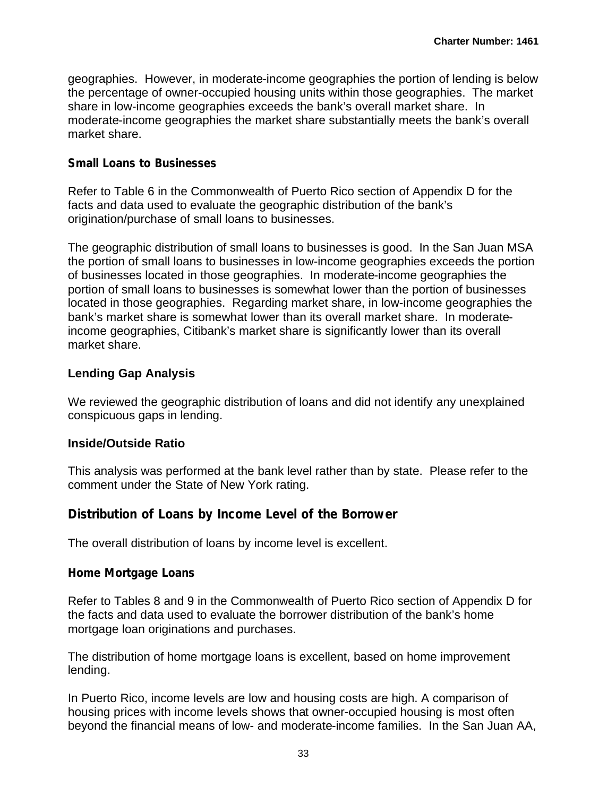geographies. However, in moderate-income geographies the portion of lending is below the percentage of owner-occupied housing units within those geographies. The market share in low-income geographies exceeds the bank's overall market share. In moderate-income geographies the market share substantially meets the bank's overall market share.

#### *Small Loans to Businesses*

Refer to Table 6 in the Commonwealth of Puerto Rico section of Appendix D for the facts and data used to evaluate the geographic distribution of the bank's origination/purchase of small loans to businesses.

The geographic distribution of small loans to businesses is good. In the San Juan MSA the portion of small loans to businesses in low-income geographies exceeds the portion of businesses located in those geographies. In moderate-income geographies the portion of small loans to businesses is somewhat lower than the portion of businesses located in those geographies. Regarding market share, in low-income geographies the bank's market share is somewhat lower than its overall market share. In moderateincome geographies, Citibank's market share is significantly lower than its overall market share.

#### **Lending Gap Analysis**

We reviewed the geographic distribution of loans and did not identify any unexplained conspicuous gaps in lending.

#### **Inside/Outside Ratio**

This analysis was performed at the bank level rather than by state. Please refer to the comment under the State of New York rating.

### **Distribution of Loans by Income Level of the Borrower**

The overall distribution of loans by income level is excellent.

#### *Home Mortgage Loans*

Refer to Tables 8 and 9 in the Commonwealth of Puerto Rico section of Appendix D for the facts and data used to evaluate the borrower distribution of the bank's home mortgage loan originations and purchases.

The distribution of home mortgage loans is excellent, based on home improvement lending.

In Puerto Rico, income levels are low and housing costs are high. A comparison of housing prices with income levels shows that owner-occupied housing is most often beyond the financial means of low- and moderate-income families. In the San Juan AA,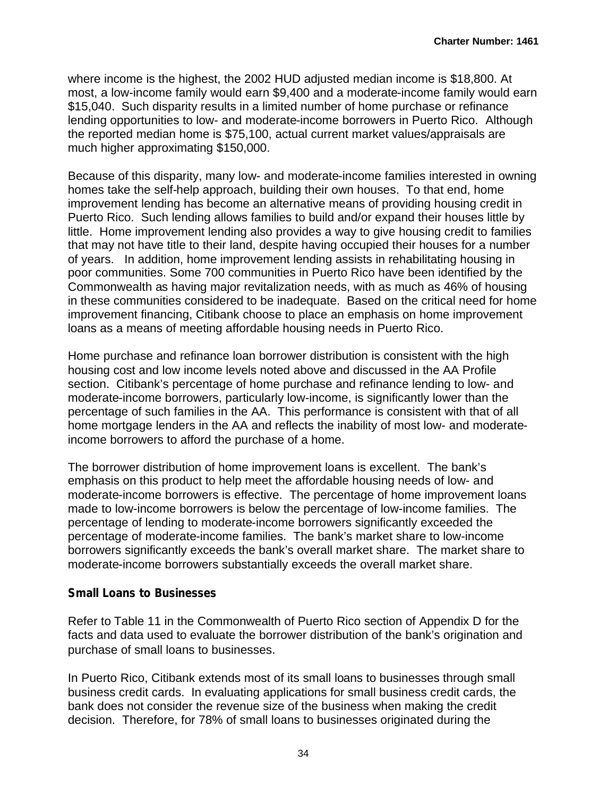where income is the highest, the 2002 HUD adjusted median income is \$18,800. At most, a low-income family would earn \$9,400 and a moderate-income family would earn \$15,040. Such disparity results in a limited number of home purchase or refinance lending opportunities to low- and moderate-income borrowers in Puerto Rico. Although the reported median home is \$75,100, actual current market values/appraisals are much higher approximating \$150,000.

Because of this disparity, many low- and moderate-income families interested in owning homes take the self-help approach, building their own houses. To that end, home improvement lending has become an alternative means of providing housing credit in Puerto Rico. Such lending allows families to build and/or expand their houses little by little. Home improvement lending also provides a way to give housing credit to families that may not have title to their land, despite having occupied their houses for a number of years. In addition, home improvement lending assists in rehabilitating housing in poor communities. Some 700 communities in Puerto Rico have been identified by the Commonwealth as having major revitalization needs, with as much as 46% of housing in these communities considered to be inadequate. Based on the critical need for home improvement financing, Citibank choose to place an emphasis on home improvement loans as a means of meeting affordable housing needs in Puerto Rico.

Home purchase and refinance loan borrower distribution is consistent with the high housing cost and low income levels noted above and discussed in the AA Profile section. Citibank's percentage of home purchase and refinance lending to low- and moderate-income borrowers, particularly low-income, is significantly lower than the percentage of such families in the AA. This performance is consistent with that of all home mortgage lenders in the AA and reflects the inability of most low- and moderateincome borrowers to afford the purchase of a home.

The borrower distribution of home improvement loans is excellent. The bank's emphasis on this product to help meet the affordable housing needs of low- and moderate-income borrowers is effective. The percentage of home improvement loans made to low-income borrowers is below the percentage of low-income families. The percentage of lending to moderate-income borrowers significantly exceeded the percentage of moderate-income families. The bank's market share to low-income borrowers significantly exceeds the bank's overall market share. The market share to moderate-income borrowers substantially exceeds the overall market share.

#### *Small Loans to Businesses*

Refer to Table 11 in the Commonwealth of Puerto Rico section of Appendix D for the facts and data used to evaluate the borrower distribution of the bank's origination and purchase of small loans to businesses.

In Puerto Rico, Citibank extends most of its small loans to businesses through small business credit cards. In evaluating applications for small business credit cards, the bank does not consider the revenue size of the business when making the credit decision. Therefore, for 78% of small loans to businesses originated during the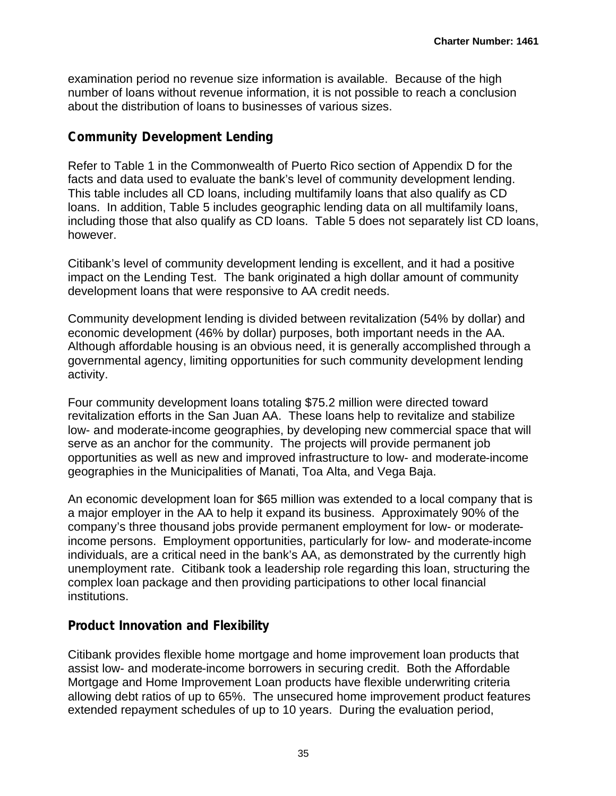examination period no revenue size information is available. Because of the high number of loans without revenue information, it is not possible to reach a conclusion about the distribution of loans to businesses of various sizes.

### **Community Development Lending**

Refer to Table 1 in the Commonwealth of Puerto Rico section of Appendix D for the facts and data used to evaluate the bank's level of community development lending. This table includes all CD loans, including multifamily loans that also qualify as CD loans. In addition, Table 5 includes geographic lending data on all multifamily loans, including those that also qualify as CD loans. Table 5 does not separately list CD loans, however.

Citibank's level of community development lending is excellent, and it had a positive impact on the Lending Test. The bank originated a high dollar amount of community development loans that were responsive to AA credit needs.

Community development lending is divided between revitalization (54% by dollar) and economic development (46% by dollar) purposes, both important needs in the AA. Although affordable housing is an obvious need, it is generally accomplished through a governmental agency, limiting opportunities for such community development lending activity.

Four community development loans totaling \$75.2 million were directed toward revitalization efforts in the San Juan AA. These loans help to revitalize and stabilize low- and moderate-income geographies, by developing new commercial space that will serve as an anchor for the community. The projects will provide permanent job opportunities as well as new and improved infrastructure to low- and moderate-income geographies in the Municipalities of Manati, Toa Alta, and Vega Baja.

An economic development loan for \$65 million was extended to a local company that is a major employer in the AA to help it expand its business. Approximately 90% of the company's three thousand jobs provide permanent employment for low- or moderateincome persons. Employment opportunities, particularly for low- and moderate-income individuals, are a critical need in the bank's AA, as demonstrated by the currently high unemployment rate. Citibank took a leadership role regarding this loan, structuring the complex loan package and then providing participations to other local financial institutions.

## **Product Innovation and Flexibility**

Citibank provides flexible home mortgage and home improvement loan products that assist low- and moderate-income borrowers in securing credit. Both the Affordable Mortgage and Home Improvement Loan products have flexible underwriting criteria allowing debt ratios of up to 65%. The unsecured home improvement product features extended repayment schedules of up to 10 years. During the evaluation period,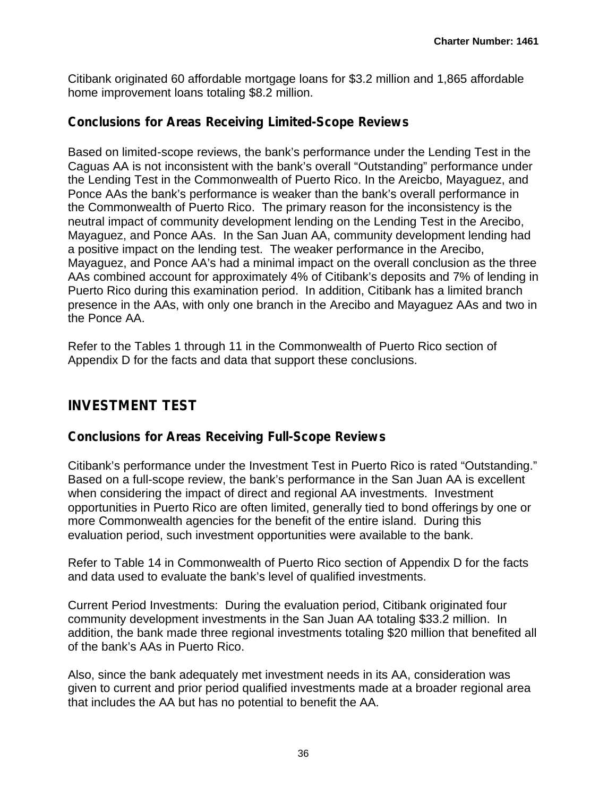Citibank originated 60 affordable mortgage loans for \$3.2 million and 1,865 affordable home improvement loans totaling \$8.2 million.

### **Conclusions for Areas Receiving Limited-Scope Reviews**

Based on limited-scope reviews, the bank's performance under the Lending Test in the Caguas AA is not inconsistent with the bank's overall "Outstanding" performance under the Lending Test in the Commonwealth of Puerto Rico. In the Areicbo, Mayaguez, and Ponce AAs the bank's performance is weaker than the bank's overall performance in the Commonwealth of Puerto Rico. The primary reason for the inconsistency is the neutral impact of community development lending on the Lending Test in the Arecibo, Mayaguez, and Ponce AAs. In the San Juan AA, community development lending had a positive impact on the lending test. The weaker performance in the Arecibo, Mayaguez, and Ponce AA's had a minimal impact on the overall conclusion as the three AAs combined account for approximately 4% of Citibank's deposits and 7% of lending in Puerto Rico during this examination period. In addition, Citibank has a limited branch presence in the AAs, with only one branch in the Arecibo and Mayaguez AAs and two in the Ponce AA.

Refer to the Tables 1 through 11 in the Commonwealth of Puerto Rico section of Appendix D for the facts and data that support these conclusions.

## **INVESTMENT TEST**

### **Conclusions for Areas Receiving Full-Scope Reviews**

Citibank's performance under the Investment Test in Puerto Rico is rated "Outstanding." Based on a full-scope review, the bank's performance in the San Juan AA is excellent when considering the impact of direct and regional AA investments. Investment opportunities in Puerto Rico are often limited, generally tied to bond offerings by one or more Commonwealth agencies for the benefit of the entire island. During this evaluation period, such investment opportunities were available to the bank.

Refer to Table 14 in Commonwealth of Puerto Rico section of Appendix D for the facts and data used to evaluate the bank's level of qualified investments.

Current Period Investments: During the evaluation period, Citibank originated four community development investments in the San Juan AA totaling \$33.2 million. In addition, the bank made three regional investments totaling \$20 million that benefited all of the bank's AAs in Puerto Rico.

Also, since the bank adequately met investment needs in its AA, consideration was given to current and prior period qualified investments made at a broader regional area that includes the AA but has no potential to benefit the AA.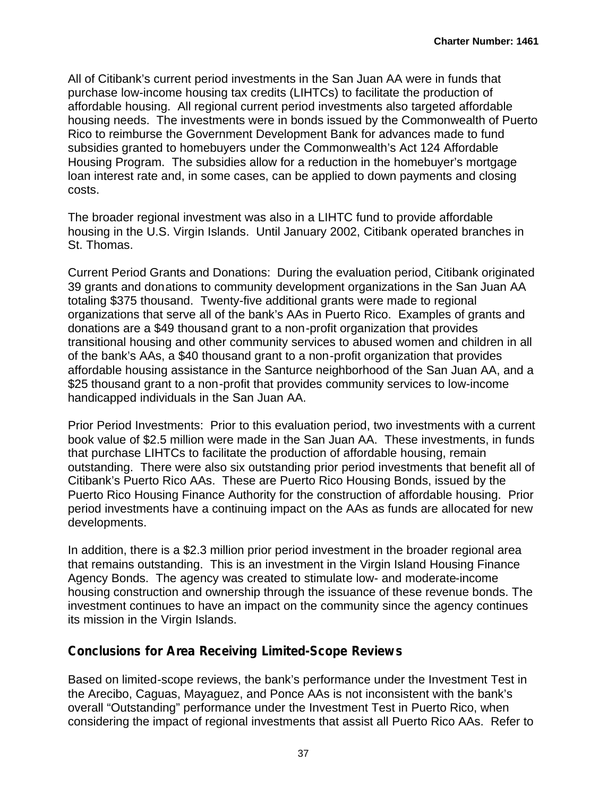All of Citibank's current period investments in the San Juan AA were in funds that purchase low-income housing tax credits (LIHTCs) to facilitate the production of affordable housing. All regional current period investments also targeted affordable housing needs. The investments were in bonds issued by the Commonwealth of Puerto Rico to reimburse the Government Development Bank for advances made to fund subsidies granted to homebuyers under the Commonwealth's Act 124 Affordable Housing Program. The subsidies allow for a reduction in the homebuyer's mortgage loan interest rate and, in some cases, can be applied to down payments and closing costs.

The broader regional investment was also in a LIHTC fund to provide affordable housing in the U.S. Virgin Islands. Until January 2002, Citibank operated branches in St. Thomas.

Current Period Grants and Donations: During the evaluation period, Citibank originated 39 grants and donations to community development organizations in the San Juan AA totaling \$375 thousand. Twenty-five additional grants were made to regional organizations that serve all of the bank's AAs in Puerto Rico. Examples of grants and donations are a \$49 thousand grant to a non-profit organization that provides transitional housing and other community services to abused women and children in all of the bank's AAs, a \$40 thousand grant to a non-profit organization that provides affordable housing assistance in the Santurce neighborhood of the San Juan AA, and a \$25 thousand grant to a non-profit that provides community services to low-income handicapped individuals in the San Juan AA.

Prior Period Investments: Prior to this evaluation period, two investments with a current book value of \$2.5 million were made in the San Juan AA. These investments, in funds that purchase LIHTCs to facilitate the production of affordable housing, remain outstanding. There were also six outstanding prior period investments that benefit all of Citibank's Puerto Rico AAs. These are Puerto Rico Housing Bonds, issued by the Puerto Rico Housing Finance Authority for the construction of affordable housing. Prior period investments have a continuing impact on the AAs as funds are allocated for new developments.

In addition, there is a \$2.3 million prior period investment in the broader regional area that remains outstanding. This is an investment in the Virgin Island Housing Finance Agency Bonds. The agency was created to stimulate low- and moderate-income housing construction and ownership through the issuance of these revenue bonds. The investment continues to have an impact on the community since the agency continues its mission in the Virgin Islands.

## **Conclusions for Area Receiving Limited-Scope Reviews**

Based on limited-scope reviews, the bank's performance under the Investment Test in the Arecibo, Caguas, Mayaguez, and Ponce AAs is not inconsistent with the bank's overall "Outstanding" performance under the Investment Test in Puerto Rico, when considering the impact of regional investments that assist all Puerto Rico AAs. Refer to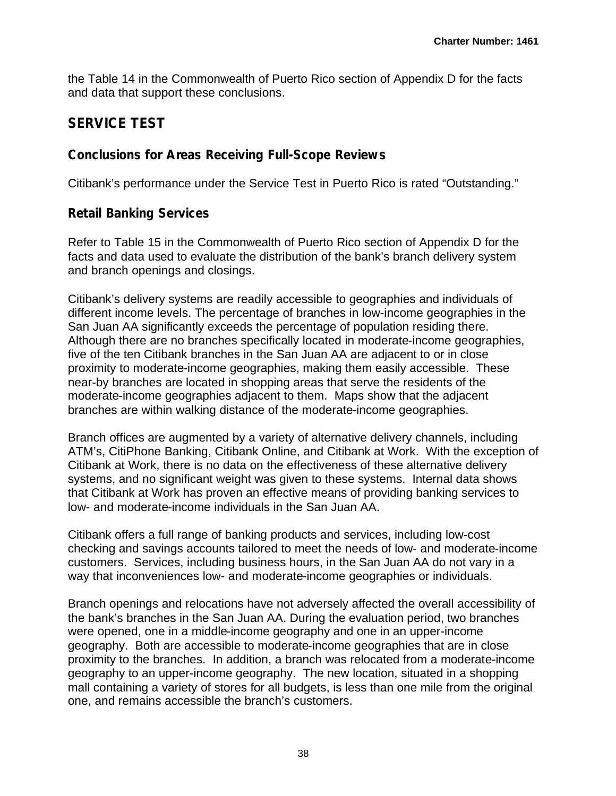the Table 14 in the Commonwealth of Puerto Rico section of Appendix D for the facts and data that support these conclusions.

## **SERVICE TEST**

## **Conclusions for Areas Receiving Full-Scope Reviews**

Citibank's performance under the Service Test in Puerto Rico is rated "Outstanding."

## **Retail Banking Services**

Refer to Table 15 in the Commonwealth of Puerto Rico section of Appendix D for the facts and data used to evaluate the distribution of the bank's branch delivery system and branch openings and closings.

Citibank's delivery systems are readily accessible to geographies and individuals of different income levels. The percentage of branches in low-income geographies in the San Juan AA significantly exceeds the percentage of population residing there. Although there are no branches specifically located in moderate-income geographies, five of the ten Citibank branches in the San Juan AA are adjacent to or in close proximity to moderate-income geographies, making them easily accessible. These near-by branches are located in shopping areas that serve the residents of the moderate-income geographies adjacent to them. Maps show that the adjacent branches are within walking distance of the moderate-income geographies.

Branch offices are augmented by a variety of alternative delivery channels, including ATM's, CitiPhone Banking, Citibank Online, and Citibank at Work. With the exception of Citibank at Work, there is no data on the effectiveness of these alternative delivery systems, and no significant weight was given to these systems. Internal data shows that Citibank at Work has proven an effective means of providing banking services to low- and moderate-income individuals in the San Juan AA.

Citibank offers a full range of banking products and services, including low-cost checking and savings accounts tailored to meet the needs of low- and moderate-income customers. Services, including business hours, in the San Juan AA do not vary in a way that inconveniences low- and moderate-income geographies or individuals.

Branch openings and relocations have not adversely affected the overall accessibility of the bank's branches in the San Juan AA. During the evaluation period, two branches were opened, one in a middle-income geography and one in an upper-income geography. Both are accessible to moderate-income geographies that are in close proximity to the branches. In addition, a branch was relocated from a moderate-income geography to an upper-income geography. The new location, situated in a shopping mall containing a variety of stores for all budgets, is less than one mile from the original one, and remains accessible the branch's customers.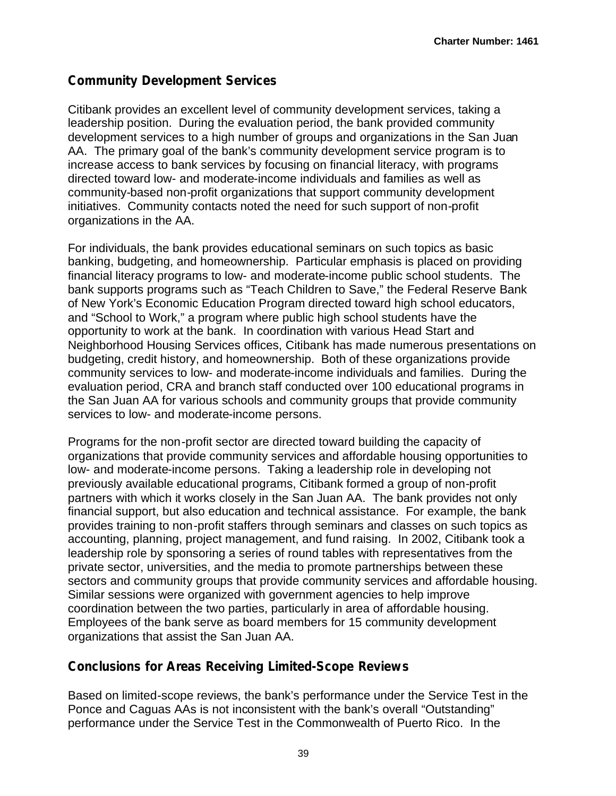## **Community Development Services**

Citibank provides an excellent level of community development services, taking a leadership position. During the evaluation period, the bank provided community development services to a high number of groups and organizations in the San Juan AA. The primary goal of the bank's community development service program is to increase access to bank services by focusing on financial literacy, with programs directed toward low- and moderate-income individuals and families as well as community-based non-profit organizations that support community development initiatives. Community contacts noted the need for such support of non-profit organizations in the AA.

For individuals, the bank provides educational seminars on such topics as basic banking, budgeting, and homeownership. Particular emphasis is placed on providing financial literacy programs to low- and moderate-income public school students. The bank supports programs such as "Teach Children to Save," the Federal Reserve Bank of New York's Economic Education Program directed toward high school educators, and "School to Work," a program where public high school students have the opportunity to work at the bank. In coordination with various Head Start and Neighborhood Housing Services offices, Citibank has made numerous presentations on budgeting, credit history, and homeownership. Both of these organizations provide community services to low- and moderate-income individuals and families. During the evaluation period, CRA and branch staff conducted over 100 educational programs in the San Juan AA for various schools and community groups that provide community services to low- and moderate-income persons.

Programs for the non-profit sector are directed toward building the capacity of organizations that provide community services and affordable housing opportunities to low- and moderate-income persons. Taking a leadership role in developing not previously available educational programs, Citibank formed a group of non-profit partners with which it works closely in the San Juan AA. The bank provides not only financial support, but also education and technical assistance. For example, the bank provides training to non-profit staffers through seminars and classes on such topics as accounting, planning, project management, and fund raising. In 2002, Citibank took a leadership role by sponsoring a series of round tables with representatives from the private sector, universities, and the media to promote partnerships between these sectors and community groups that provide community services and affordable housing. Similar sessions were organized with government agencies to help improve coordination between the two parties, particularly in area of affordable housing. Employees of the bank serve as board members for 15 community development organizations that assist the San Juan AA.

## **Conclusions for Areas Receiving Limited-Scope Reviews**

Based on limited-scope reviews, the bank's performance under the Service Test in the Ponce and Caguas AAs is not inconsistent with the bank's overall "Outstanding" performance under the Service Test in the Commonwealth of Puerto Rico. In the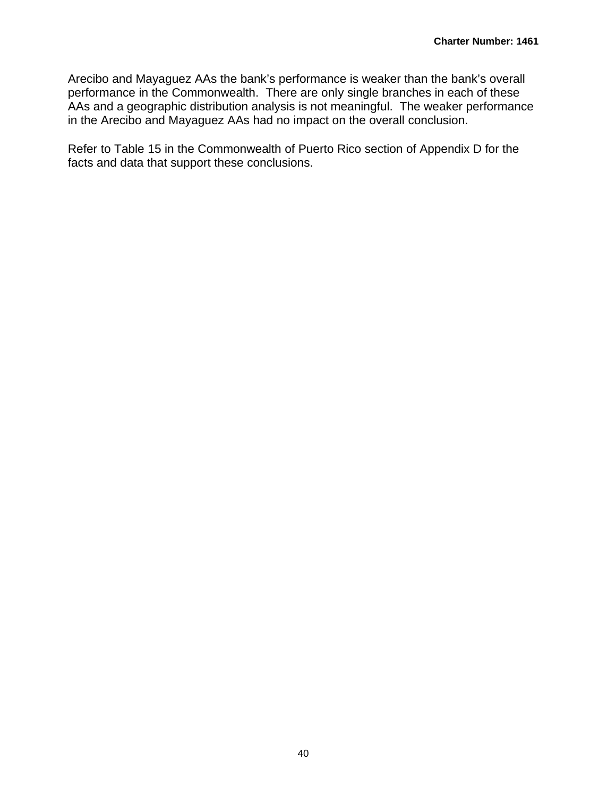Arecibo and Mayaguez AAs the bank's performance is weaker than the bank's overall performance in the Commonwealth. There are only single branches in each of these AAs and a geographic distribution analysis is not meaningful. The weaker performance in the Arecibo and Mayaguez AAs had no impact on the overall conclusion.

Refer to Table 15 in the Commonwealth of Puerto Rico section of Appendix D for the facts and data that support these conclusions.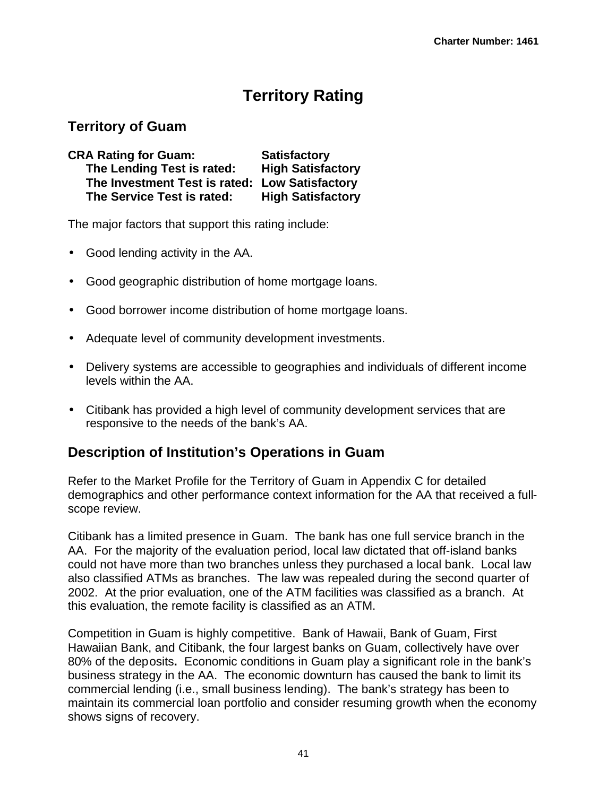# **Territory Rating**

## **Territory of Guam**

| <b>CRA Rating for Guam:</b>                    | <b>Satisfactory</b>      |  |
|------------------------------------------------|--------------------------|--|
| The Lending Test is rated:                     | <b>High Satisfactory</b> |  |
| The Investment Test is rated: Low Satisfactory |                          |  |
| The Service Test is rated:                     | <b>High Satisfactory</b> |  |

The major factors that support this rating include:

- Good lending activity in the AA.
- Good geographic distribution of home mortgage loans.
- Good borrower income distribution of home mortgage loans.
- Adequate level of community development investments.
- Delivery systems are accessible to geographies and individuals of different income levels within the AA.
- Citibank has provided a high level of community development services that are responsive to the needs of the bank's AA.

## **Description of Institution's Operations in Guam**

Refer to the Market Profile for the Territory of Guam in Appendix C for detailed demographics and other performance context information for the AA that received a fullscope review.

Citibank has a limited presence in Guam. The bank has one full service branch in the AA. For the majority of the evaluation period, local law dictated that off-island banks could not have more than two branches unless they purchased a local bank. Local law also classified ATMs as branches. The law was repealed during the second quarter of 2002. At the prior evaluation, one of the ATM facilities was classified as a branch. At this evaluation, the remote facility is classified as an ATM.

Competition in Guam is highly competitive. Bank of Hawaii, Bank of Guam, First Hawaiian Bank, and Citibank, the four largest banks on Guam, collectively have over 80% of the deposits**.** Economic conditions in Guam play a significant role in the bank's business strategy in the AA. The economic downturn has caused the bank to limit its commercial lending (i.e., small business lending). The bank's strategy has been to maintain its commercial loan portfolio and consider resuming growth when the economy shows signs of recovery.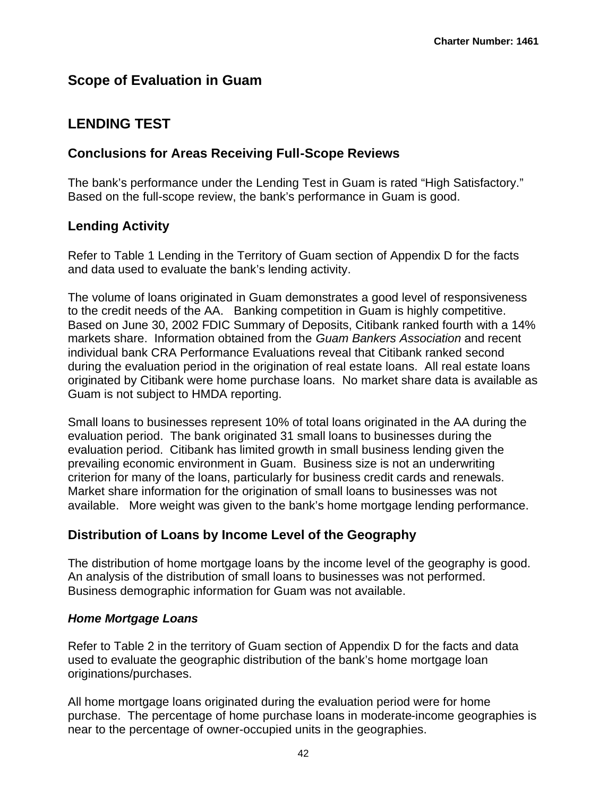## **Scope of Evaluation in Guam**

## **LENDING TEST**

## **Conclusions for Areas Receiving Full-Scope Reviews**

The bank's performance under the Lending Test in Guam is rated "High Satisfactory." Based on the full-scope review, the bank's performance in Guam is good.

## **Lending Activity**

Refer to Table 1 Lending in the Territory of Guam section of Appendix D for the facts and data used to evaluate the bank's lending activity.

The volume of loans originated in Guam demonstrates a good level of responsiveness to the credit needs of the AA. Banking competition in Guam is highly competitive. Based on June 30, 2002 FDIC Summary of Deposits, Citibank ranked fourth with a 14% markets share. Information obtained from the *Guam Bankers Association* and recent individual bank CRA Performance Evaluations reveal that Citibank ranked second during the evaluation period in the origination of real estate loans. All real estate loans originated by Citibank were home purchase loans. No market share data is available as Guam is not subject to HMDA reporting.

Small loans to businesses represent 10% of total loans originated in the AA during the evaluation period. The bank originated 31 small loans to businesses during the evaluation period. Citibank has limited growth in small business lending given the prevailing economic environment in Guam. Business size is not an underwriting criterion for many of the loans, particularly for business credit cards and renewals. Market share information for the origination of small loans to businesses was not available. More weight was given to the bank's home mortgage lending performance.

## **Distribution of Loans by Income Level of the Geography**

The distribution of home mortgage loans by the income level of the geography is good. An analysis of the distribution of small loans to businesses was not performed. Business demographic information for Guam was not available.

## *Home Mortgage Loans*

Refer to Table 2 in the territory of Guam section of Appendix D for the facts and data used to evaluate the geographic distribution of the bank's home mortgage loan originations/purchases.

All home mortgage loans originated during the evaluation period were for home purchase. The percentage of home purchase loans in moderate-income geographies is near to the percentage of owner-occupied units in the geographies.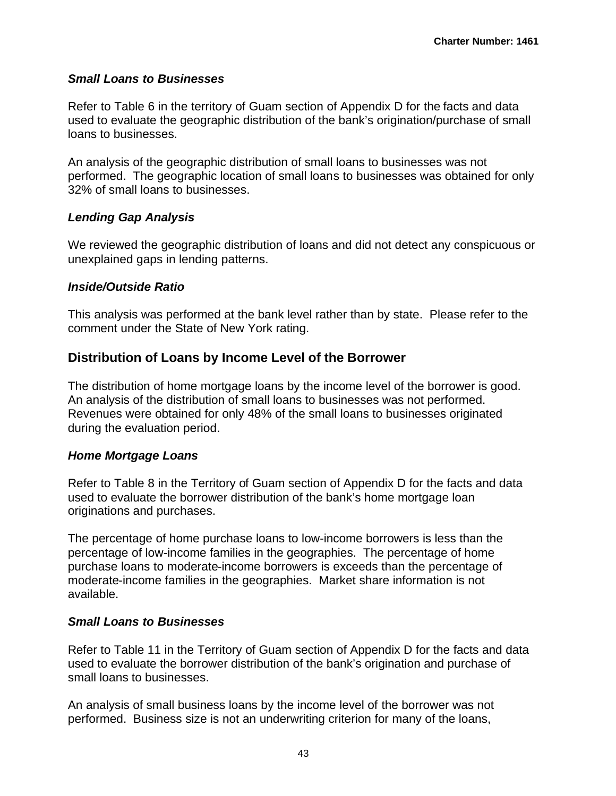### *Small Loans to Businesses*

Refer to Table 6 in the territory of Guam section of Appendix D for the facts and data used to evaluate the geographic distribution of the bank's origination/purchase of small loans to businesses.

An analysis of the geographic distribution of small loans to businesses was not performed. The geographic location of small loans to businesses was obtained for only 32% of small loans to businesses.

### *Lending Gap Analysis*

We reviewed the geographic distribution of loans and did not detect any conspicuous or unexplained gaps in lending patterns.

### *Inside/Outside Ratio*

This analysis was performed at the bank level rather than by state. Please refer to the comment under the State of New York rating.

### **Distribution of Loans by Income Level of the Borrower**

The distribution of home mortgage loans by the income level of the borrower is good. An analysis of the distribution of small loans to businesses was not performed. Revenues were obtained for only 48% of the small loans to businesses originated during the evaluation period.

### *Home Mortgage Loans*

Refer to Table 8 in the Territory of Guam section of Appendix D for the facts and data used to evaluate the borrower distribution of the bank's home mortgage loan originations and purchases.

The percentage of home purchase loans to low-income borrowers is less than the percentage of low-income families in the geographies. The percentage of home purchase loans to moderate-income borrowers is exceeds than the percentage of moderate-income families in the geographies. Market share information is not available.

### *Small Loans to Businesses*

Refer to Table 11 in the Territory of Guam section of Appendix D for the facts and data used to evaluate the borrower distribution of the bank's origination and purchase of small loans to businesses.

An analysis of small business loans by the income level of the borrower was not performed. Business size is not an underwriting criterion for many of the loans,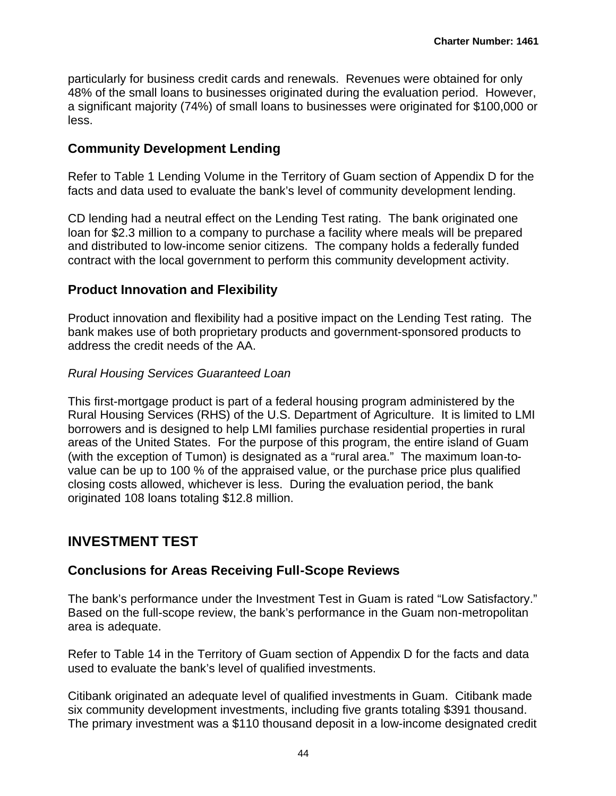particularly for business credit cards and renewals. Revenues were obtained for only 48% of the small loans to businesses originated during the evaluation period. However, a significant majority (74%) of small loans to businesses were originated for \$100,000 or less.

### **Community Development Lending**

Refer to Table 1 Lending Volume in the Territory of Guam section of Appendix D for the facts and data used to evaluate the bank's level of community development lending.

CD lending had a neutral effect on the Lending Test rating. The bank originated one loan for \$2.3 million to a company to purchase a facility where meals will be prepared and distributed to low-income senior citizens. The company holds a federally funded contract with the local government to perform this community development activity.

### **Product Innovation and Flexibility**

Product innovation and flexibility had a positive impact on the Lending Test rating. The bank makes use of both proprietary products and government-sponsored products to address the credit needs of the AA.

### *Rural Housing Services Guaranteed Loan*

This first-mortgage product is part of a federal housing program administered by the Rural Housing Services (RHS) of the U.S. Department of Agriculture. It is limited to LMI borrowers and is designed to help LMI families purchase residential properties in rural areas of the United States. For the purpose of this program, the entire island of Guam (with the exception of Tumon) is designated as a "rural area." The maximum loan-tovalue can be up to 100 % of the appraised value, or the purchase price plus qualified closing costs allowed, whichever is less. During the evaluation period, the bank originated 108 loans totaling \$12.8 million.

## **INVESTMENT TEST**

### **Conclusions for Areas Receiving Full-Scope Reviews**

The bank's performance under the Investment Test in Guam is rated "Low Satisfactory." Based on the full-scope review, the bank's performance in the Guam non-metropolitan area is adequate.

Refer to Table 14 in the Territory of Guam section of Appendix D for the facts and data used to evaluate the bank's level of qualified investments.

Citibank originated an adequate level of qualified investments in Guam. Citibank made six community development investments, including five grants totaling \$391 thousand. The primary investment was a \$110 thousand deposit in a low-income designated credit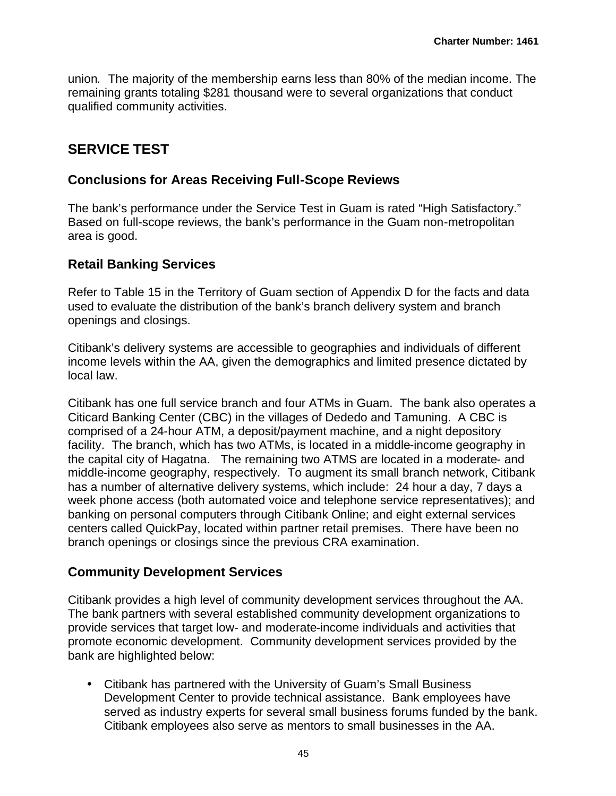union*.* The majority of the membership earns less than 80% of the median income. The remaining grants totaling \$281 thousand were to several organizations that conduct qualified community activities.

## **SERVICE TEST**

### **Conclusions for Areas Receiving Full-Scope Reviews**

The bank's performance under the Service Test in Guam is rated "High Satisfactory." Based on full-scope reviews, the bank's performance in the Guam non-metropolitan area is good.

## **Retail Banking Services**

Refer to Table 15 in the Territory of Guam section of Appendix D for the facts and data used to evaluate the distribution of the bank's branch delivery system and branch openings and closings.

Citibank's delivery systems are accessible to geographies and individuals of different income levels within the AA, given the demographics and limited presence dictated by local law.

Citibank has one full service branch and four ATMs in Guam. The bank also operates a Citicard Banking Center (CBC) in the villages of Dededo and Tamuning. A CBC is comprised of a 24-hour ATM, a deposit/payment machine, and a night depository facility. The branch, which has two ATMs, is located in a middle-income geography in the capital city of Hagatna. The remaining two ATMS are located in a moderate- and middle-income geography, respectively. To augment its small branch network, Citibank has a number of alternative delivery systems, which include: 24 hour a day, 7 days a week phone access (both automated voice and telephone service representatives); and banking on personal computers through Citibank Online; and eight external services centers called QuickPay, located within partner retail premises. There have been no branch openings or closings since the previous CRA examination.

## **Community Development Services**

Citibank provides a high level of community development services throughout the AA. The bank partners with several established community development organizations to provide services that target low- and moderate-income individuals and activities that promote economic development. Community development services provided by the bank are highlighted below:

• Citibank has partnered with the University of Guam's Small Business Development Center to provide technical assistance. Bank employees have served as industry experts for several small business forums funded by the bank. Citibank employees also serve as mentors to small businesses in the AA.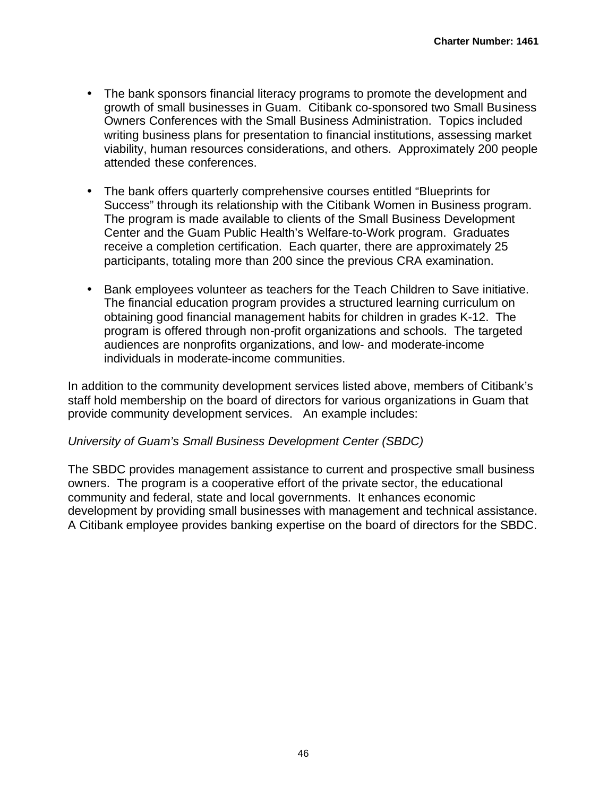- The bank sponsors financial literacy programs to promote the development and growth of small businesses in Guam. Citibank co-sponsored two Small Business Owners Conferences with the Small Business Administration. Topics included writing business plans for presentation to financial institutions, assessing market viability, human resources considerations, and others. Approximately 200 people attended these conferences.
- The bank offers quarterly comprehensive courses entitled "Blueprints for Success" through its relationship with the Citibank Women in Business program. The program is made available to clients of the Small Business Development Center and the Guam Public Health's Welfare-to-Work program. Graduates receive a completion certification. Each quarter, there are approximately 25 participants, totaling more than 200 since the previous CRA examination.
- Bank employees volunteer as teachers for the Teach Children to Save initiative. The financial education program provides a structured learning curriculum on obtaining good financial management habits for children in grades K-12. The program is offered through non-profit organizations and schools. The targeted audiences are nonprofits organizations, and low- and moderate-income individuals in moderate-income communities.

In addition to the community development services listed above, members of Citibank's staff hold membership on the board of directors for various organizations in Guam that provide community development services. An example includes:

### *University of Guam's Small Business Development Center (SBDC)*

The SBDC provides management assistance to current and prospective small business owners. The program is a cooperative effort of the private sector, the educational community and federal, state and local governments. It enhances economic development by providing small businesses with management and technical assistance. A Citibank employee provides banking expertise on the board of directors for the SBDC.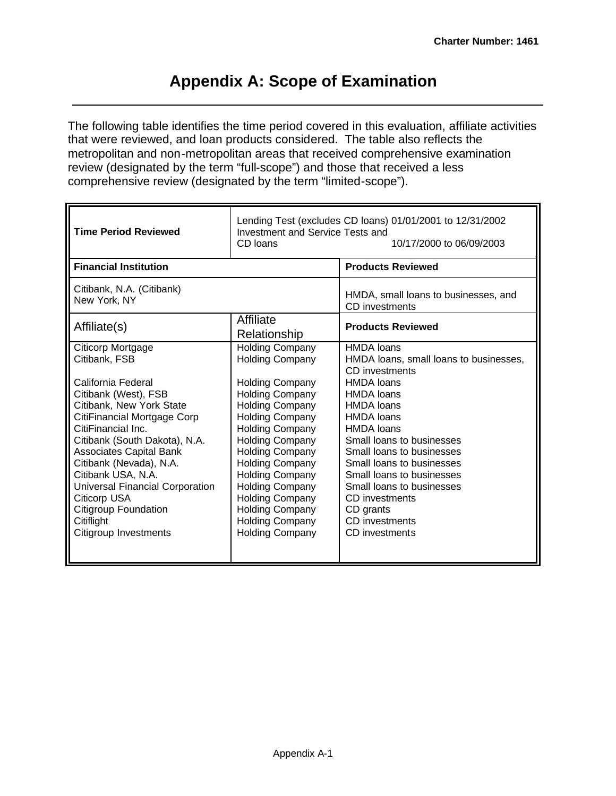## **Appendix A: Scope of Examination**

The following table identifies the time period covered in this evaluation, affiliate activities that were reviewed, and loan products considered. The table also reflects the metropolitan and non-metropolitan areas that received comprehensive examination review (designated by the term "full-scope") and those that received a less comprehensive review (designated by the term "limited-scope").

| <b>Time Period Reviewed</b>                                                                                                                                                                                                                                                                                                                                                     | Investment and Service Tests and<br>CD loans                                                                                                                                                                                                                                                                                                                             | Lending Test (excludes CD loans) 01/01/2001 to 12/31/2002<br>10/17/2000 to 06/09/2003                                                                                                                                                                                                                                            |  |  |  |  |  |
|---------------------------------------------------------------------------------------------------------------------------------------------------------------------------------------------------------------------------------------------------------------------------------------------------------------------------------------------------------------------------------|--------------------------------------------------------------------------------------------------------------------------------------------------------------------------------------------------------------------------------------------------------------------------------------------------------------------------------------------------------------------------|----------------------------------------------------------------------------------------------------------------------------------------------------------------------------------------------------------------------------------------------------------------------------------------------------------------------------------|--|--|--|--|--|
| <b>Financial Institution</b>                                                                                                                                                                                                                                                                                                                                                    |                                                                                                                                                                                                                                                                                                                                                                          | <b>Products Reviewed</b>                                                                                                                                                                                                                                                                                                         |  |  |  |  |  |
| Citibank, N.A. (Citibank)<br>New York, NY                                                                                                                                                                                                                                                                                                                                       |                                                                                                                                                                                                                                                                                                                                                                          | HMDA, small loans to businesses, and<br><b>CD</b> investments                                                                                                                                                                                                                                                                    |  |  |  |  |  |
| Affiliate(s)                                                                                                                                                                                                                                                                                                                                                                    | Affiliate<br>Relationship                                                                                                                                                                                                                                                                                                                                                | <b>Products Reviewed</b>                                                                                                                                                                                                                                                                                                         |  |  |  |  |  |
| Citicorp Mortgage<br>Citibank, FSB                                                                                                                                                                                                                                                                                                                                              | <b>Holding Company</b><br><b>Holding Company</b>                                                                                                                                                                                                                                                                                                                         | <b>HMDA</b> loans<br>HMDA loans, small loans to businesses,<br>CD investments                                                                                                                                                                                                                                                    |  |  |  |  |  |
| California Federal<br>Citibank (West), FSB<br>Citibank, New York State<br>CitiFinancial Mortgage Corp<br>CitiFinancial Inc.<br>Citibank (South Dakota), N.A.<br><b>Associates Capital Bank</b><br>Citibank (Nevada), N.A.<br>Citibank USA, N.A.<br>Universal Financial Corporation<br><b>Citicorp USA</b><br><b>Citigroup Foundation</b><br>Citiflight<br>Citigroup Investments | <b>Holding Company</b><br><b>Holding Company</b><br><b>Holding Company</b><br><b>Holding Company</b><br><b>Holding Company</b><br><b>Holding Company</b><br><b>Holding Company</b><br><b>Holding Company</b><br><b>Holding Company</b><br><b>Holding Company</b><br><b>Holding Company</b><br><b>Holding Company</b><br><b>Holding Company</b><br><b>Holding Company</b> | <b>HMDA</b> loans<br><b>HMDA</b> loans<br><b>HMDA</b> loans<br><b>HMDA</b> loans<br><b>HMDA</b> loans<br>Small loans to businesses<br>Small loans to businesses<br>Small loans to businesses<br>Small loans to businesses<br>Small loans to businesses<br>CD investments<br>CD grants<br><b>CD</b> investments<br>CD investments |  |  |  |  |  |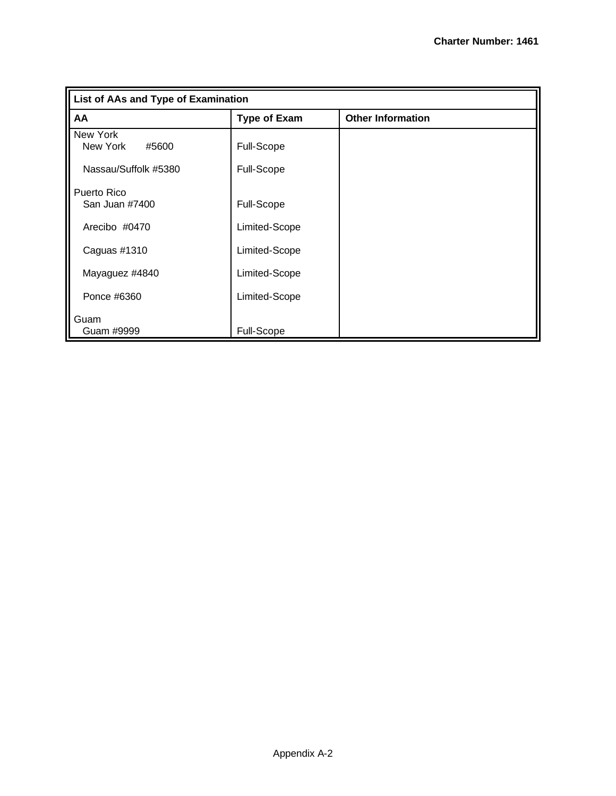| List of AAs and Type of Examination |                     |                          |
|-------------------------------------|---------------------|--------------------------|
| AA                                  | <b>Type of Exam</b> | <b>Other Information</b> |
| New York<br>New York<br>#5600       | <b>Full-Scope</b>   |                          |
| Nassau/Suffolk #5380                | <b>Full-Scope</b>   |                          |
| Puerto Rico<br>San Juan #7400       | Full-Scope          |                          |
| Arecibo #0470                       | Limited-Scope       |                          |
| Caguas #1310                        | Limited-Scope       |                          |
| Mayaguez #4840                      | Limited-Scope       |                          |
| Ponce #6360                         | Limited-Scope       |                          |
| Guam<br>Guam #9999                  | Full-Scope          |                          |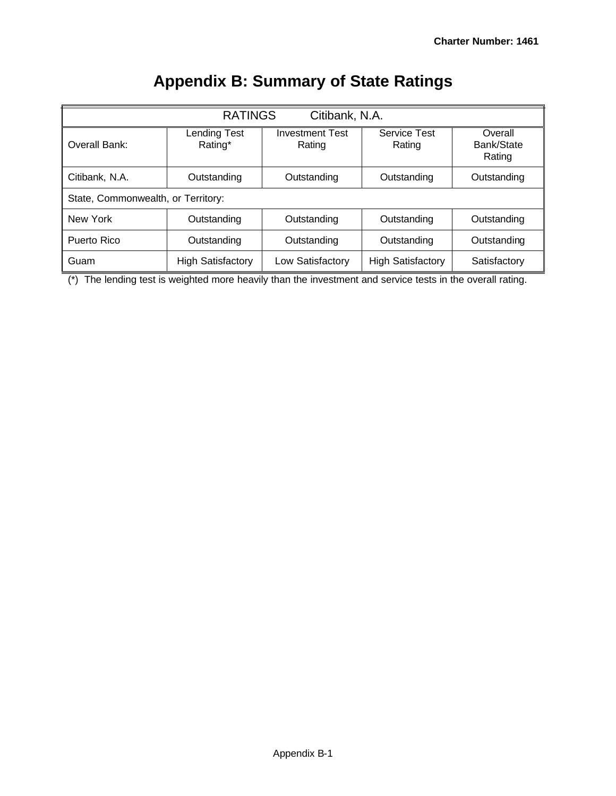|                                    | <b>RATINGS</b><br>Citibank, N.A. |                                  |                          |                                 |  |  |  |  |  |  |  |  |  |
|------------------------------------|----------------------------------|----------------------------------|--------------------------|---------------------------------|--|--|--|--|--|--|--|--|--|
| Overall Bank:                      | <b>Lending Test</b><br>Rating*   | <b>Investment Test</b><br>Rating | Service Test<br>Rating   | Overall<br>Bank/State<br>Rating |  |  |  |  |  |  |  |  |  |
| Citibank, N.A.                     | Outstanding                      | Outstanding                      | Outstanding              | Outstanding                     |  |  |  |  |  |  |  |  |  |
| State, Commonwealth, or Territory: |                                  |                                  |                          |                                 |  |  |  |  |  |  |  |  |  |
| New York                           | Outstanding                      | Outstanding                      | Outstanding              | Outstanding                     |  |  |  |  |  |  |  |  |  |
| Puerto Rico                        | Outstanding                      | Outstanding                      | Outstanding              | Outstanding                     |  |  |  |  |  |  |  |  |  |
| Guam                               | <b>High Satisfactory</b>         | Low Satisfactory                 | <b>High Satisfactory</b> | Satisfactory                    |  |  |  |  |  |  |  |  |  |

# **Appendix B: Summary of State Ratings**

 $\overline{(*)}$  The lending test is weighted more heavily than the investment and service tests in the overall rating.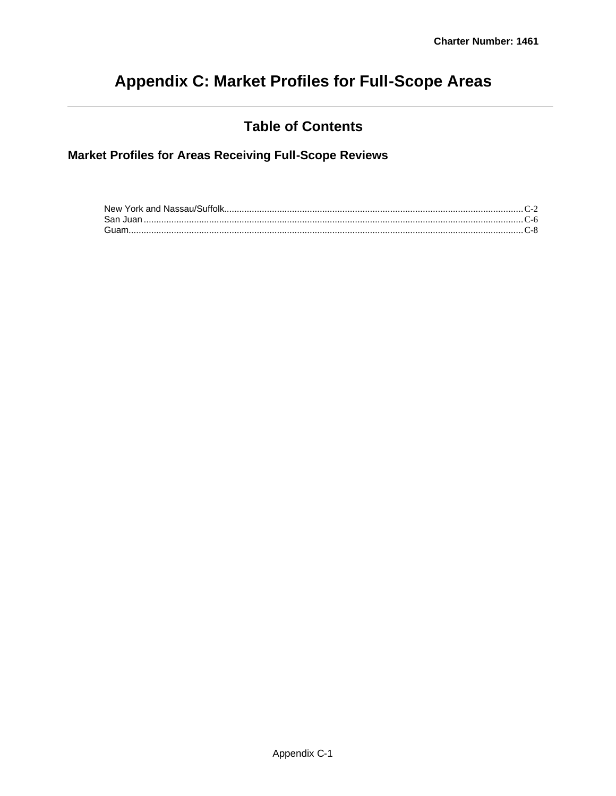# **Appendix C: Market Profiles for Full-Scope Areas**

## **Table of Contents**

**Market Profiles for Areas Receiving Full-Scope Reviews**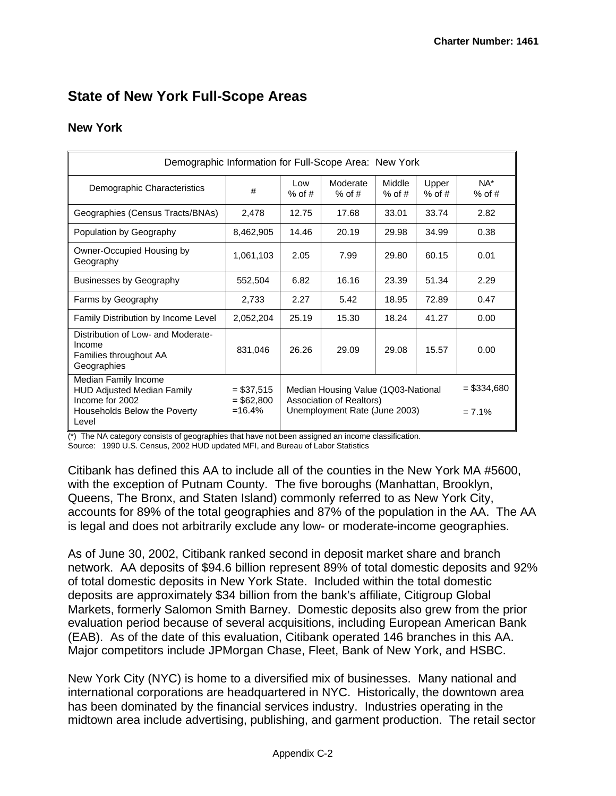## **State of New York Full-Scope Areas**

### **New York**

|                                                                                                                       | Demographic Information for Full-Scope Area: New York |                                                                                                  |                      |                           |                   |                 |  |  |  |  |  |  |  |  |
|-----------------------------------------------------------------------------------------------------------------------|-------------------------------------------------------|--------------------------------------------------------------------------------------------------|----------------------|---------------------------|-------------------|-----------------|--|--|--|--|--|--|--|--|
| Demographic Characteristics                                                                                           | #                                                     | Low<br>% of $#$                                                                                  | Moderate<br>$%$ of # | Middle<br>$%$ of #        | Upper<br>$%$ of # | NA*<br>$%$ of # |  |  |  |  |  |  |  |  |
| Geographies (Census Tracts/BNAs)                                                                                      | 2,478                                                 | 12.75                                                                                            | 17.68                | 33.01                     | 33.74             | 2.82            |  |  |  |  |  |  |  |  |
| Population by Geography                                                                                               | 8,462,905                                             | 14.46                                                                                            | 20.19                | 29.98                     | 34.99             | 0.38            |  |  |  |  |  |  |  |  |
| Owner-Occupied Housing by<br>Geography                                                                                | 1,061,103                                             | 2.05                                                                                             | 7.99                 | 29.80                     | 60.15             | 0.01            |  |  |  |  |  |  |  |  |
| <b>Businesses by Geography</b>                                                                                        | 552,504                                               | 6.82                                                                                             | 16.16                | 23.39                     | 51.34             | 2.29            |  |  |  |  |  |  |  |  |
| Farms by Geography                                                                                                    | 2,733                                                 | 2.27                                                                                             | 5.42                 | 18.95                     | 72.89             | 0.47            |  |  |  |  |  |  |  |  |
| Family Distribution by Income Level                                                                                   | 2,052,204                                             | 25.19                                                                                            | 15.30                | 18.24                     | 41.27             | 0.00            |  |  |  |  |  |  |  |  |
| Distribution of Low- and Moderate-<br>Income<br>Families throughout AA<br>Geographies                                 | 831,046                                               | 26.26                                                                                            | 29.09                | 29.08                     | 15.57             | 0.00            |  |  |  |  |  |  |  |  |
| Median Family Income<br><b>HUD Adjusted Median Family</b><br>Income for 2002<br>Households Below the Poverty<br>Level | $= $37,515$<br>$= $62,800$<br>$=16.4%$                | Median Housing Value (1Q03-National<br>Association of Realtors)<br>Unemployment Rate (June 2003) |                      | $=$ \$334,680<br>$= 7.1%$ |                   |                 |  |  |  |  |  |  |  |  |

(\*) The NA category consists of geographies that have not been assigned an income classification.

Source: 1990 U.S. Census, 2002 HUD updated MFI, and Bureau of Labor Statistics

Citibank has defined this AA to include all of the counties in the New York MA #5600, with the exception of Putnam County. The five boroughs (Manhattan, Brooklyn, Queens, The Bronx, and Staten Island) commonly referred to as New York City, accounts for 89% of the total geographies and 87% of the population in the AA. The AA is legal and does not arbitrarily exclude any low- or moderate-income geographies.

As of June 30, 2002, Citibank ranked second in deposit market share and branch network. AA deposits of \$94.6 billion represent 89% of total domestic deposits and 92% of total domestic deposits in New York State. Included within the total domestic deposits are approximately \$34 billion from the bank's affiliate, Citigroup Global Markets, formerly Salomon Smith Barney. Domestic deposits also grew from the prior evaluation period because of several acquisitions, including European American Bank (EAB). As of the date of this evaluation, Citibank operated 146 branches in this AA. Major competitors include JPMorgan Chase, Fleet, Bank of New York, and HSBC.

New York City (NYC) is home to a diversified mix of businesses. Many national and international corporations are headquartered in NYC. Historically, the downtown area has been dominated by the financial services industry. Industries operating in the midtown area include advertising, publishing, and garment production. The retail sector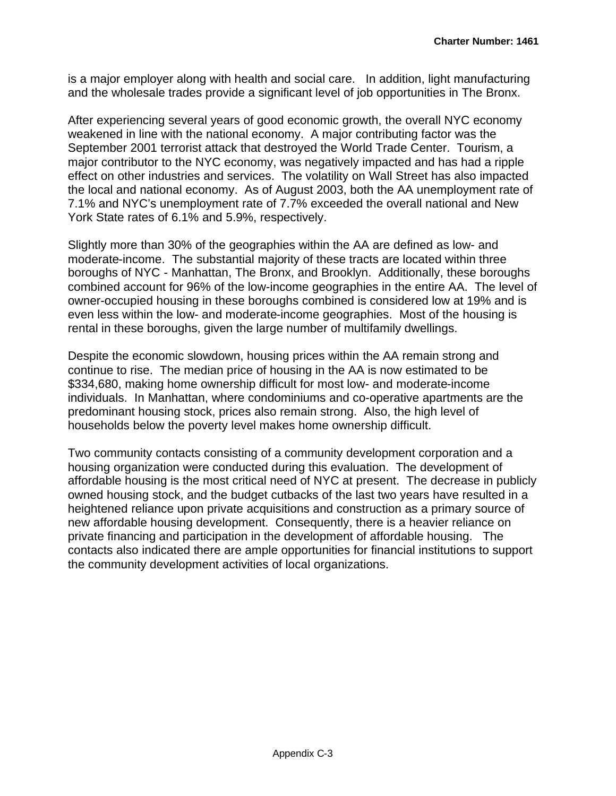is a major employer along with health and social care. In addition, light manufacturing and the wholesale trades provide a significant level of job opportunities in The Bronx.

After experiencing several years of good economic growth, the overall NYC economy weakened in line with the national economy. A major contributing factor was the September 2001 terrorist attack that destroyed the World Trade Center. Tourism, a major contributor to the NYC economy, was negatively impacted and has had a ripple effect on other industries and services. The volatility on Wall Street has also impacted the local and national economy. As of August 2003, both the AA unemployment rate of 7.1% and NYC's unemployment rate of 7.7% exceeded the overall national and New York State rates of 6.1% and 5.9%, respectively.

Slightly more than 30% of the geographies within the AA are defined as low- and moderate-income. The substantial majority of these tracts are located within three boroughs of NYC - Manhattan, The Bronx, and Brooklyn. Additionally, these boroughs combined account for 96% of the low-income geographies in the entire AA. The level of owner-occupied housing in these boroughs combined is considered low at 19% and is even less within the low- and moderate-income geographies. Most of the housing is rental in these boroughs, given the large number of multifamily dwellings.

Despite the economic slowdown, housing prices within the AA remain strong and continue to rise. The median price of housing in the AA is now estimated to be \$334,680, making home ownership difficult for most low- and moderate-income individuals. In Manhattan, where condominiums and co-operative apartments are the predominant housing stock, prices also remain strong. Also, the high level of households below the poverty level makes home ownership difficult.

Two community contacts consisting of a community development corporation and a housing organization were conducted during this evaluation. The development of affordable housing is the most critical need of NYC at present. The decrease in publicly owned housing stock, and the budget cutbacks of the last two years have resulted in a heightened reliance upon private acquisitions and construction as a primary source of new affordable housing development. Consequently, there is a heavier reliance on private financing and participation in the development of affordable housing. The contacts also indicated there are ample opportunities for financial institutions to support the community development activities of local organizations.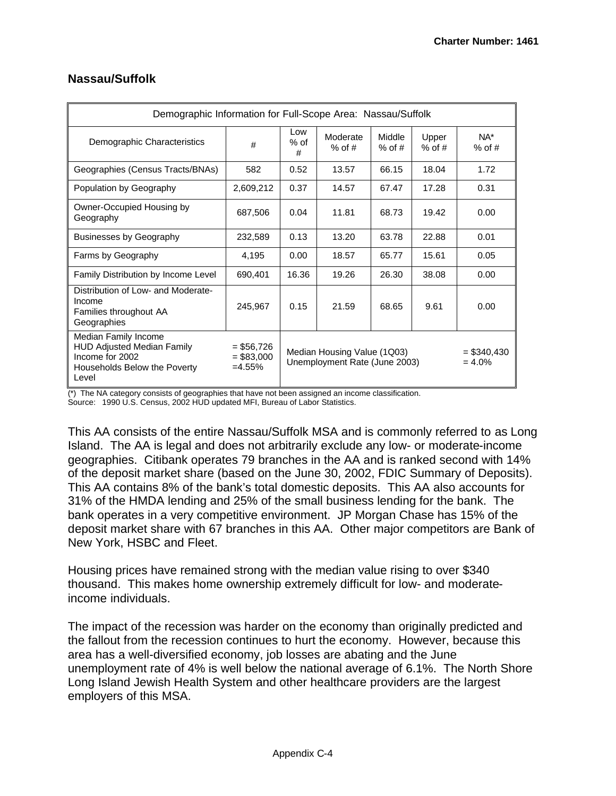| Demographic Information for Full-Scope Area: Nassau/Suffolk                                                           |                                         |                                                                                            |                      |                    |                   |                 |  |  |
|-----------------------------------------------------------------------------------------------------------------------|-----------------------------------------|--------------------------------------------------------------------------------------------|----------------------|--------------------|-------------------|-----------------|--|--|
| Demographic Characteristics                                                                                           | #                                       | Low<br>% of<br>#                                                                           | Moderate<br>$%$ of # | Middle<br>$%$ of # | Upper<br>$%$ of # | NA*<br>$%$ of # |  |  |
| Geographies (Census Tracts/BNAs)                                                                                      | 582                                     | 0.52                                                                                       | 13.57                | 66.15              | 18.04             | 1.72            |  |  |
| Population by Geography                                                                                               | 2,609,212                               | 0.37                                                                                       | 14.57                | 67.47              | 17.28             | 0.31            |  |  |
| Owner-Occupied Housing by<br>Geography                                                                                | 687,506                                 | 0.04                                                                                       | 11.81                | 68.73              | 19.42             | 0.00            |  |  |
| <b>Businesses by Geography</b>                                                                                        | 232,589                                 | 0.13                                                                                       | 13.20                | 63.78              | 22.88             | 0.01            |  |  |
| Farms by Geography                                                                                                    | 4,195                                   | 0.00                                                                                       | 18.57                | 65.77              | 15.61             | 0.05            |  |  |
| Family Distribution by Income Level                                                                                   | 690,401                                 | 16.36                                                                                      | 19.26                | 26.30              | 38.08             | 0.00            |  |  |
| Distribution of Low- and Moderate-<br>Income<br>Families throughout AA<br>Geographies                                 | 245,967                                 | 0.15                                                                                       | 21.59                | 68.65              | 9.61              | 0.00            |  |  |
| Median Family Income<br><b>HUD Adjusted Median Family</b><br>Income for 2002<br>Households Below the Poverty<br>Level | $= $56,726$<br>$= $83,000$<br>$=4.55\%$ | Median Housing Value (1Q03)<br>$=$ \$340,430<br>Unemployment Rate (June 2003)<br>$= 4.0\%$ |                      |                    |                   |                 |  |  |

### **Nassau/Suffolk**

(\*) The NA category consists of geographies that have not been assigned an income classification. Source: 1990 U.S. Census, 2002 HUD updated MFI, Bureau of Labor Statistics.

This AA consists of the entire Nassau/Suffolk MSA and is commonly referred to as Long Island. The AA is legal and does not arbitrarily exclude any low- or moderate-income geographies. Citibank operates 79 branches in the AA and is ranked second with 14% of the deposit market share (based on the June 30, 2002, FDIC Summary of Deposits). This AA contains 8% of the bank's total domestic deposits. This AA also accounts for 31% of the HMDA lending and 25% of the small business lending for the bank. The bank operates in a very competitive environment. JP Morgan Chase has 15% of the deposit market share with 67 branches in this AA. Other major competitors are Bank of New York, HSBC and Fleet.

Housing prices have remained strong with the median value rising to over \$340 thousand. This makes home ownership extremely difficult for low- and moderateincome individuals.

The impact of the recession was harder on the economy than originally predicted and the fallout from the recession continues to hurt the economy. However, because this area has a well-diversified economy, job losses are abating and the June unemployment rate of 4% is well below the national average of 6.1%. The North Shore Long Island Jewish Health System and other healthcare providers are the largest employers of this MSA.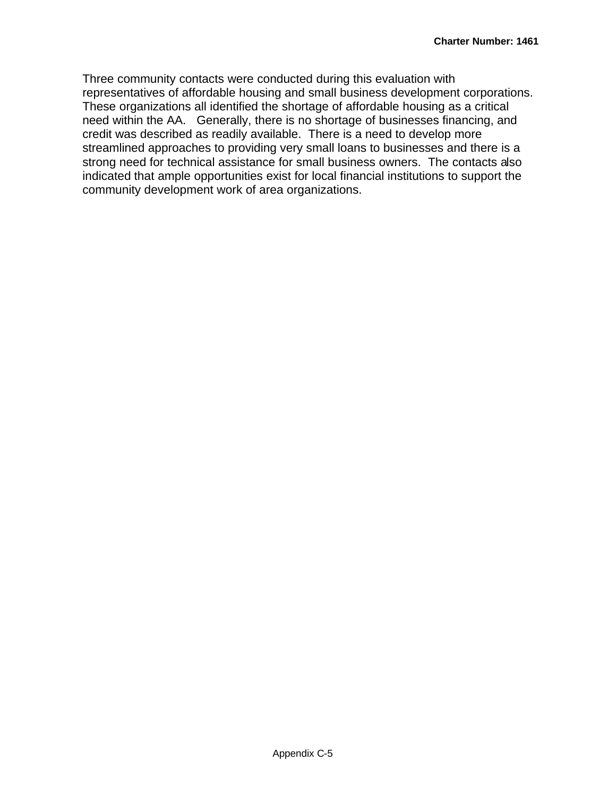Three community contacts were conducted during this evaluation with representatives of affordable housing and small business development corporations. These organizations all identified the shortage of affordable housing as a critical need within the AA. Generally, there is no shortage of businesses financing, and credit was described as readily available. There is a need to develop more streamlined approaches to providing very small loans to businesses and there is a strong need for technical assistance for small business owners. The contacts also indicated that ample opportunities exist for local financial institutions to support the community development work of area organizations.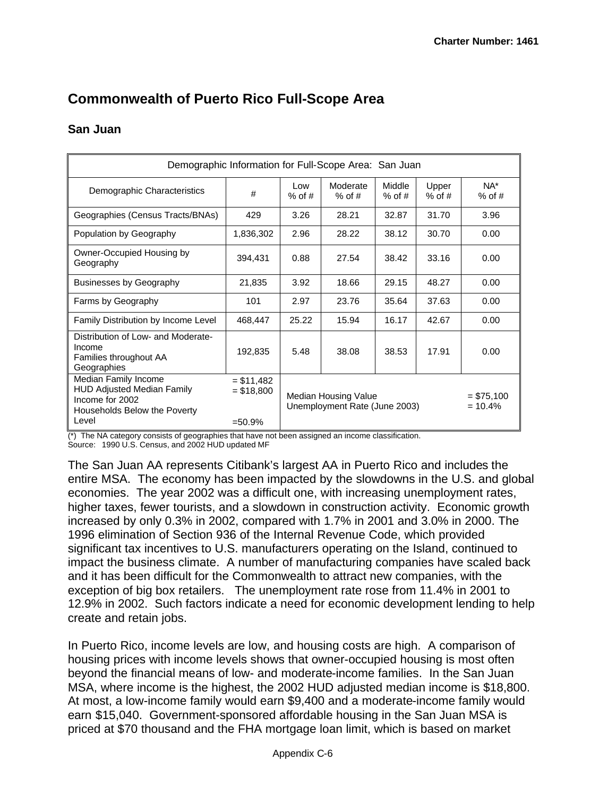## **Commonwealth of Puerto Rico Full-Scope Area**

### **San Juan**

| Demographic Information for Full-Scope Area: San Juan                                                                 |                                        |                                                                                    |       |       |       |                    |  |  |
|-----------------------------------------------------------------------------------------------------------------------|----------------------------------------|------------------------------------------------------------------------------------|-------|-------|-------|--------------------|--|--|
| Demographic Characteristics                                                                                           | #                                      | Moderate<br>Middle<br>Low<br>Upper<br>$%$ of #<br>$%$ of #<br>$%$ of #<br>$%$ of # |       |       |       | $NA^*$<br>$%$ of # |  |  |
| Geographies (Census Tracts/BNAs)                                                                                      | 429                                    | 3.26                                                                               | 28.21 | 32.87 | 31.70 | 3.96               |  |  |
| Population by Geography                                                                                               | 1,836,302                              | 2.96                                                                               | 28.22 | 38.12 | 30.70 | 0.00               |  |  |
| Owner-Occupied Housing by<br>Geography                                                                                | 394,431                                | 0.88                                                                               | 27.54 | 38.42 | 33.16 | 0.00               |  |  |
| <b>Businesses by Geography</b>                                                                                        | 21,835                                 | 3.92                                                                               | 18.66 | 29.15 | 48.27 | 0.00               |  |  |
| Farms by Geography                                                                                                    | 101                                    | 2.97                                                                               | 23.76 | 35.64 | 37.63 | 0.00               |  |  |
| Family Distribution by Income Level                                                                                   | 468,447                                | 25.22                                                                              | 15.94 | 16.17 | 42.67 | 0.00               |  |  |
| Distribution of Low- and Moderate-<br>Income<br>Families throughout AA<br>Geographies                                 | 192,835                                | 5.48                                                                               | 38.08 | 38.53 | 17.91 | 0.00               |  |  |
| Median Family Income<br><b>HUD Adjusted Median Family</b><br>Income for 2002<br>Households Below the Poverty<br>Level | $= $11,482$<br>$= $18,800$<br>$=50.9%$ | Median Housing Value<br>$= $75,100$<br>Unemployment Rate (June 2003)<br>$= 10.4%$  |       |       |       |                    |  |  |

(\*) The NA category consists of geographies that have not been assigned an income classification.

Source: 1990 U.S. Census, and 2002 HUD updated MF

The San Juan AA represents Citibank's largest AA in Puerto Rico and includes the entire MSA. The economy has been impacted by the slowdowns in the U.S. and global economies. The year 2002 was a difficult one, with increasing unemployment rates, higher taxes, fewer tourists, and a slowdown in construction activity. Economic growth increased by only 0.3% in 2002, compared with 1.7% in 2001 and 3.0% in 2000. The 1996 elimination of Section 936 of the Internal Revenue Code, which provided significant tax incentives to U.S. manufacturers operating on the Island, continued to impact the business climate. A number of manufacturing companies have scaled back and it has been difficult for the Commonwealth to attract new companies, with the exception of big box retailers. The unemployment rate rose from 11.4% in 2001 to 12.9% in 2002. Such factors indicate a need for economic development lending to help create and retain jobs.

In Puerto Rico, income levels are low, and housing costs are high. A comparison of housing prices with income levels shows that owner-occupied housing is most often beyond the financial means of low- and moderate-income families. In the San Juan MSA, where income is the highest, the 2002 HUD adjusted median income is \$18,800. At most, a low-income family would earn \$9,400 and a moderate-income family would earn \$15,040. Government-sponsored affordable housing in the San Juan MSA is priced at \$70 thousand and the FHA mortgage loan limit, which is based on market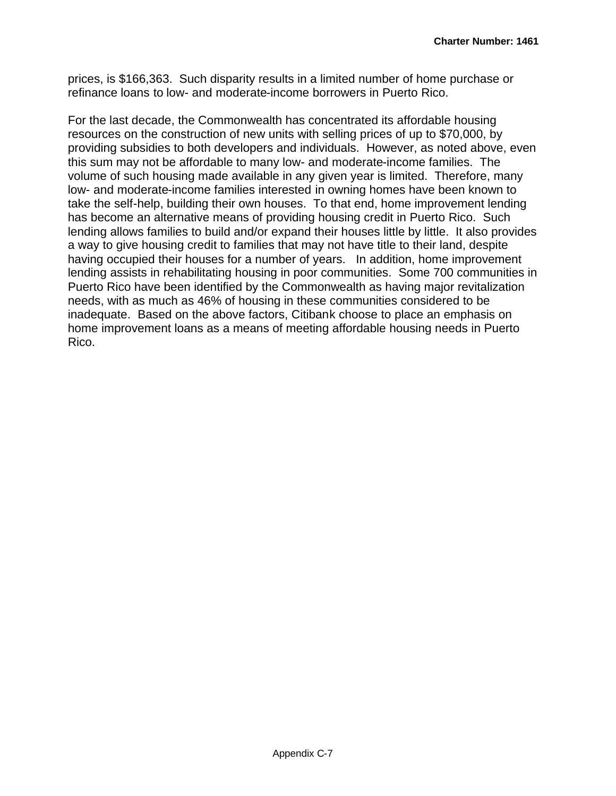prices, is \$166,363. Such disparity results in a limited number of home purchase or refinance loans to low- and moderate-income borrowers in Puerto Rico.

For the last decade, the Commonwealth has concentrated its affordable housing resources on the construction of new units with selling prices of up to \$70,000, by providing subsidies to both developers and individuals. However, as noted above, even this sum may not be affordable to many low- and moderate-income families. The volume of such housing made available in any given year is limited. Therefore, many low- and moderate-income families interested in owning homes have been known to take the self-help, building their own houses. To that end, home improvement lending has become an alternative means of providing housing credit in Puerto Rico. Such lending allows families to build and/or expand their houses little by little. It also provides a way to give housing credit to families that may not have title to their land, despite having occupied their houses for a number of years. In addition, home improvement lending assists in rehabilitating housing in poor communities. Some 700 communities in Puerto Rico have been identified by the Commonwealth as having major revitalization needs, with as much as 46% of housing in these communities considered to be inadequate. Based on the above factors, Citibank choose to place an emphasis on home improvement loans as a means of meeting affordable housing needs in Puerto Rico.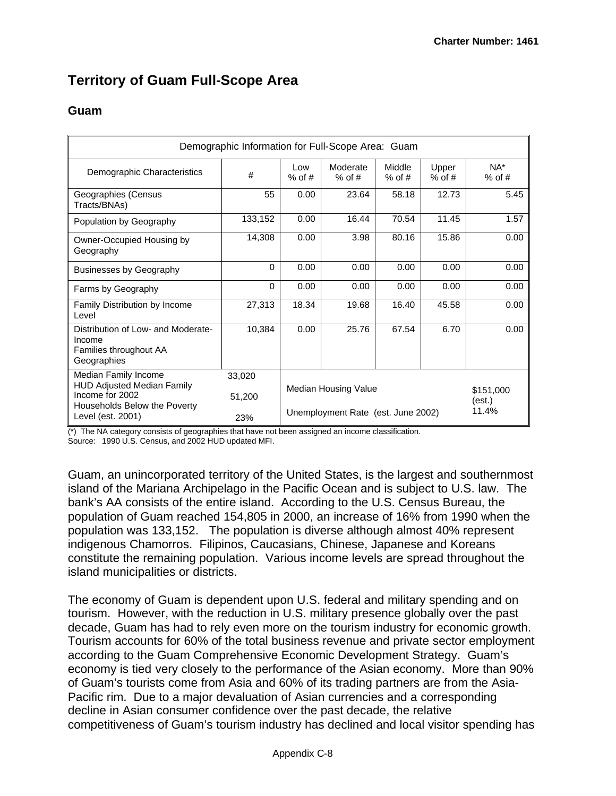## **Territory of Guam Full-Scope Area**

### **Guam**

| #<br>55          | Low<br>$%$ of # | Moderate                     | Middle | Upper                |                                    |
|------------------|-----------------|------------------------------|--------|----------------------|------------------------------------|
|                  |                 | $%$ of #<br>$%$ of #         |        | $%$ of #             | NA*<br>$%$ of #                    |
|                  | 0.00            | 23.64                        | 58.18  | 12.73                | 5.45                               |
| 133,152          | 0.00            | 16.44                        | 70.54  | 11.45                | 1.57                               |
| 14,308           | 0.00            | 3.98                         | 80.16  | 15.86                | 0.00                               |
| 0                | 0.00            | 0.00                         | 0.00   | 0.00                 | 0.00                               |
| $\Omega$         | 0.00            | 0.00                         | 0.00   | 0.00                 | 0.00                               |
| 27,313           | 18.34           | 19.68                        | 16.40  | 45.58                | 0.00                               |
| 10,384           | 0.00            | 25.76                        | 67.54  | 6.70                 | 0.00                               |
| 33,020<br>51,200 |                 | \$151,000<br>(est.)<br>11.4% |        |                      |                                    |
|                  | 23%             |                              |        | Median Housing Value | Unemployment Rate (est. June 2002) |

(\*) The NA category consists of geographies that have not been assigned an income classification. Source: 1990 U.S. Census, and 2002 HUD updated MFI.

Guam, an unincorporated territory of the United States, is the largest and southernmost island of the Mariana Archipelago in the Pacific Ocean and is subject to U.S. law. The bank's AA consists of the entire island. According to the U.S. Census Bureau, the population of Guam reached 154,805 in 2000, an increase of 16% from 1990 when the population was 133,152. The population is diverse although almost 40% represent indigenous Chamorros. Filipinos, Caucasians, Chinese, Japanese and Koreans constitute the remaining population. Various income levels are spread throughout the island municipalities or districts.

The economy of Guam is dependent upon U.S. federal and military spending and on tourism. However, with the reduction in U.S. military presence globally over the past decade, Guam has had to rely even more on the tourism industry for economic growth. Tourism accounts for 60% of the total business revenue and private sector employment according to the Guam Comprehensive Economic Development Strategy. Guam's economy is tied very closely to the performance of the Asian economy. More than 90% of Guam's tourists come from Asia and 60% of its trading partners are from the Asia-Pacific rim. Due to a major devaluation of Asian currencies and a corresponding decline in Asian consumer confidence over the past decade, the relative competitiveness of Guam's tourism industry has declined and local visitor spending has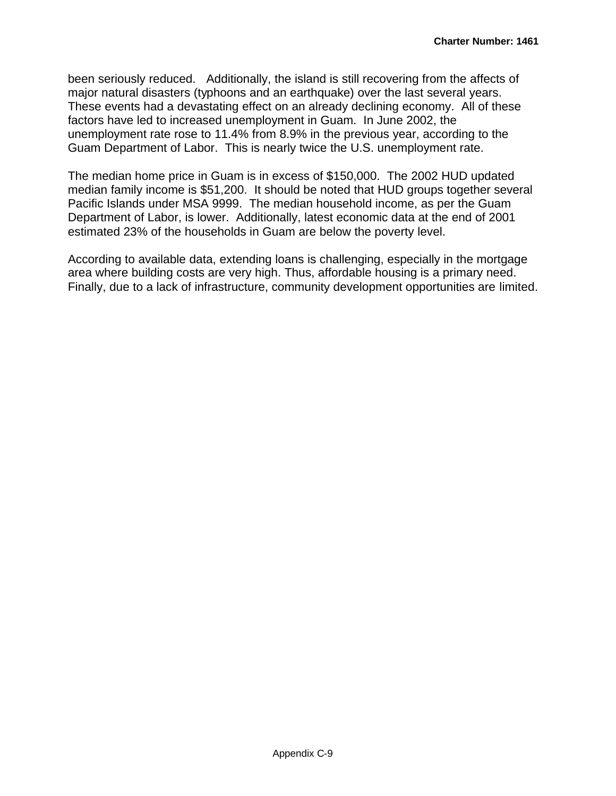been seriously reduced. Additionally, the island is still recovering from the affects of major natural disasters (typhoons and an earthquake) over the last several years. These events had a devastating effect on an already declining economy. All of these factors have led to increased unemployment in Guam. In June 2002, the unemployment rate rose to 11.4% from 8.9% in the previous year, according to the Guam Department of Labor. This is nearly twice the U.S. unemployment rate.

The median home price in Guam is in excess of \$150,000. The 2002 HUD updated median family income is \$51,200. It should be noted that HUD groups together several Pacific Islands under MSA 9999. The median household income, as per the Guam Department of Labor, is lower. Additionally, latest economic data at the end of 2001 estimated 23% of the households in Guam are below the poverty level.

According to available data, extending loans is challenging, especially in the mortgage area where building costs are very high. Thus, affordable housing is a primary need. Finally, due to a lack of infrastructure, community development opportunities are limited.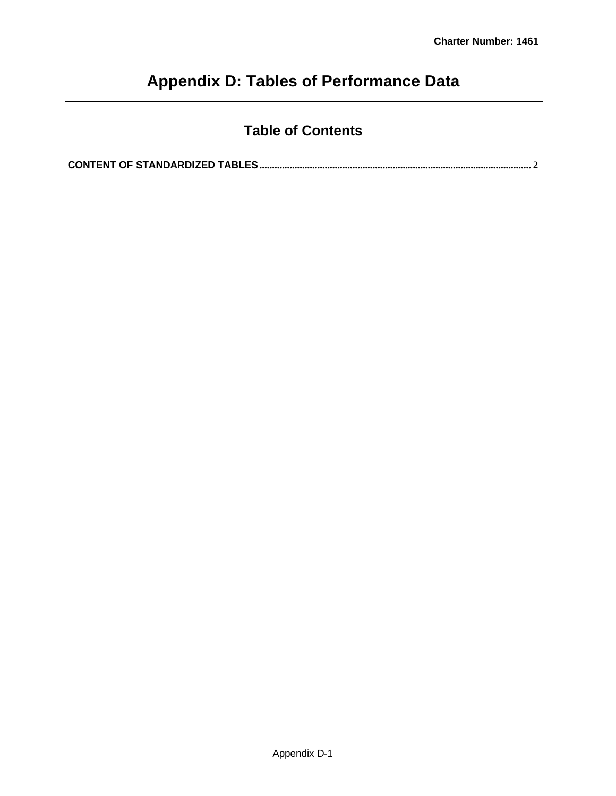# **Appendix D: Tables of Performance Data**

## **Table of Contents**

**CONTENT OF STANDARDIZED TABLES............................................................................................................ 2**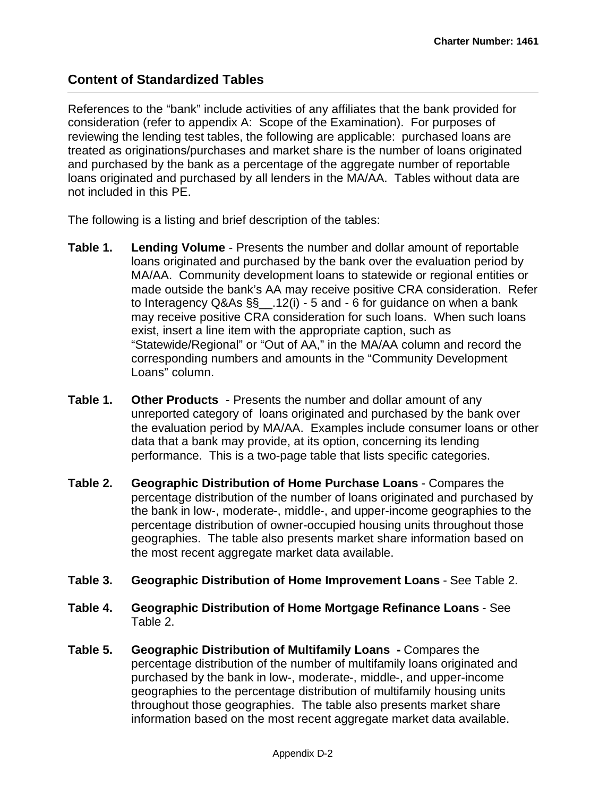## **Content of Standardized Tables**

References to the "bank" include activities of any affiliates that the bank provided for consideration (refer to appendix A: Scope of the Examination). For purposes of reviewing the lending test tables, the following are applicable: purchased loans are treated as originations/purchases and market share is the number of loans originated and purchased by the bank as a percentage of the aggregate number of reportable loans originated and purchased by all lenders in the MA/AA. Tables without data are not included in this PE.

The following is a listing and brief description of the tables:

- **Table 1. Lending Volume** Presents the number and dollar amount of reportable loans originated and purchased by the bank over the evaluation period by MA/AA. Community development loans to statewide or regional entities or made outside the bank's AA may receive positive CRA consideration. Refer to Interagency  $Q&As \S\S$  ...12(i) - 5 and - 6 for guidance on when a bank may receive positive CRA consideration for such loans. When such loans exist, insert a line item with the appropriate caption, such as "Statewide/Regional" or "Out of AA," in the MA/AA column and record the corresponding numbers and amounts in the "Community Development Loans" column.
- **Table 1. Other Products**  Presents the number and dollar amount of any unreported category of loans originated and purchased by the bank over the evaluation period by MA/AA. Examples include consumer loans or other data that a bank may provide, at its option, concerning its lending performance. This is a two-page table that lists specific categories.
- **Table 2. Geographic Distribution of Home Purchase Loans** Compares the percentage distribution of the number of loans originated and purchased by the bank in low-, moderate-, middle-, and upper-income geographies to the percentage distribution of owner-occupied housing units throughout those geographies. The table also presents market share information based on the most recent aggregate market data available.
- **Table 3. Geographic Distribution of Home Improvement Loans** See Table 2.
- **Table 4. Geographic Distribution of Home Mortgage Refinance Loans** See Table 2.
- **Table 5. Geographic Distribution of Multifamily Loans -** Compares the percentage distribution of the number of multifamily loans originated and purchased by the bank in low-, moderate-, middle-, and upper-income geographies to the percentage distribution of multifamily housing units throughout those geographies. The table also presents market share information based on the most recent aggregate market data available.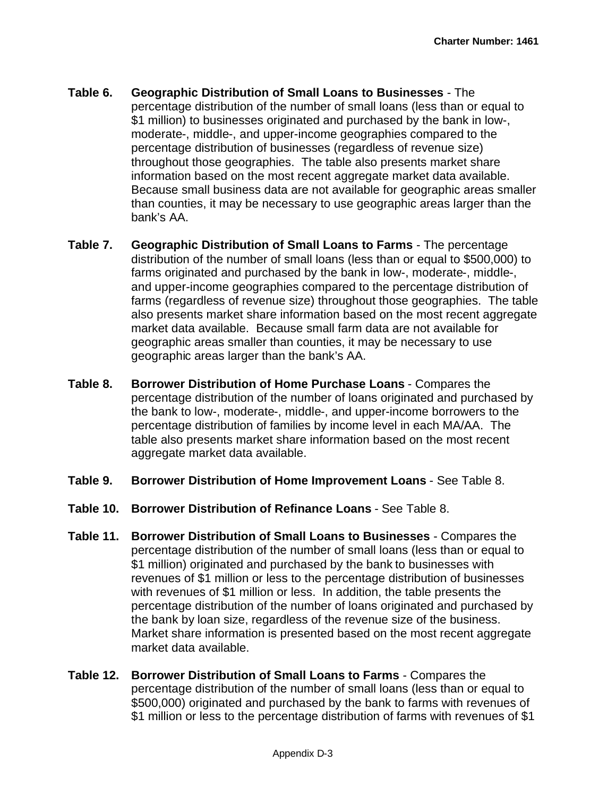- **Table 6. Geographic Distribution of Small Loans to Businesses** The percentage distribution of the number of small loans (less than or equal to \$1 million) to businesses originated and purchased by the bank in low-, moderate-, middle-, and upper-income geographies compared to the percentage distribution of businesses (regardless of revenue size) throughout those geographies. The table also presents market share information based on the most recent aggregate market data available. Because small business data are not available for geographic areas smaller than counties, it may be necessary to use geographic areas larger than the bank's AA.
- **Table 7. Geographic Distribution of Small Loans to Farms** The percentage distribution of the number of small loans (less than or equal to \$500,000) to farms originated and purchased by the bank in low-, moderate-, middle-, and upper-income geographies compared to the percentage distribution of farms (regardless of revenue size) throughout those geographies. The table also presents market share information based on the most recent aggregate market data available. Because small farm data are not available for geographic areas smaller than counties, it may be necessary to use geographic areas larger than the bank's AA.
- **Table 8. Borrower Distribution of Home Purchase Loans** Compares the percentage distribution of the number of loans originated and purchased by the bank to low-, moderate-, middle-, and upper-income borrowers to the percentage distribution of families by income level in each MA/AA. The table also presents market share information based on the most recent aggregate market data available.
- **Table 9. Borrower Distribution of Home Improvement Loans** See Table 8.
- **Table 10. Borrower Distribution of Refinance Loans** See Table 8.
- **Table 11. Borrower Distribution of Small Loans to Businesses** Compares the percentage distribution of the number of small loans (less than or equal to \$1 million) originated and purchased by the bank to businesses with revenues of \$1 million or less to the percentage distribution of businesses with revenues of \$1 million or less. In addition, the table presents the percentage distribution of the number of loans originated and purchased by the bank by loan size, regardless of the revenue size of the business. Market share information is presented based on the most recent aggregate market data available.
- **Table 12. Borrower Distribution of Small Loans to Farms** Compares the percentage distribution of the number of small loans (less than or equal to \$500,000) originated and purchased by the bank to farms with revenues of \$1 million or less to the percentage distribution of farms with revenues of \$1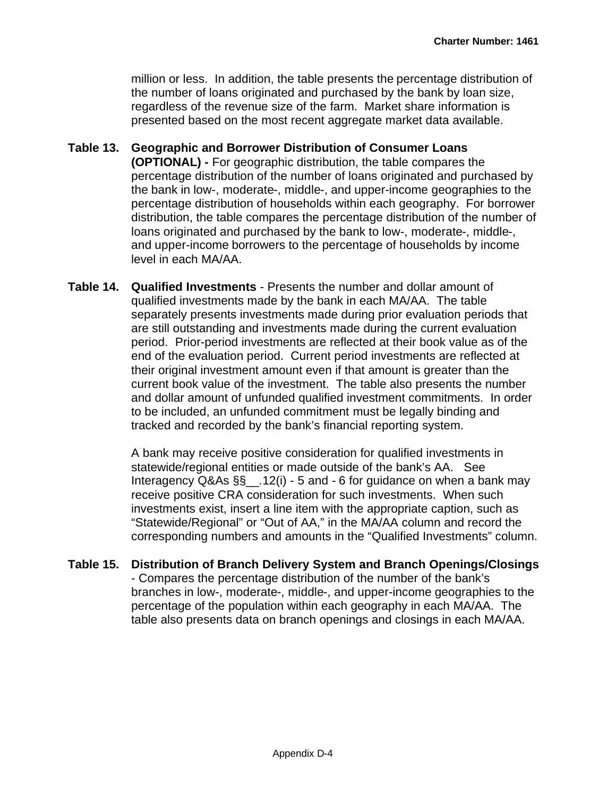million or less. In addition, the table presents the percentage distribution of the number of loans originated and purchased by the bank by loan size, regardless of the revenue size of the farm. Market share information is presented based on the most recent aggregate market data available.

- **Table 13. Geographic and Borrower Distribution of Consumer Loans (OPTIONAL) -** For geographic distribution, the table compares the percentage distribution of the number of loans originated and purchased by the bank in low-, moderate-, middle-, and upper-income geographies to the percentage distribution of households within each geography. For borrower distribution, the table compares the percentage distribution of the number of loans originated and purchased by the bank to low-, moderate-, middle-, and upper-income borrowers to the percentage of households by income level in each MA/AA.
- **Table 14. Qualified Investments** Presents the number and dollar amount of qualified investments made by the bank in each MA/AA. The table separately presents investments made during prior evaluation periods that are still outstanding and investments made during the current evaluation period. Prior-period investments are reflected at their book value as of the end of the evaluation period. Current period investments are reflected at their original investment amount even if that amount is greater than the current book value of the investment. The table also presents the number and dollar amount of unfunded qualified investment commitments. In order to be included, an unfunded commitment must be legally binding and tracked and recorded by the bank's financial reporting system.

A bank may receive positive consideration for qualified investments in statewide/regional entities or made outside of the bank's AA. See Interagency Q&As §§\_\_.12(i) - 5 and - 6 for guidance on when a bank may receive positive CRA consideration for such investments. When such investments exist, insert a line item with the appropriate caption, such as "Statewide/Regional" or "Out of AA," in the MA/AA column and record the corresponding numbers and amounts in the "Qualified Investments" column.

**Table 15. Distribution of Branch Delivery System and Branch Openings/Closings** - Compares the percentage distribution of the number of the bank's branches in low-, moderate-, middle-, and upper-income geographies to the percentage of the population within each geography in each MA/AA. The table also presents data on branch openings and closings in each MA/AA.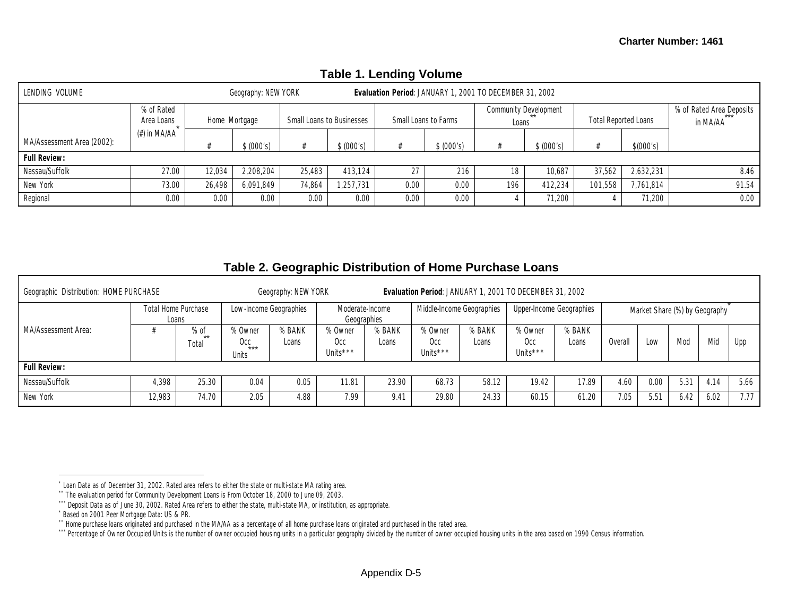| <b>TADIS I. ECHAING VOIDING</b> |                          |                                                         |            |                                  |            |                      |            |                                |            |                             |           |                                      |  |
|---------------------------------|--------------------------|---------------------------------------------------------|------------|----------------------------------|------------|----------------------|------------|--------------------------------|------------|-----------------------------|-----------|--------------------------------------|--|
| LENDING VOLUME                  | Geography: NEW YORK      | Evaluation Period: JANUARY 1, 2001 TO DECEMBER 31, 2002 |            |                                  |            |                      |            |                                |            |                             |           |                                      |  |
|                                 | % of Rated<br>Area Loans | Home Mortgage                                           |            | <b>Small Loans to Businesses</b> |            | Small Loans to Farms |            | Community Development<br>Loans |            | <b>Total Reported Loans</b> |           | % of Rated Area Deposits<br>in MA/AA |  |
| MA/Assessment Area (2002):      | (#) in MA/AA             |                                                         | \$ (000's) |                                  | \$ (000's) |                      | \$ (000's) |                                | \$ (000's) |                             | \$(000's) |                                      |  |
| <b>Full Review:</b>             |                          |                                                         |            |                                  |            |                      |            |                                |            |                             |           |                                      |  |
| Nassau/Suffolk                  | 27.00                    | 12.034                                                  | 2,208,204  | 25.483                           | 413.124    | 27                   | 216        | 18                             | 10,687     | 37.562                      | 2,632,231 | 8.46                                 |  |
| New York                        | 73.00                    | 26.498                                                  | 6.091.849  | 74.864                           | .257.731   | 0.00                 | 0.00       | 196                            | 412.234    | 101,558                     | 7,761,814 | 91.54                                |  |
| Regional                        | 0.00                     | 0.00                                                    | 0.00       | 0.00                             | 0.00       | 0.00                 | 0.00       |                                | 71,200     |                             | 71,200    | 0.00                                 |  |

### **Table 1. Lending Volume**

#### **Table 2. Geographic Distribution of Home Purchase Loans**

| Geographic Distribution: HOME PURCHASE<br>Geography: NEW YORK<br>Evaluation Period: JANUARY 1, 2001 TO DECEMBER 31, 2002 |                                     |                         |                                         |                 |                            |                                |                                        |                           |                                        |                          |         |                               |      |      |      |
|--------------------------------------------------------------------------------------------------------------------------|-------------------------------------|-------------------------|-----------------------------------------|-----------------|----------------------------|--------------------------------|----------------------------------------|---------------------------|----------------------------------------|--------------------------|---------|-------------------------------|------|------|------|
|                                                                                                                          | <b>Total Home Purchase</b><br>Loans |                         | Low-Income Geographies                  |                 |                            | Moderate-Income<br>Geographies |                                        | Middle-Income Geographies |                                        | Upper-Income Geographies |         | Market Share (%) by Geography |      |      |      |
| MA/Assessment Area:                                                                                                      |                                     | $%$ of<br>$**$<br>Total | % Owner<br>0cc<br>$***$<br><b>Units</b> | % BANK<br>Loans | % Owner<br>Occ<br>Units*** | % BANK<br>Loans                | % Owner<br>Occ<br>Units <sup>***</sup> | % BANK<br>Loans           | % Owner<br>Occ<br>Units <sup>***</sup> | % BANK<br>Loans          | Overall | Low                           | Mod  | Mid  | Upp  |
| <b>Full Review:</b>                                                                                                      |                                     |                         |                                         |                 |                            |                                |                                        |                           |                                        |                          |         |                               |      |      |      |
| Nassau/Suffolk                                                                                                           | 4.398                               | 25.30                   | 0.04                                    | 0.05            | 1.81                       | 23.90                          | 68.73                                  | 58.12                     | 19.42                                  | 17.89                    | 4.60    | 0.00                          | 5.31 | 4.14 | 5.66 |
| New York                                                                                                                 | 12,983                              | 74.70                   | 2.05                                    | 4.88            | 7.99                       | 9.41                           | 29.80                                  | 24.33                     | 60.15                                  | 61.20                    | 7.05    | 5.51                          | 6.42 | 6.02 | 7.77 |

<sup>\*</sup> Loan Data as of December 31, 2002. Rated area refers to either the state or multi-state MA rating area.

<sup>\*\*</sup> The evaluation period for Community Development Loans is From October 18, 2000 to June 09, 2003.

<sup>\*\*\*</sup> Deposit Data as of June 30, 2002. Rated Area refers to either the state, multi-state MA, or institution, as appropriate.

<sup>\*</sup> Based on 2001 Peer Mortgage Data: US & PR.

<sup>\*\*</sup> Home purchase loans originated and purchased in the MA/AA as a percentage of all home purchase loans originated and purchased in the rated area.

<sup>\*\*\*</sup> Percentage of Owner Occupied Units is the number of owner occupied housing units in a particular geography divided by the number of owner occupied housing units in the area based on 1990 Census information.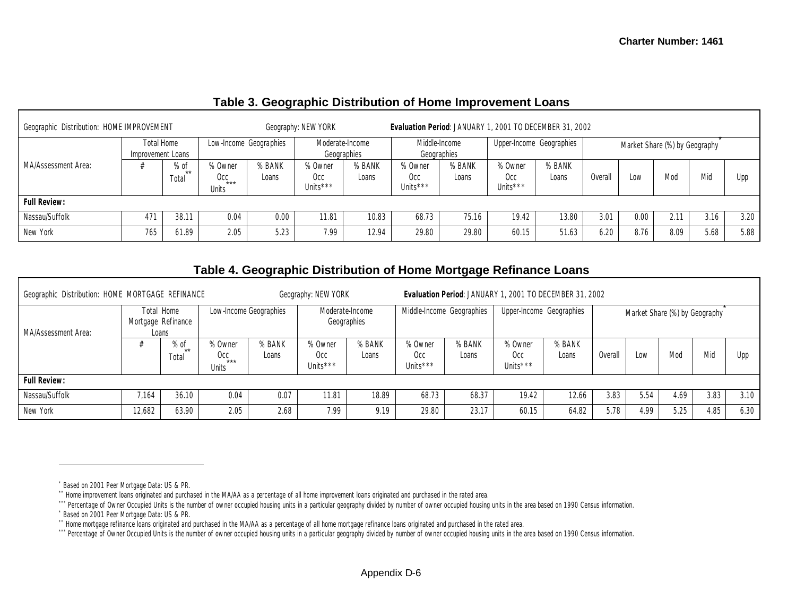| Geographic Distribution: HOME IMPROVEMENT |     |                          |                                 |                 | Geography: NEW YORK               |                 | Evaluation Period: JANUARY 1, 2001 TO DECEMBER 31, 2002 |                 |                            |                 |        |                               |      |      |      |
|-------------------------------------------|-----|--------------------------|---------------------------------|-----------------|-----------------------------------|-----------------|---------------------------------------------------------|-----------------|----------------------------|-----------------|--------|-------------------------------|------|------|------|
| <b>Total Home</b><br>Improvement Loans    |     |                          | Low-Income Geographies          |                 | Moderate-Income<br>Geographies    |                 | Middle-Income<br>Geographies                            |                 | Upper-Income Geographies   |                 |        | Market Share (%) by Geography |      |      |      |
| MA/Assessment Area:                       |     | $%$ of<br>$***$<br>Total | % Owner<br>$Occ_{***}$<br>Units | % BANK<br>Loans | % Owner<br><b>Occ</b><br>Units*** | % BANK<br>Loans | % Owner<br>Occ<br>Units***                              | % BANK<br>Loans | % Owner<br>Occ<br>Units*** | % BANK<br>Loans | Overal | Low                           | Mod  | Mid  | Upp  |
| <b>Full Review:</b>                       |     |                          |                                 |                 |                                   |                 |                                                         |                 |                            |                 |        |                               |      |      |      |
| Nassau/Suffolk                            | 471 | 38.11                    | 0.04                            | 0.00            | 11.81                             | 10.83           | 68.73                                                   | 75.16           | 19.42                      | 13.80           | 3.01   | 0.00                          | 2.11 | 3.16 | 3.20 |
| New York                                  | 765 | 61.89                    | 2.05                            | 5.23            | 7.99                              | 12.94           | 29.80                                                   | 29.80           | 60.15                      | 51.63           | 6.20   | 8.76                          | 8.09 | 5.68 | 5.88 |

### **Table 3. Geographic Distribution of Home Improvement Loans**

### **Table 4. Geographic Distribution of Home Mortgage Refinance Loans**

| Geographic Distribution: HOME MORTGAGE REFINANCE |        |                                           |                                |                        | Geography: NEW YORK                    |                                |                                        |                           | Evaluation Period: JANUARY 1, 2001 TO DECEMBER 31, 2002 |                 |                |                                                                                                    |     |      |
|--------------------------------------------------|--------|-------------------------------------------|--------------------------------|------------------------|----------------------------------------|--------------------------------|----------------------------------------|---------------------------|---------------------------------------------------------|-----------------|----------------|----------------------------------------------------------------------------------------------------|-----|------|
| MA/Assessment Area:                              |        | Total Home<br>Mortgage Refinance<br>Loans |                                | Low-Income Geographies |                                        | Moderate-Income<br>Geographies |                                        | Middle-Income Geographies | Upper-Income Geographies                                |                 |                |                                                                                                    |     |      |
|                                                  |        | $%$ of<br>$**$<br>Total                   | % Owner<br>Occ<br>***<br>Units | % BANK<br>Loans        | % Owner<br>Occ<br>Units <sup>***</sup> | % BANK<br>Loans                | % Owner<br>Occ<br>Units <sup>***</sup> | % BANK<br>Loans           | % Owner<br>Occ<br>Units***                              | % BANK<br>Loans | <b>Overall</b> | Market Share (%) by Geography<br>Mic<br>Mod<br>Low<br>5.54<br>3.83<br>4.69<br>4.85<br>4.99<br>5.25 | Upp |      |
| <b>Full Review:</b>                              |        |                                           |                                |                        |                                        |                                |                                        |                           |                                                         |                 |                |                                                                                                    |     |      |
| Nassau/Suffolk                                   | 7.164  | 36.10                                     | 0.04                           | 0.07                   | 11.81                                  | 18.89                          | 68.73                                  | 68.37                     | 19.42                                                   | 12.66           | 3.83           |                                                                                                    |     | 3.10 |
| New York                                         | 12,682 | 63.90                                     | 2.05                           | 2.68                   | 7.99                                   | 9.19                           | 29.80                                  | 23.17                     | 60.15                                                   | 64.82           | 5.78           |                                                                                                    |     | 6.30 |

<sup>\*</sup> Based on 2001 Peer Mortgage Data: US & PR.

<sup>\*\*</sup> Home improvement loans originated and purchased in the MA/AA as a percentage of all home improvement loans originated and purchased in the rated area.

<sup>\*\*\*</sup> Percentage of Owner Occupied Units is the number of owner occupied housing units in a particular geography divided by number of owner occupied housing units in the area based on 1990 Census information.

<sup>\*</sup> Based on 2001 Peer Mortgage Data: US & PR.

<sup>\*\*</sup> Home mortgage refinance loans originated and purchased in the MA/AA as a percentage of all home mortgage refinance loans originated and purchased in the rated area.

<sup>\*\*\*</sup> Percentage of Owner Occupied Units is the number of owner occupied housing units in a particular geography divided by number of owner occupied housing units in the area based on 1990 Census information.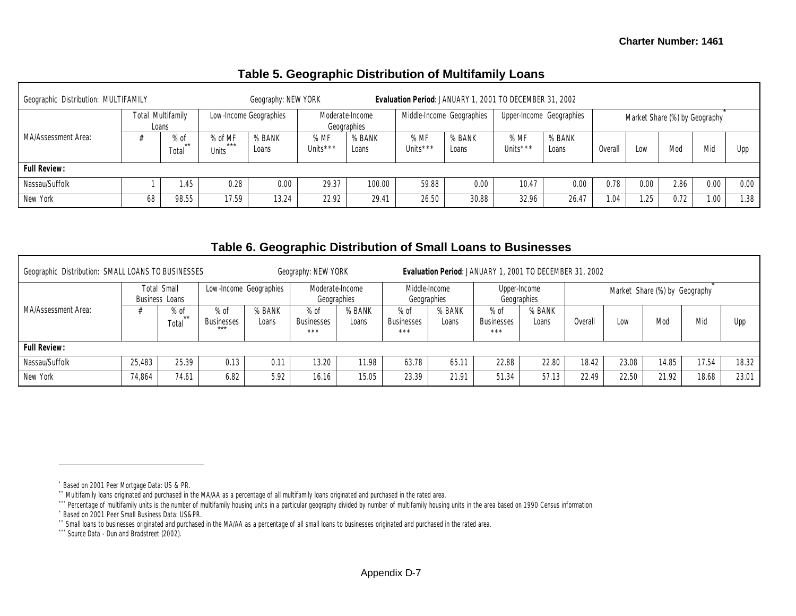| Geographic Distribution: MULTIFAMILY |    |                            |                                  | Geography: NEW YORK |                  |                                |                             | Evaluation Period: JANUARY 1, 2001 TO DECEMBER 31, 2002 |                             |                          |         |      |                               |      |      |
|--------------------------------------|----|----------------------------|----------------------------------|---------------------|------------------|--------------------------------|-----------------------------|---------------------------------------------------------|-----------------------------|--------------------------|---------|------|-------------------------------|------|------|
|                                      |    | Total Multifamily<br>Loans | Low-Income Geographies           |                     |                  | Moderate-Income<br>Geographies | Middle-Income Geographies   |                                                         |                             | Upper-Income Geographies |         |      | Market Share (%) by Geography |      |      |
| MA/Assessment Area:                  |    | $%$ of<br>$**$<br>Total    | % of MF<br>$***$<br><b>Units</b> | % BANK<br>Loans     | % MF<br>Units*** | % BANK<br>Loans                | %MF<br>Units <sup>***</sup> | % BANK<br>Loans                                         | %MF<br>Units <sup>***</sup> | % BANK<br>Loans          | Overall | Low  | Mod                           | Mid  | Upp  |
| <b>Full Review:</b>                  |    |                            |                                  |                     |                  |                                |                             |                                                         |                             |                          |         |      |                               |      |      |
| Nassau/Suffolk                       |    | i.45                       | 0.28                             | 0.00                | 29.37            | 100.00                         | 59.88                       | 0.00                                                    | 10.47                       | 0.00                     | 0.78    | 0.00 | 2.86                          | 0.00 | 0.00 |
| New York                             | 68 | 98.55                      | 17.59                            | 13.24               | 22.92            | 29.41                          | 26.50                       | 30.88                                                   | 32.96                       | 26.47                    | .04     |      | 0.72                          | 1.00 | 1.38 |

#### **Table 5. Geographic Distribution of Multifamily Loans**

### **Table 6. Geographic Distribution of Small Loans to Businesses**

| Geographic Distribution: SMALL LOANS TO BUSINESSES |        |                                      |                                      |                 | Geography: NEW YORK            |                 |                                    |                 | Evaluation Period: JANUARY 1, 2001 TO DECEMBER 31, 2002 |                 |         |       |                               |       |       |
|----------------------------------------------------|--------|--------------------------------------|--------------------------------------|-----------------|--------------------------------|-----------------|------------------------------------|-----------------|---------------------------------------------------------|-----------------|---------|-------|-------------------------------|-------|-------|
|                                                    |        | <b>Total Small</b><br>Business Loans | Low-Income Geographies               |                 | Moderate-Income<br>Geographies |                 | Middle-Income<br>Geographies       |                 | Upper-Income                                            | Geographies     |         |       | Market Share (%) by Geography |       |       |
| MA/Assessment Area:                                |        | $%$ of<br>Total                      | $%$ of<br><b>Businesses</b><br>$***$ | % BANK<br>Loans | $%$ of<br>Businesses<br>***    | % BANK<br>Loans | $%$ of<br><b>Businesses</b><br>*** | % BANK<br>Loans | $%$ of<br><b>Businesses</b><br>***                      | % BANK<br>Loans | Overall | Low   | Mod                           | Mic   | Upp   |
| <b>Full Review:</b>                                |        |                                      |                                      |                 |                                |                 |                                    |                 |                                                         |                 |         |       |                               |       |       |
| Nassau/Suffolk                                     | 25.483 | 25.39                                | 0.13                                 | 0.11            | 13.20                          | 1.98            | 63.78                              | $65.1^{\circ}$  | 22.88                                                   | 22.80           | 18.42   | 23.08 | 14.85                         | 17.54 | 18.32 |
| New York                                           | 74,864 | 74.61                                | 6.82                                 | 5.92            | 16.16                          | 15.05           | 23.39                              | 21.91           | 51.34                                                   | 57.13           | 22.49   | 22.50 | 21.92                         | 18.68 | 23.01 |

<sup>\*</sup> Based on 2001 Peer Mortgage Data: US & PR.

<sup>\*\*</sup> Multifamily loans originated and purchased in the MA/AA as a percentage of all multifamily loans originated and purchased in the rated area.

<sup>\*\*\*</sup> Percentage of multifamily units is the number of multifamily housing units in a particular geography divided by number of multifamily housing units in the area based on 1990 Census information.

<sup>\*</sup> Based on 2001 Peer Small Business Data: US&PR.

<sup>\*\*</sup> Small loans to businesses originated and purchased in the MA/AA as a percentage of all small loans to businesses originated and purchased in the rated area.

<sup>\*\*\*</sup> Source Data - Dun and Bradstreet (2002).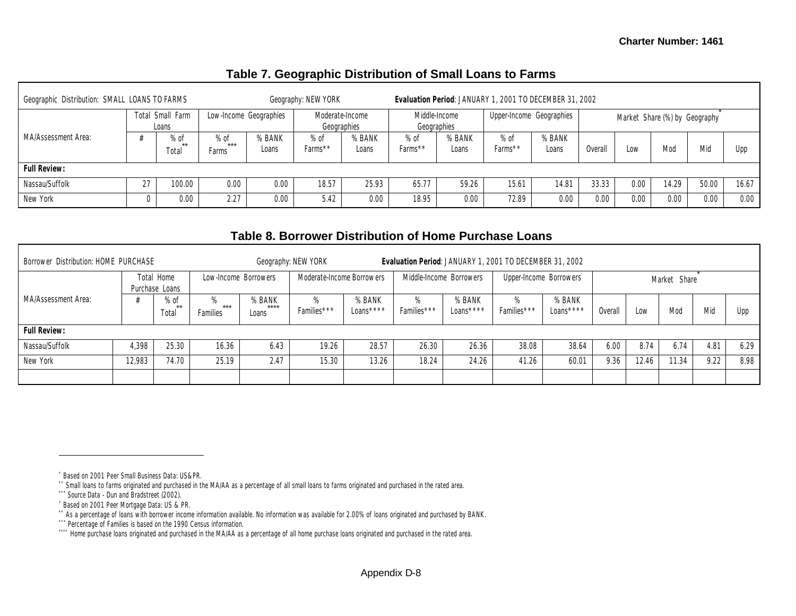| Geographic Distribution: SMALL LOANS TO FARMS |    |                           |                        |                        | Geography: NEW YORK            |                 |                   |                              | Evaluation Period: JANUARY 1, 2001 TO DECEMBER 31, 2002 |                          |         |                               |       |       |       |
|-----------------------------------------------|----|---------------------------|------------------------|------------------------|--------------------------------|-----------------|-------------------|------------------------------|---------------------------------------------------------|--------------------------|---------|-------------------------------|-------|-------|-------|
|                                               |    | Total Small Farm<br>Loans |                        | Low-Income Geographies | Moderate-Income<br>Geographies |                 |                   | Middle-Income<br>Geographies |                                                         | Upper-Income Geographies |         | Market Share (%) by Geography |       |       |       |
| MA/Assessment Area:                           |    | $%$ of<br>**<br>Total     | $%$ of<br>***<br>Farms | % BANK<br>Loans        | $%$ of<br>$Farms**$            | % BANK<br>Loans | $%$ of<br>Farms** | % BANK<br>Loans              | $%$ of<br>Farms**                                       | % BANK<br>Loans          | Overall | Low                           | Mod   | Mic   | Upp   |
| <b>Full Review:</b>                           |    |                           |                        |                        |                                |                 |                   |                              |                                                         |                          |         |                               |       |       |       |
| Nassau/Suffolk                                | 27 | 100.00                    | 0.00                   | 0.00                   | 18.57                          | 25.93           | 65.77             | 59.26                        | 15.61                                                   | 14.81                    | 33.33   | 0.00                          | 14.29 | 50.00 | 16.67 |
| New York                                      |    | 0.00                      | 2.27                   | 0.00                   | 5.42                           | 0.00            | 18.95             | 0.00                         | 72.89                                                   | 0.00                     | 0.00    | 0.00                          | 0.00  | 0.00  | 0.00  |

### **Table 7. Geographic Distribution of Small Loans to Farms**

## **Table 8. Borrower Distribution of Home Purchase Loans**

| Borrower Distribution: HOME PURCHASE |        |                              |                      |                          | Geography: NEW YORK       |                     |                  |                         | Evaluation Period: JANUARY 1, 2001 TO DECEMBER 31, 2002 |                        |         |       |              |      |      |
|--------------------------------------|--------|------------------------------|----------------------|--------------------------|---------------------------|---------------------|------------------|-------------------------|---------------------------------------------------------|------------------------|---------|-------|--------------|------|------|
|                                      |        | Total Home<br>Purchase Loans | Low-Income Borrowers |                          | Moderate-Income Borrowers |                     |                  | Middle-Income Borrowers |                                                         | Upper-Income Borrowers |         |       | Market Share |      |      |
| MA/Assessment Area:                  |        | $%$ of<br>$***$<br>Total     | ***<br>Families      | % BANK<br>$***$<br>Loans | Families***               | % BANK<br>Loans**** | %<br>Families*** | % BANK<br>Loans****     | %<br>Families***                                        | % BANK<br>Loans****    | Overall | Low   | Mod          | Mid  | Upp  |
| <b>Full Review:</b>                  |        |                              |                      |                          |                           |                     |                  |                         |                                                         |                        |         |       |              |      |      |
| Nassau/Suffolk                       | 4,398  | 25.30                        | 16.36                | 6.43                     | 19.26                     | 28.57               | 26.30            | 26.36                   | 38.08                                                   | 38.64                  | 6.00    | 8.74  | 6.74         | 4.81 | 6.29 |
| New York                             | 12.983 | 74.70                        | 25.19                | 2.47                     | 15.30                     | 13.26               | 18.24            | 24.26                   | 41.26                                                   | 60.01                  | 9.36    | 12.46 | 11.34        | 9.22 | 8.98 |
|                                      |        |                              |                      |                          |                           |                     |                  |                         |                                                         |                        |         |       |              |      |      |

<sup>\*</sup> Based on 2001 Peer Small Business Data: US&PR.

<sup>\*\*</sup> Small loans to farms originated and purchased in the MA/AA as a percentage of all small loans to farms originated and purchased in the rated area.

<sup>\*\*\*</sup> Source Data - Dun and Bradstreet (2002).

<sup>\*</sup> Based on 2001 Peer Mortgage Data: US & PR.

<sup>\*\*</sup> As a percentage of loans with borrower income information available. No information was available for 2.00% of loans originated and purchased by BANK.

<sup>\*\*\*</sup> Percentage of Families is based on the 1990 Census information.

<sup>\*\*\*\*\*</sup> Home purchase loans originated and purchased in the MA/AA as a percentage of all home purchase loans originated and purchased in the rated area.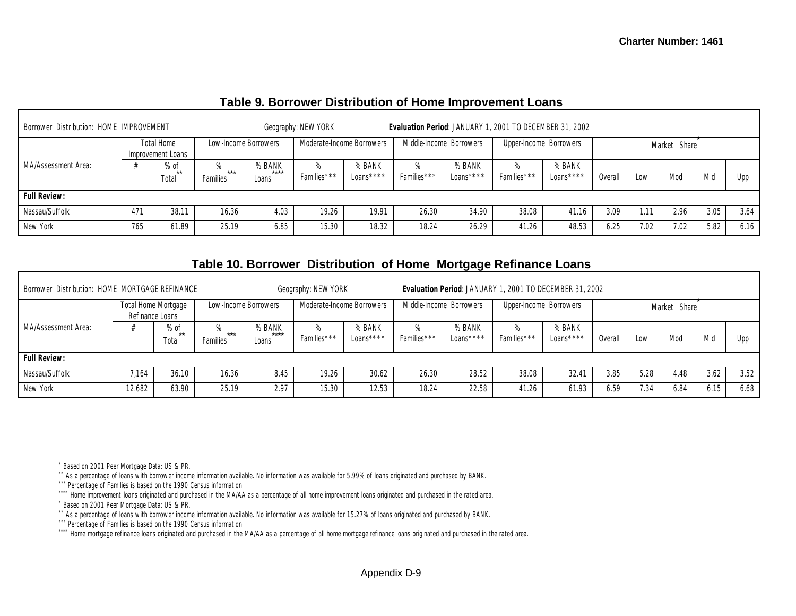|  | Table 9. Borrower Distribution of Home Improvement Loans |  |
|--|----------------------------------------------------------|--|
|--|----------------------------------------------------------|--|

| Borrower Distribution: HOME IMPROVEMENT |     |                                 |                   |                          | Geography: NEW YORK       |                     | Evaluation Period: JANUARY 1, 2001 TO DECEMBER 31, 2002 |                         |                        |                     |         |      |              |      |      |
|-----------------------------------------|-----|---------------------------------|-------------------|--------------------------|---------------------------|---------------------|---------------------------------------------------------|-------------------------|------------------------|---------------------|---------|------|--------------|------|------|
|                                         |     | Total Home<br>Improvement Loans |                   | Low-Income Borrowers     | Moderate-Income Borrowers |                     |                                                         | Middle-Income Borrowers | Upper-Income Borrowers |                     |         |      | Market Share |      |      |
| MA/Assessment Area:                     |     | % of<br>**<br>Total             | $***$<br>Families | % BANK<br>$***$<br>Loans | %<br>Families***          | % BANK<br>Loans**** | ℅<br>Families***                                        | % BANK<br>Loans****     | ℅<br>Families***       | % BANK<br>Loans**** | Overall | Low  | Mod          | Mid  | Upp  |
| <b>Full Review:</b>                     |     |                                 |                   |                          |                           |                     |                                                         |                         |                        |                     |         |      |              |      |      |
| Nassau/Suffolk                          | 471 | 38.11                           | 16.36             | 4.03                     | 19.26                     | 19.91               | 26.30                                                   | 34.90                   | 38.08                  | 41.16               | 3.09    | 1.11 | 2.96         | 3.05 | 3.64 |
| New York                                | 765 | 61.89                           | 25.19             | 6.85                     | 15.30                     | 18.32               | 18.24                                                   | 26.29                   | 41.26                  | 48.53               | 6.25    | 7.02 | 7.02         | 5.82 | 6.16 |

#### **Table 10. Borrower Distribution of Home Mortgage Refinance Loans**

| Borrower Distribution: HOME MORTGAGE REFINANCE |                 |                         |                        |                          | Geography: NEW YORK |                           |                         |                     | Evaluation Period: JANUARY 1, 2001 TO DECEMBER 31, 2002 |                     |         |      | Market Share<br>Mic<br>Mod<br>Low |      |      |
|------------------------------------------------|-----------------|-------------------------|------------------------|--------------------------|---------------------|---------------------------|-------------------------|---------------------|---------------------------------------------------------|---------------------|---------|------|-----------------------------------|------|------|
|                                                | Refinance Loans | Total Home Mortgage     |                        | Low-Income Borrowers     |                     | Moderate-Income Borrowers | Middle-Income Borrowers |                     | Upper-Income Borrowers                                  |                     |         |      |                                   |      |      |
| MA/Assessment Area:                            |                 | $%$ of<br>$**$<br>Total | ***<br><b>Families</b> | % BANK<br>$***$<br>Loans | %<br>Families***    | % BANK<br>Loans ****      | $\%$<br>Families***     | % BANK<br>Loans**** | $\%$<br>Families***                                     | % BANK<br>Loans**** | Overall |      |                                   |      | Upp  |
| <b>Full Review:</b>                            |                 |                         |                        |                          |                     |                           |                         |                     |                                                         |                     |         |      |                                   |      |      |
| Nassau/Suffolk                                 | 7.164           | 36.10                   | 16.36                  | 8.45                     | 19.26               | 30.62                     | 26.30                   | 28.52               | 38.08                                                   | 32.41               | 3.85    | 5.28 | 4.48                              | 3.62 | 3.52 |
| New York                                       | 12.682          | 63.90                   | 25.19                  | 2.97                     | 15.30               | 12.53                     | 18.24                   | 22.58               | 41.26                                                   | 61.93               | 6.59    | 7.34 | 6.84                              | 6.15 | 6.68 |

<sup>\*</sup> Based on 2001 Peer Mortgage Data: US & PR.

<sup>\*\*</sup> As a percentage of loans with borrower income information available. No information was available for 5.99% of loans originated and purchased by BANK.

<sup>\*\*\*</sup> Percentage of Families is based on the 1990 Census information.

<sup>\*\*\*\*</sup> Home improvement loans originated and purchased in the MA/AA as a percentage of all home improvement loans originated and purchased in the rated area.

<sup>\*</sup> Based on 2001 Peer Mortgage Data: US & PR.

<sup>\*\*</sup> As a percentage of loans with borrower income information available. No information was available for 15.27% of loans originated and purchased by BANK.

<sup>\*\*\*</sup> Percentage of Families is based on the 1990 Census information.

<sup>\*\*\*\*\*</sup> Home mortgage refinance loans originated and purchased in the MA/AA as a percentage of all home mortgage refinance loans originated and purchased in the rated area.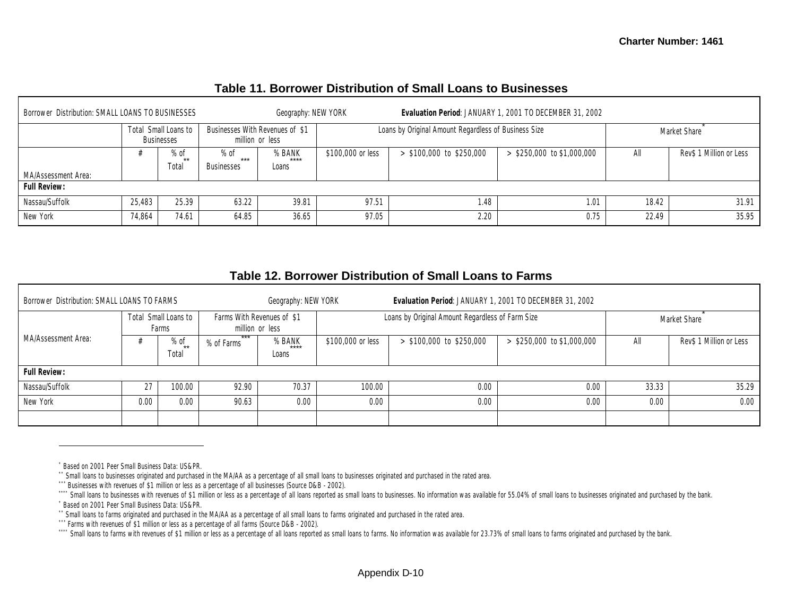| Borrower Distribution: SMALL LOANS TO BUSINESSES |        |                                           |                                    | Geography: NEW YORK                                |                   |                                                      | Evaluation Period: JANUARY 1, 2001 TO DECEMBER 31, 2002 |       |                         |
|--------------------------------------------------|--------|-------------------------------------------|------------------------------------|----------------------------------------------------|-------------------|------------------------------------------------------|---------------------------------------------------------|-------|-------------------------|
|                                                  |        | Total Small Loans to<br><b>Businesses</b> |                                    | Businesses With Revenues of \$1<br>million or less |                   | Loans by Original Amount Regardless of Business Size |                                                         |       | Market Share            |
| MA/Assessment Area:                              |        | $%$ of<br>$**$<br>Total                   | $%$ of<br>***<br><b>Businesses</b> | % BANK<br>****<br>Loans                            | \$100,000 or less | $>$ \$100,000 to \$250,000                           | $>$ \$250,000 to \$1,000,000                            | All   | Rev\$ 1 Million or Less |
| <b>Full Review:</b>                              |        |                                           |                                    |                                                    |                   |                                                      |                                                         |       |                         |
| Nassau/Suffolk                                   | 25,483 | 25.39                                     | 63.22                              | 39.81                                              | 97.51             | 1.48                                                 | 1.01                                                    | 18.42 | 31.91                   |
| New York                                         | 74,864 | 74.61                                     | 64.85                              | 36.65                                              | 97.05             | 2.20                                                 | 0.75                                                    | 22.49 | 35.95                   |

### **Table 11. Borrower Distribution of Small Loans to Businesses**

| Table 12. Borrower Distribution of Small Loans to Farms |  |
|---------------------------------------------------------|--|
|---------------------------------------------------------|--|

| Borrower Distribution: SMALL LOANS TO FARMS |      |                               |            | Geography: NEW YORK                           |                   | Evaluation Period: JANUARY 1, 2001 TO DECEMBER 31, 2002 |                              |       |                         |
|---------------------------------------------|------|-------------------------------|------------|-----------------------------------------------|-------------------|---------------------------------------------------------|------------------------------|-------|-------------------------|
|                                             |      | Total Small Loans to<br>Farms |            | Farms With Revenues of \$1<br>million or less |                   | Loans by Original Amount Regardless of Farm Size        |                              |       | Market Share            |
| MA/Assessment Area:                         |      | $%$ of<br>$**$<br>Total       | % of Farms | % BANK<br>$***$<br>Loans                      | \$100,000 or less | $>$ \$100,000 to \$250,000                              | $>$ \$250,000 to \$1,000,000 | All   | Rev\$ 1 Million or Less |
| <b>Full Review:</b>                         |      |                               |            |                                               |                   |                                                         |                              |       |                         |
| Nassau/Suffolk                              | 27   | 100.00                        | 92.90      | 70.37                                         | 100.00            | 0.00                                                    | 0.00                         | 33.33 | 35.29                   |
| New York                                    | 0.00 | 0.00                          | 90.63      | 0.00                                          | 0.00              | 0.00                                                    | 0.00                         | 0.00  | 0.00                    |
|                                             |      |                               |            |                                               |                   |                                                         |                              |       |                         |

<sup>\*</sup> Based on 2001 Peer Small Business Data: US&PR.

<sup>\*\*</sup> Small loans to businesses originated and purchased in the MA/AA as a percentage of all small loans to businesses originated and purchased in the rated area.

<sup>\*\*\*</sup> Businesses with revenues of \$1 million or less as a percentage of all businesses (Source D&B - 2002).

<sup>&</sup>quot;" Small loans to businesses with revenues of \$1 million or less as a percentage of all loans reported as small loans to businesses. No information was available for 55.04% of small loans to businesses originated and purch \* Based on 2001 Peer Small Business Data: US&PR.

<sup>\*\*</sup> Small loans to farms originated and purchased in the MA/AA as a percentage of all small loans to farms originated and purchased in the rated area.

<sup>\*\*\*</sup> Farms with revenues of \$1 million or less as a percentage of all farms (Source D&B - 2002).

Small loans to farms with revenues of \$1 million or less as a percentage of all loans reported as small loans to farms. No information was available for 23.73% of small loans to farms originated and purchased by the bank.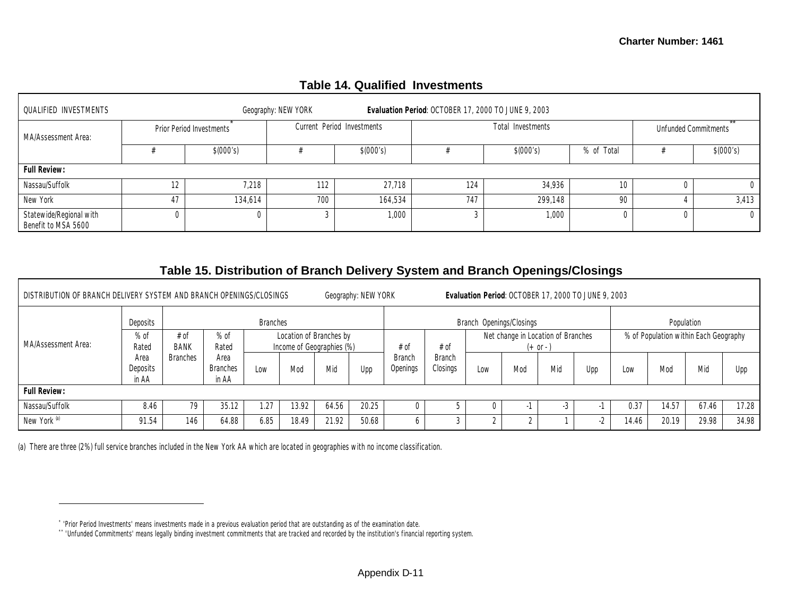| <b>QUALIFIED INVESTMENTS</b>                   |    |                          | Geography: NEW YORK |                            | Evaluation Period: OCTOBER 17, 2000 TO JUNE 9, 2003 |                   |            |          |                             |
|------------------------------------------------|----|--------------------------|---------------------|----------------------------|-----------------------------------------------------|-------------------|------------|----------|-----------------------------|
| MA/Assessment Area:                            |    | Prior Period Investments |                     | Current Period Investments |                                                     | Total Investments |            |          | <b>Unfunded Commitments</b> |
|                                                |    | \$(000's)                |                     | \$(000's)                  |                                                     | \$(000's)         | % of Total |          | \$(000's)                   |
| <b>Full Review:</b>                            |    |                          |                     |                            |                                                     |                   |            |          |                             |
| Nassau/Suffolk                                 | 12 | 7,218                    | 112                 | 27.718                     | 124                                                 | 34.936            | 10         |          | $\Omega$                    |
| New York                                       | 47 | 134.614                  | 700                 | 164.534                    | 747                                                 | 299.148           | 90         |          | 3,413                       |
| Statewide/Regional with<br>Benefit to MSA 5600 |    | $\Omega$                 |                     | 1,000                      |                                                     | 1,000             |            | $\Omega$ | $\overline{0}$              |

### **Table 14. Qualified Investments**

### **Table 15. Distribution of Branch Delivery System and Branch Openings/Closings**

| DISTRIBUTION OF BRANCH DELIVERY SYSTEM AND BRANCH OPENINGS/CLOSINGS<br>Geography: NEW YORK<br>Evaluation Period: OCTOBER 17, 2000 TO JUNE 9, 2003 |                           |                                                                                                |                                  |                 |       |       |            |                           |                           |     |                                                                                           |     |     |       |            |       |       |  |  |
|---------------------------------------------------------------------------------------------------------------------------------------------------|---------------------------|------------------------------------------------------------------------------------------------|----------------------------------|-----------------|-------|-------|------------|---------------------------|---------------------------|-----|-------------------------------------------------------------------------------------------|-----|-----|-------|------------|-------|-------|--|--|
| MA/Assessment Area:                                                                                                                               | Deposits                  |                                                                                                |                                  | <b>Branches</b> |       |       |            | Branch Openings/Closings  |                           |     |                                                                                           |     |     |       | Population |       |       |  |  |
|                                                                                                                                                   | $%$ of<br>Rated           | $%$ of<br># of<br>Location of Branches by<br><b>BANK</b><br>Income of Geographies (%)<br>Rated |                                  |                 |       |       |            | # of                      | # of                      |     | % of Population within Each Geography<br>Net change in Location of Branches<br>$(+ or -)$ |     |     |       |            |       |       |  |  |
|                                                                                                                                                   | Area<br>Deposits<br>in AA | <b>Branches</b>                                                                                | Area<br><b>Branches</b><br>in AA | Low             | Mod   | Mid   | <b>Upp</b> | <b>Branch</b><br>Openings | <b>Branch</b><br>Closings | Low | Mod                                                                                       | Mid | Upp | Low   | Mod        | Mid   | Upp   |  |  |
| <b>Full Review:</b>                                                                                                                               |                           |                                                                                                |                                  |                 |       |       |            |                           |                           |     |                                                                                           |     |     |       |            |       |       |  |  |
| Nassau/Suffolk                                                                                                                                    | 8.46                      | 79                                                                                             | 35.12                            | 1.27            | 13.92 | 64.56 | 20.25      |                           |                           |     |                                                                                           |     |     | 0.37  | 14.57      | 67.46 | 17.28 |  |  |
| New York <sup>(a)</sup>                                                                                                                           | 91.54                     | 146                                                                                            | 64.88                            | 6.85            | 18.49 | 21.92 | 50.68      |                           |                           |     |                                                                                           |     | -2  | 14.46 | 20.19      | 29.98 | 34.98 |  |  |

(a) There are three (2%) full service branches included in the New York AA which are located in geographies with no income classification.

<sup>\*</sup> 'Prior Period Investments' means investments made in a previous evaluation period that are outstanding as of the examination date.

<sup>\*\*</sup> 'Unfunded Commitments' means legally binding investment commitments that are tracked and recorded by the institution's financial reporting system.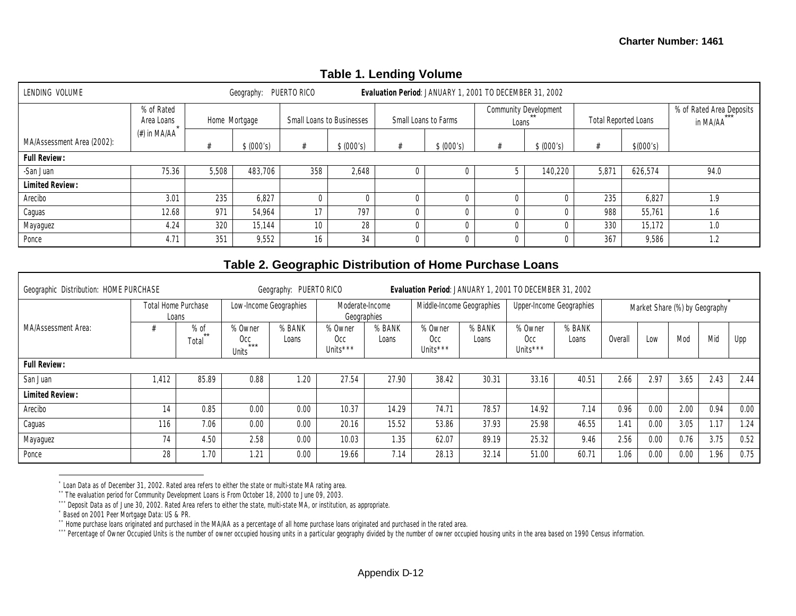| LENDING VOLUME             |                          |       | Geography: PUERTO RICO |                 |                                  | ັ              |                      | Evaluation Period: JANUARY 1, 2001 TO DECEMBER 31, 2002 |                                |                |                             |                                      |
|----------------------------|--------------------------|-------|------------------------|-----------------|----------------------------------|----------------|----------------------|---------------------------------------------------------|--------------------------------|----------------|-----------------------------|--------------------------------------|
|                            | % of Rated<br>Area Loans |       | Home Mortgage          |                 | <b>Small Loans to Businesses</b> |                | Small Loans to Farms |                                                         | Community Development<br>Loans |                | <b>Total Reported Loans</b> | % of Rated Area Deposits<br>in MA/AA |
| MA/Assessment Area (2002): | (#) in MA/AA             |       | \$ (000's)             |                 | \$ (000's)                       |                | \$ (000's)           |                                                         | \$ (000's)                     |                | \$(000's)                   |                                      |
| <b>Full Review:</b>        |                          |       |                        |                 |                                  |                |                      |                                                         |                                |                |                             |                                      |
| -San Juan                  | 75.36                    | 5,508 | 483,706                | 358             | 2,648                            |                |                      |                                                         | 140,220                        | $5,87^{\circ}$ | 626,574                     | 94.0                                 |
| <b>Limited Review:</b>     |                          |       |                        |                 |                                  |                |                      |                                                         |                                |                |                             |                                      |
| Arecibo                    | 3.01                     | 235   | 6,827                  |                 |                                  |                |                      |                                                         |                                | 235            | 6,827                       | 1.9                                  |
| Caguas                     | 12.68                    | 971   | 54,964                 | 17              | 797                              |                |                      |                                                         |                                | 988            | 55,761                      | 1.6                                  |
| Mayaguez                   | 4.24                     | 320   | 15,144                 | 10 <sup>°</sup> | 28                               | $\Omega$       |                      | U                                                       |                                | 330            | 15,172                      | 1.0                                  |
| Ponce                      | 4.71                     | 351   | 9,552                  | 16              | 34                               | $\overline{0}$ |                      | 0                                                       |                                | 367            | 9,586                       | 1.2                                  |

### **Table 1. Lending Volume**

### **Table 2. Geographic Distribution of Home Purchase Loans**

| Geographic Distribution: HOME PURCHASE | Geography: PUERTO RICO<br>Evaluation Period: JANUARY 1, 2001 TO DECEMBER 31, 2002 |                                     |                                  |                 |                                        |                 |                                        |                 |                                        |                 |                               |      |      |      |      |
|----------------------------------------|-----------------------------------------------------------------------------------|-------------------------------------|----------------------------------|-----------------|----------------------------------------|-----------------|----------------------------------------|-----------------|----------------------------------------|-----------------|-------------------------------|------|------|------|------|
|                                        |                                                                                   | <b>Total Home Purchase</b><br>Loans | Low-Income Geographies           |                 | Moderate-Income<br>Geographies         |                 | Middle-Income Geographies              |                 | Upper-Income Geographies               |                 | Market Share (%) by Geography |      |      |      |      |
| MA/Assessment Area:                    |                                                                                   | $%$ of<br>$***$<br>Total            | % Owner<br>0cc<br>$***$<br>Units | % BANK<br>Loans | % Owner<br>Occ<br>Units <sup>***</sup> | % BANK<br>Loans | % Owner<br>0cc<br>Units <sup>***</sup> | % BANK<br>Loans | % Owner<br>Occ<br>Units <sup>***</sup> | % BANK<br>Loans | Overall                       | Low  | Mod  | Mid  | Upp  |
| <b>Full Review:</b>                    |                                                                                   |                                     |                                  |                 |                                        |                 |                                        |                 |                                        |                 |                               |      |      |      |      |
| San Juan                               | 1.412                                                                             | 85.89                               | 0.88                             | 1.20            | 27.54                                  | 27.90           | 38.42                                  | 30.31           | 33.16                                  | 40.51           | 2.66                          | 2.97 | 3.65 | 2.43 | 2.44 |
| <b>Limited Review:</b>                 |                                                                                   |                                     |                                  |                 |                                        |                 |                                        |                 |                                        |                 |                               |      |      |      |      |
| Arecibo                                | 14                                                                                | 0.85                                | 0.00                             | 0.00            | 10.37                                  | 14.29           | 74.71                                  | 78.57           | 14.92                                  | 7.14            | 0.96                          | 0.00 | 2.00 | 0.94 | 0.00 |
| Caguas                                 | 116                                                                               | 7.06                                | 0.00                             | 0.00            | 20.16                                  | 15.52           | 53.86                                  | 37.93           | 25.98                                  | 46.55           | 1.41                          | 0.00 | 3.05 | 1.17 | 1.24 |
| Mayaguez                               | 74                                                                                | 4.50                                | 2.58                             | 0.00            | 10.03                                  | 1.35            | 62.07                                  | 89.19           | 25.32                                  | 9.46            | 2.56                          | 0.00 | 0.76 | 3.75 | 0.52 |
| Ponce                                  | 28                                                                                | 1.70                                | 1.21                             | 0.00            | 19.66                                  | 7.14            | 28.13                                  | 32.14           | 51.00                                  | 60.71           | 1.06                          | 0.00 | 0.00 | 1.96 | 0.75 |

 $\overline{a}$ \* Loan Data as of December 31, 2002. Rated area refers to either the state or multi-state MA rating area.

\*\* The evaluation period for Community Development Loans is From October 18, 2000 to June 09, 2003.

\*\*\* Deposit Data as of June 30, 2002. Rated Area refers to either the state, multi-state MA, or institution, as appropriate.

\* Based on 2001 Peer Mortgage Data: US & PR.

\*\* Home purchase loans originated and purchased in the MA/AA as a percentage of all home purchase loans originated and purchased in the rated area.

\*\*\* Percentage of Owner Occupied Units is the number of owner occupied housing units in a particular geography divided by the number of owner occupied housing units in the area based on 1990 Census information.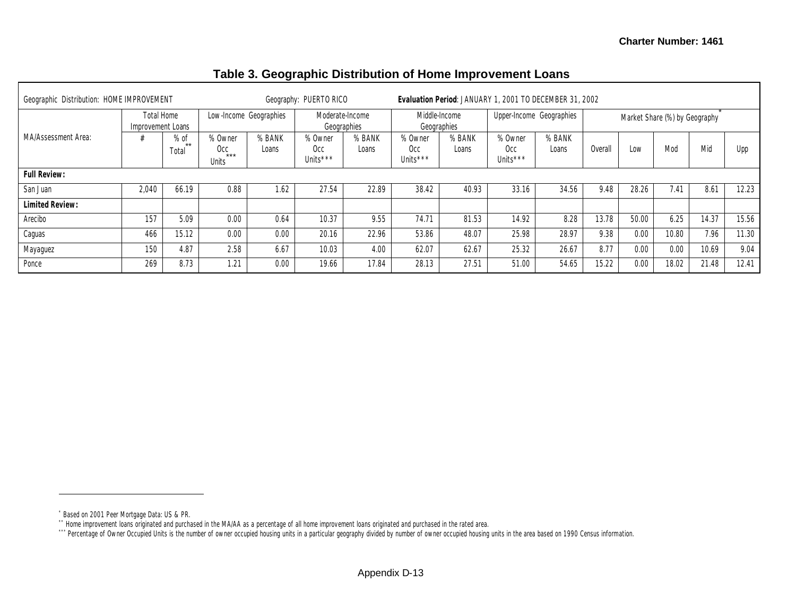| Geographic Distribution: HOME IMPROVEMENT |                                 |                       | Geography: PUERTO RICO           |                 | Evaluation Period: JANUARY 1, 2001 TO DECEMBER 31, 2002 |                 |                                        |                 |                            |                 |                               |       |       |       |       |
|-------------------------------------------|---------------------------------|-----------------------|----------------------------------|-----------------|---------------------------------------------------------|-----------------|----------------------------------------|-----------------|----------------------------|-----------------|-------------------------------|-------|-------|-------|-------|
|                                           | Total Home<br>Improvement Loans |                       | Low-Income Geographies           |                 | Moderate-Income<br>Geographies                          |                 | Middle-Income<br>Geographies           |                 | Upper-Income Geographies   |                 | Market Share (%) by Geography |       |       |       |       |
| MA/Assessment Area:                       |                                 | $%$ of<br>**<br>Total | % Owner<br>Occ<br>$***$<br>Units | % BANK<br>Loans | % Owner<br>Occ<br>Units <sup>***</sup>                  | % BANK<br>Loans | % Owner<br>Occ<br>Units <sup>***</sup> | % BANK<br>Loans | % Owner<br>Occ<br>Units*** | % BANK<br>Loans | <b>Overall</b>                | Low   | Mod   | Mid   | Upp   |
| <b>Full Review:</b>                       |                                 |                       |                                  |                 |                                                         |                 |                                        |                 |                            |                 |                               |       |       |       |       |
| San Juan                                  | 2,040                           | 66.19                 | 0.88                             | 1.62            | 27.54                                                   | 22.89           | 38.42                                  | 40.93           | 33.16                      | 34.56           | 9.48                          | 28.26 | 7.41  | 8.61  | 12.23 |
| <b>Limited Review:</b>                    |                                 |                       |                                  |                 |                                                         |                 |                                        |                 |                            |                 |                               |       |       |       |       |
| Arecibo                                   | 157                             | 5.09                  | 0.00                             | 0.64            | 10.37                                                   | 9.55            | 74.71                                  | 81.53           | 14.92                      | 8.28            | 13.78                         | 50.00 | 6.25  | 14.37 | 15.56 |
| Caguas                                    | 466                             | 15.12                 | 0.00                             | 0.00            | 20.16                                                   | 22.96           | 53.86                                  | 48.07           | 25.98                      | 28.97           | 9.38                          | 0.00  | 10.80 | 7.96  | 11.30 |
| Mayaguez                                  | 150                             | 4.87                  | 2.58                             | 6.67            | 10.03                                                   | 4.00            | 62.07                                  | 62.67           | 25.32                      | 26.67           | 8.77                          | 0.00  | 0.00  | 10.69 | 9.04  |
| Ponce                                     | 269                             | 8.73                  | 1.21                             | 0.00            | 19.66                                                   | 17.84           | 28.13                                  | 27.51           | 51.00                      | 54.65           | 15.22                         | 0.00  | 18.02 | 21.48 | 12.41 |

#### **Table 3. Geographic Distribution of Home Improvement Loans**

<sup>\*</sup> Based on 2001 Peer Mortgage Data: US & PR.

<sup>\*\*</sup> Home improvement loans originated and purchased in the MA/AA as a percentage of all home improvement loans originated and purchased in the rated area.

<sup>\*\*\*</sup> Percentage of Owner Occupied Units is the number of owner occupied housing units in a particular geography divided by number of owner occupied housing units in the area based on 1990 Census information.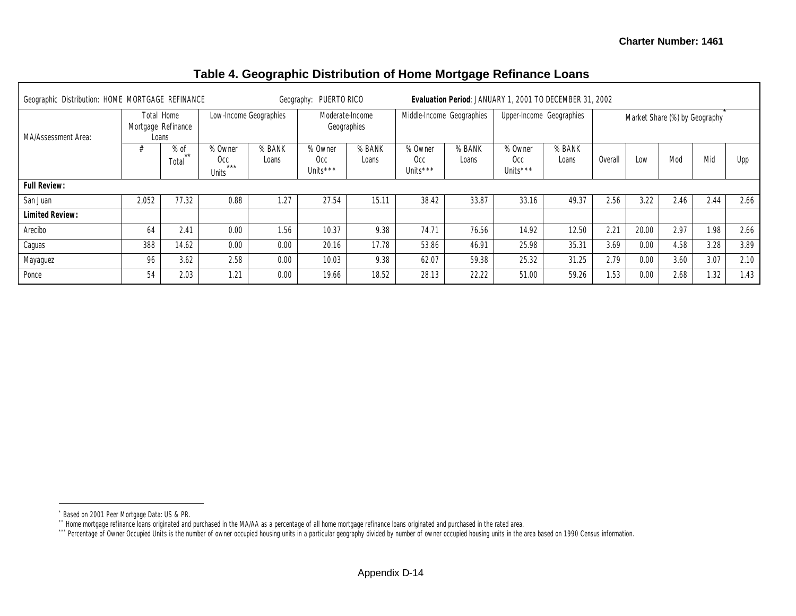| Geographic Distribution: HOME MORTGAGE REFINANCE |       |                                           |                                  |                 | Geography: PUERTO RICO                  |                                |                                        | Evaluation Period: JANUARY 1, 2001 TO DECEMBER 31, 2002 |                                        |                 |         |       |                               |      |      |
|--------------------------------------------------|-------|-------------------------------------------|----------------------------------|-----------------|-----------------------------------------|--------------------------------|----------------------------------------|---------------------------------------------------------|----------------------------------------|-----------------|---------|-------|-------------------------------|------|------|
| MA/Assessment Area:                              |       | Total Home<br>Mortgage Refinance<br>Loans | Low-Income Geographies           |                 |                                         | Moderate-Income<br>Geographies |                                        | Middle-Income Geographies                               | Upper-Income Geographies               |                 |         |       | Market Share (%) by Geography |      |      |
|                                                  |       | $%$ of<br>$**$<br>Total                   | % Owner<br>Occ<br>$***$<br>Units | % BANK<br>Loans | % Owner<br>Occ.<br>Units <sup>***</sup> | % BANK<br>Loans                | % Owner<br>0cc<br>Units <sup>***</sup> | % BANK<br>Loans                                         | % Owner<br>Occ<br>Units <sup>***</sup> | % BANK<br>Loans | Overall | Low   | Mod                           | Mid  | Upp  |
| <b>Full Review:</b>                              |       |                                           |                                  |                 |                                         |                                |                                        |                                                         |                                        |                 |         |       |                               |      |      |
| San Juan                                         | 2,052 | 77.32                                     | 0.88                             | 1.27            | 27.54                                   | 15.11                          | 38.42                                  | 33.87                                                   | 33.16                                  | 49.37           | 2.56    | 3.22  | 2.46                          | 2.44 | 2.66 |
| <b>Limited Review:</b>                           |       |                                           |                                  |                 |                                         |                                |                                        |                                                         |                                        |                 |         |       |                               |      |      |
| Arecibo                                          | 64    | 2.41                                      | 0.00                             | 1.56            | 10.37                                   | 9.38                           | 74.71                                  | 76.56                                                   | 14.92                                  | 12.50           | 2.21    | 20.00 | 2.97                          | 1.98 | 2.66 |
| Caguas                                           | 388   | 14.62                                     | 0.00                             | 0.00            | 20.16                                   | 17.78                          | 53.86                                  | 46.91                                                   | 25.98                                  | 35.31           | 3.69    | 0.00  | 4.58                          | 3.28 | 3.89 |
| Mayaguez                                         | 96    | 3.62                                      | 2.58                             | 0.00            | 10.03                                   | 9.38                           | 62.07                                  | 59.38                                                   | 25.32                                  | 31.25           | 2.79    | 0.00  | 3.60                          | 3.07 | 2.10 |
| Ponce                                            | 54    | 2.03                                      | 1.21                             | 0.00            | 19.66                                   | 18.52                          | 28.13                                  | 22.22                                                   | 51.00                                  | 59.26           | 1.53    | 0.00  | 2.68                          | 1.32 | 1.43 |

## **Table 4. Geographic Distribution of Home Mortgage Refinance Loans**

<sup>\*</sup> Based on 2001 Peer Mortgage Data: US & PR.

<sup>\*\*</sup> Home mortgage refinance loans originated and purchased in the MA/AA as a percentage of all home mortgage refinance loans originated and purchased in the rated area.

<sup>\*\*\*</sup> Percentage of Owner Occupied Units is the number of owner occupied housing units in a particular geography divided by number of owner occupied housing units in the area based on 1990 Census information.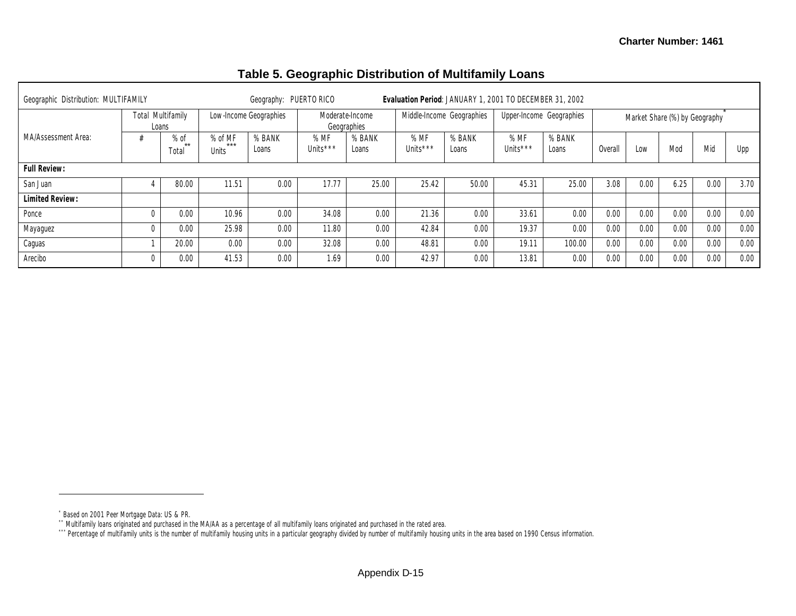| Geographic Distribution: MULTIFAMILY |                                   |                           | Geography: PUERTO RICO |                    |                                |                  | Evaluation Period: JANUARY 1, 2001 TO DECEMBER 31, 2002 |                 |                          |         |      |      |                               |      |
|--------------------------------------|-----------------------------------|---------------------------|------------------------|--------------------|--------------------------------|------------------|---------------------------------------------------------|-----------------|--------------------------|---------|------|------|-------------------------------|------|
|                                      | <b>Total Multifamily</b><br>Loans |                           | Low-Income Geographies |                    | Moderate-Income<br>Geographies |                  | Middle-Income Geographies                               |                 | Upper-Income Geographies |         |      |      | Market Share (%) by Geography |      |
| MA/Assessment Area:                  | $%$ of<br>$**$<br>Total           | % of MF<br>$***$<br>Units | % BANK<br>Loans        | %MF<br>Units $***$ | % BANK<br>Loans                | % MF<br>Units*** | % BANK<br>Loans                                         | %MF<br>Units*** | % BANK<br>Loans          | Overall | Low  | Mod  | Mic                           | Upp  |
| <b>Full Review:</b>                  |                                   |                           |                        |                    |                                |                  |                                                         |                 |                          |         |      |      |                               |      |
| San Juan                             | 80.00                             | 11.51                     | 0.00                   | 17.77              | 25.00                          | 25.42            | 50.00                                                   | 45.31           | 25.00                    | 3.08    | 0.00 | 6.25 | 0.00                          | 3.70 |
| <b>Limited Review:</b>               |                                   |                           |                        |                    |                                |                  |                                                         |                 |                          |         |      |      |                               |      |
| Ponce                                | 0.00                              | 10.96                     | 0.00                   | 34.08              | 0.00                           | 21.36            | 0.00                                                    | 33.61           | 0.00                     | 0.00    | 0.00 | 0.00 | 0.00                          | 0.00 |
| Mayaguez                             | 0.00                              | 25.98                     | 0.00                   | 11.80              | 0.00                           | 42.84            | 0.00                                                    | 19.37           | 0.00                     | 0.00    | 0.00 | 0.00 | 0.00                          | 0.00 |
| Caguas                               | 20.00                             | 0.00                      | 0.00                   | 32.08              | 0.00                           | 48.81            | 0.00                                                    | 19.11           | 100.00                   | 0.00    | 0.00 | 0.00 | 0.00                          | 0.00 |
| Arecibo                              | 0.00                              | 41.53                     | 0.00                   | 1.69               | 0.00                           | 42.97            | 0.00                                                    | 13.81           | 0.00                     | 0.00    | 0.00 | 0.00 | 0.00                          | 0.00 |

## **Table 5. Geographic Distribution of Multifamily Loans**

<sup>\*</sup> Based on 2001 Peer Mortgage Data: US & PR.

<sup>\*\*</sup> Multifamily loans originated and purchased in the MA/AA as a percentage of all multifamily loans originated and purchased in the rated area.

<sup>\*\*\*</sup> Percentage of multifamily units is the number of multifamily housing units in a particular geography divided by number of multifamily housing units in the area based on 1990 Census information.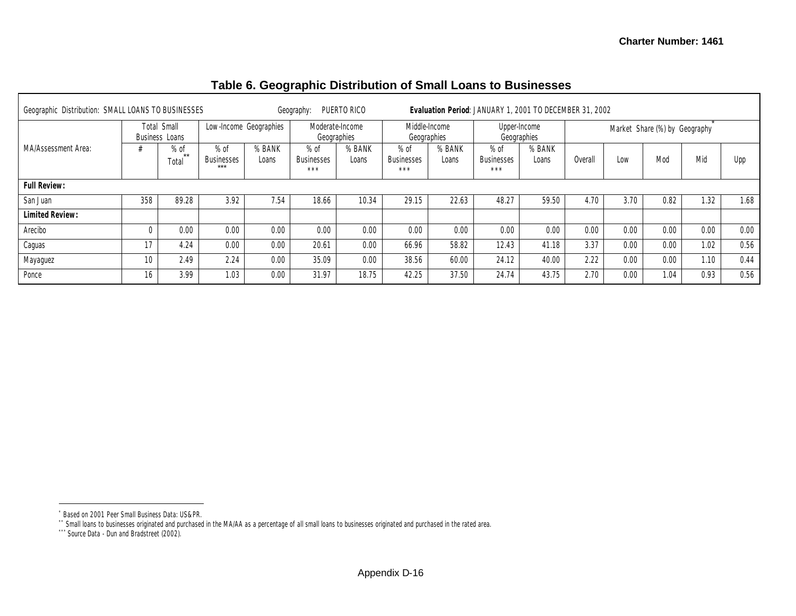٦

# **Table 6. Geographic Distribution of Small Loans to Businesses**

| Geographic Distribution: SMALL LOANS TO BUSINESSES |                 |                               |                                      |                        | Geography:                     | PUERTO RICO     |                                      |                 | Evaluation Period: JANUARY 1, 2001 TO DECEMBER 31, 2002 |                             |        |      |                               |      |      |
|----------------------------------------------------|-----------------|-------------------------------|--------------------------------------|------------------------|--------------------------------|-----------------|--------------------------------------|-----------------|---------------------------------------------------------|-----------------------------|--------|------|-------------------------------|------|------|
|                                                    |                 | Total Small<br>Business Loans |                                      | Low-Income Geographies | Moderate-Income<br>Geographies |                 | Middle-Income<br>Geographies         |                 |                                                         | Upper-Income<br>Geographies |        |      | Market Share (%) by Geography |      |      |
| MA/Assessment Area:                                |                 | $%$ of<br>$***$<br>Total      | $%$ of<br><b>Businesses</b><br>$***$ | % BANK<br>Loans        | $%$ of<br>Businesses<br>***    | % BANK<br>Loans | $%$ of<br><b>Businesses</b><br>$***$ | % BANK<br>Loans | $%$ of<br>Businesses<br>***                             | % BANK<br>Loans             | Overal | Low  | Mod                           | Mid  | Upp  |
| <b>Full Review:</b>                                |                 |                               |                                      |                        |                                |                 |                                      |                 |                                                         |                             |        |      |                               |      |      |
| San Juan                                           | 358             | 89.28                         | 3.92                                 | 7.54                   | 18.66                          | 10.34           | 29.15                                | 22.63           | 48.27                                                   | 59.50                       | 4.70   | 3.70 | 0.82                          | 1.32 | 1.68 |
| <b>Limited Review:</b>                             |                 |                               |                                      |                        |                                |                 |                                      |                 |                                                         |                             |        |      |                               |      |      |
| Arecibo                                            |                 | 0.00                          | 0.00                                 | 0.00                   | 0.00                           | 0.00            | 0.00                                 | 0.00            | 0.00                                                    | 0.00                        | 0.00   | 0.00 | 0.00                          | 0.00 | 0.00 |
| Caguas                                             |                 | 4.24                          | 0.00                                 | 0.00                   | 20.61                          | 0.00            | 66.96                                | 58.82           | 12.43                                                   | 41.18                       | 3.37   | 0.00 | 0.00                          | 1.02 | 0.56 |
| Mayaguez                                           | 10 <sup>1</sup> | 2.49                          | 2.24                                 | 0.00                   | 35.09                          | 0.00            | 38.56                                | 60.00           | 24.12                                                   | 40.00                       | 2.22   | 0.00 | 0.00                          | 1.10 | 0.44 |
| Ponce                                              | 16              | 3.99                          | 1.03                                 | 0.00                   | 31.97                          | 18.75           | 42.25                                | 37.50           | 24.74                                                   | 43.75                       | 2.70   | 0.00 | 1.04                          | 0.93 | 0.56 |

\*\* Small loans to businesses originated and purchased in the MA/AA as a percentage of all small loans to businesses originated and purchased in the rated area.

<sup>\*</sup> Based on 2001 Peer Small Business Data: US&PR.

<sup>\*\*\*</sup> Source Data - Dun and Bradstreet (2002).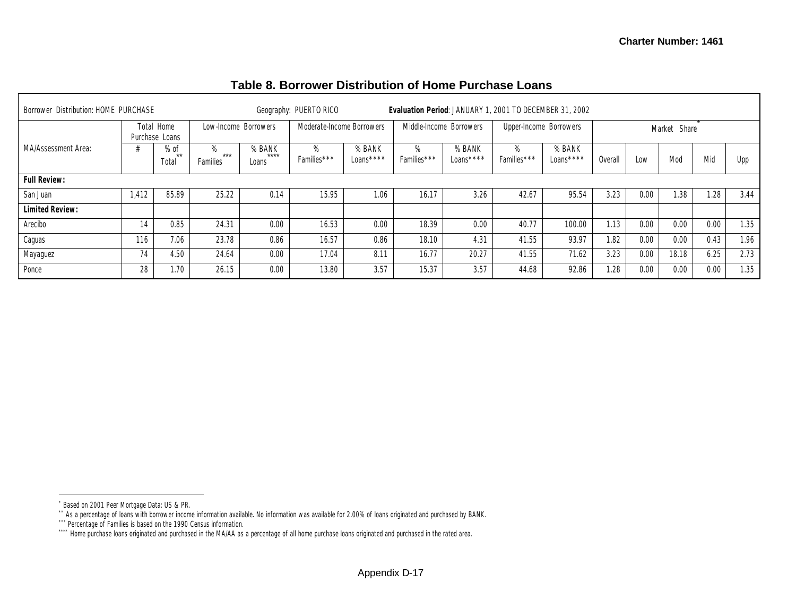| Borrower Distribution: HOME PURCHASE |       |                              |                        |                          | Geography: PUERTO RICO    |                     |                     | Evaluation Period: JANUARY 1, 2001 TO DECEMBER 31, 2002 |                     |                        |         |      |              |      |      |
|--------------------------------------|-------|------------------------------|------------------------|--------------------------|---------------------------|---------------------|---------------------|---------------------------------------------------------|---------------------|------------------------|---------|------|--------------|------|------|
|                                      |       | Total Home<br>Purchase Loans | Low-Income Borrowers   |                          | Moderate-Income Borrowers |                     |                     | Middle-Income Borrowers                                 |                     | Upper-Income Borrowers |         |      | Market Share |      |      |
| MA/Assessment Area:                  |       | $%$ of<br>$+ +$<br>Total     | %<br>$***$<br>Families | % BANK<br>$***$<br>Loans | $\%$<br>Families***       | % BANK<br>Loans**** | $\%$<br>Families*** | % BANK<br>Loans****                                     | $\%$<br>Families*** | % BANK<br>Loans****    | Overall | Low  | Mod          | Mid  | Upp  |
| <b>Full Review:</b>                  |       |                              |                        |                          |                           |                     |                     |                                                         |                     |                        |         |      |              |      |      |
| San Juan                             | 1,412 | 85.89                        | 25.22                  | 0.14                     | 15.95                     | 1.06                | 16.17               | 3.26                                                    | 42.67               | 95.54                  | 3.23    | 0.00 | 1.38         | 1.28 | 3.44 |
| <b>Limited Review:</b>               |       |                              |                        |                          |                           |                     |                     |                                                         |                     |                        |         |      |              |      |      |
| Arecibo                              | 14    | 0.85                         | 24.31                  | 0.00                     | 16.53                     | 0.00                | 18.39               | 0.00                                                    | 40.77               | 100.00                 | 1.13    | 0.00 | 0.00         | 0.00 | 1.35 |
| Caguas                               | 116   | 7.06                         | 23.78                  | 0.86                     | 16.57                     | 0.86                | 18.10               | 4.31                                                    | 41.55               | 93.97                  | 1.82    | 0.00 | 0.00         | 0.43 | 1.96 |
| Mayaguez                             | 74    | 4.50                         | 24.64                  | 0.00                     | 17.04                     | 8.11                | 16.77               | 20.27                                                   | 41.55               | 71.62                  | 3.23    | 0.00 | 18.18        | 6.25 | 2.73 |
| Ponce                                | 28    | 1.70                         | 26.15                  | 0.00                     | 13.80                     | 3.57                | 15.37               | 3.57                                                    | 44.68               | 92.86                  | 1.28    | 0.00 | 0.00         | 0.00 | 1.35 |

# **Table 8. Borrower Distribution of Home Purchase Loans**

<sup>\*</sup> Based on 2001 Peer Mortgage Data: US & PR.

<sup>\*\*</sup> As a percentage of loans with borrower income information available. No information was available for 2.00% of loans originated and purchased by BANK.

<sup>\*\*\*</sup> Percentage of Families is based on the 1990 Census information.

<sup>\*\*\*\*</sup> Home purchase loans originated and purchased in the MA/AA as a percentage of all home purchase loans originated and purchased in the rated area.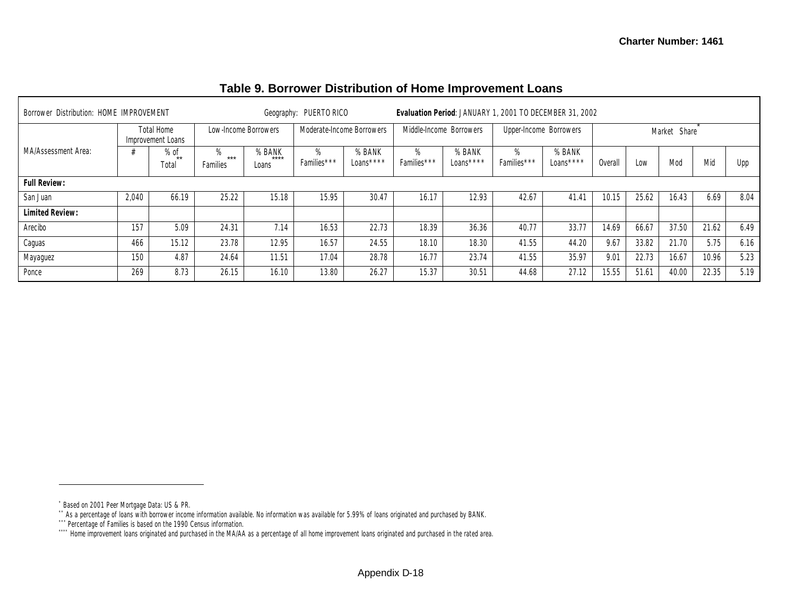| Borrower Distribution: HOME IMPROVEMENT |       |                                 |                         |                         | Geography: PUERTO RICO    |                      |                  |                         | Evaluation Period: JANUARY 1, 2001 TO DECEMBER 31, 2002 |                     |         |       |              |       |      |
|-----------------------------------------|-------|---------------------------------|-------------------------|-------------------------|---------------------------|----------------------|------------------|-------------------------|---------------------------------------------------------|---------------------|---------|-------|--------------|-------|------|
|                                         |       | Total Home<br>Improvement Loans | Low-Income Borrowers    |                         | Moderate-Income Borrowers |                      |                  | Middle-Income Borrowers | Upper-Income Borrowers                                  |                     |         |       | Market Share |       |      |
| MA/Assessment Area:                     |       | $%$ of<br>$***$<br>Tota         | 7∩<br>$***$<br>Families | % BANK<br>****<br>Loans | $\%$<br>Families***       | % BANK<br>Loans **** | %<br>Families*** | % BANK<br>Loans ****    | $\%$<br>Families***                                     | % BANK<br>Loans**** | Overall | Low   | Mod          | Mid   | Upp  |
| <b>Full Review:</b>                     |       |                                 |                         |                         |                           |                      |                  |                         |                                                         |                     |         |       |              |       |      |
| San Juan                                | 2.040 | 66.19                           | 25.22                   | 15.18                   | 15.95                     | 30.47                | 16.17            | 12.93                   | 42.67                                                   | 41.41               | 10.15   | 25.62 | 16.43        | 6.69  | 8.04 |
| <b>Limited Review:</b>                  |       |                                 |                         |                         |                           |                      |                  |                         |                                                         |                     |         |       |              |       |      |
| Arecibo                                 | 157   | 5.09                            | 24.31                   | 7.14                    | 16.53                     | 22.73                | 18.39            | 36.36                   | 40.77                                                   | 33.77               | 14.69   | 66.67 | 37.50        | 21.62 | 6.49 |
| Caguas                                  | 466   | 15.12                           | 23.78                   | 12.95                   | 16.57                     | 24.55                | 18.10            | 18.30                   | 41.55                                                   | 44.20               | 9.67    | 33.82 | 21.70        | 5.75  | 6.16 |
| Mayaguez                                | 150   | 4.87                            | 24.64                   | 11.51                   | 17.04                     | 28.78                | 16.77            | 23.74                   | 41.55                                                   | 35.97               | 9.01    | 22.73 | 16.67        | 10.96 | 5.23 |
| Ponce                                   | 269   | 8.73                            | 26.15                   | 16.10                   | 13.80                     | 26.27                | 15.37            | 30.51                   | 44.68                                                   | 27.12               | 15.55   | 51.61 | 40.00        | 22.35 | 5.19 |

# **Table 9. Borrower Distribution of Home Improvement Loans**

\* Based on 2001 Peer Mortgage Data: US & PR.

 $\overline{a}$ 

\*\* As a percentage of loans with borrower income information available. No information was available for 5.99% of loans originated and purchased by BANK.

<sup>\*\*\*</sup> Percentage of Families is based on the 1990 Census information.

<sup>\*\*\*\*</sup> Home improvement loans originated and purchased in the MA/AA as a percentage of all home improvement loans originated and purchased in the rated area.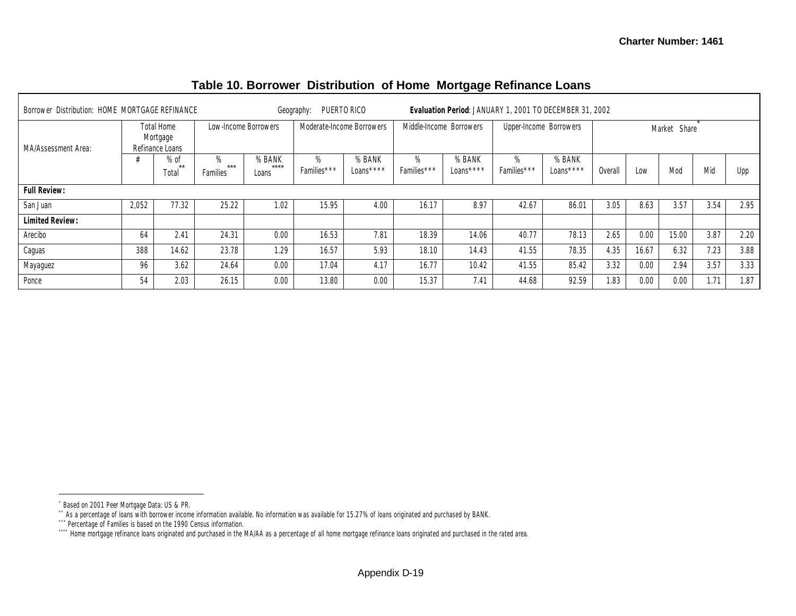| Borrower Distribution: HOME MORTGAGE REFINANCE |       |                                           |                        |                          | Geography:       | PUERTO RICO               |                  | Evaluation Period: JANUARY 1, 2001 TO DECEMBER 31, 2002 |                  |                        |         |       |              |      |      |
|------------------------------------------------|-------|-------------------------------------------|------------------------|--------------------------|------------------|---------------------------|------------------|---------------------------------------------------------|------------------|------------------------|---------|-------|--------------|------|------|
| MA/Assessment Area:                            |       | Total Home<br>Mortgage<br>Refinance Loans |                        | Low-Income Borrowers     |                  | Moderate-Income Borrowers |                  | Middle-Income Borrowers                                 |                  | Upper-Income Borrowers |         |       | Market Share |      |      |
|                                                |       | $%$ of<br>$+ +$<br>Total                  | %<br>$***$<br>Families | % BANK<br>$***$<br>Loans | %<br>Families*** | % BANK<br>Loans****       | %<br>Families*** | % BANK<br>Loans ****                                    | %<br>Families*** | % BANK<br>Loans ****   | Overall | Low   | Mod          | Mid  | Upp  |
| <b>Full Review:</b>                            |       |                                           |                        |                          |                  |                           |                  |                                                         |                  |                        |         |       |              |      |      |
| San Juan                                       | 2.052 | 77.32                                     | 25.22                  | 1.02                     | 15.95            | 4.00                      | 16.17            | 8.97                                                    | 42.67            | 86.01                  | 3.05    | 8.63  | 3.57         | 3.54 | 2.95 |
| <b>Limited Review:</b>                         |       |                                           |                        |                          |                  |                           |                  |                                                         |                  |                        |         |       |              |      |      |
| Arecibo                                        | 64    | 2.41                                      | 24.31                  | 0.00                     | 16.53            | 7.81                      | 18.39            | 14.06                                                   | 40.77            | 78.13                  | 2.65    | 0.00  | 15.00        | 3.87 | 2.20 |
| Caguas                                         | 388   | 14.62                                     | 23.78                  | 1.29                     | 16.57            | 5.93                      | 18.10            | 14.43                                                   | 41.55            | 78.35                  | 4.35    | 16.67 | 6.32         | 7.23 | 3.88 |
| Mayaguez                                       | 96    | 3.62                                      | 24.64                  | 0.00                     | 17.04            | 4.17                      | 16.77            | 10.42                                                   | 41.55            | 85.42                  | 3.32    | 0.00  | 2.94         | 3.57 | 3.33 |
| Ponce                                          | 54    | 2.03                                      | 26.15                  | 0.00                     | 13.80            | 0.00                      | 15.37            | 7.41                                                    | 44.68            | 92.59                  | 1.83    | 0.00  | 0.00         | 1.71 | 1.87 |

# **Table 10. Borrower Distribution of Home Mortgage Refinance Loans**

<sup>\*</sup> Based on 2001 Peer Mortgage Data: US & PR.

<sup>\*\*</sup> As a percentage of loans with borrower income information available. No information was available for 15.27% of loans originated and purchased by BANK.

<sup>\*\*\*</sup> Percentage of Families is based on the 1990 Census information.

<sup>\*\*\*\*</sup> Home mortgage refinance loans originated and purchased in the MA/AA as a percentage of all home mortgage refinance loans originated and purchased in the rated area.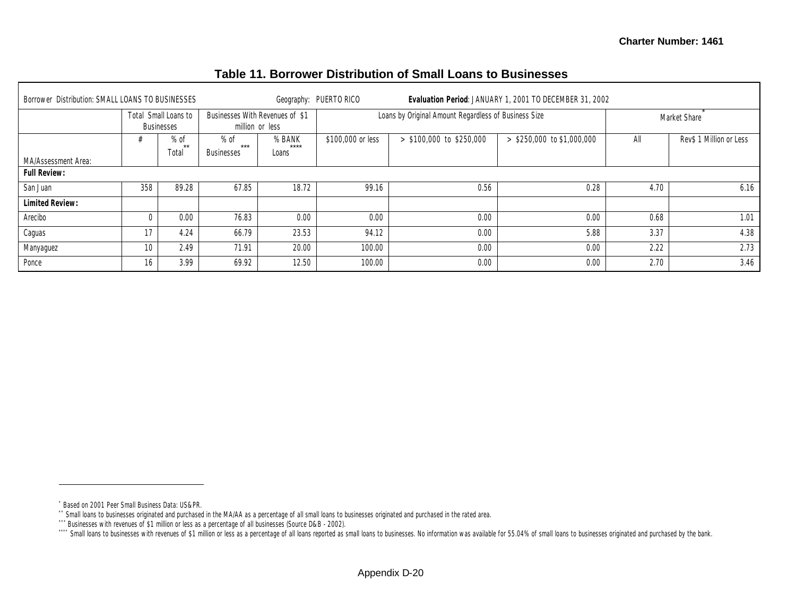| Borrower Distribution: SMALL LOANS TO BUSINESSES |     |                                           |                                      |                         | Geography: PUERTO RICO |                                                      | Evaluation Period: JANUARY 1, 2001 TO DECEMBER 31, 2002 |      |                         |
|--------------------------------------------------|-----|-------------------------------------------|--------------------------------------|-------------------------|------------------------|------------------------------------------------------|---------------------------------------------------------|------|-------------------------|
|                                                  |     | Total Small Loans to<br><b>Businesses</b> | Businesses With Revenues of \$1      | million or less         |                        | Loans by Original Amount Regardless of Business Size |                                                         |      | Market Share            |
| MA/Assessment Area:                              |     | $%$ of<br>**<br>Total                     | $%$ of<br>$***$<br><b>Businesses</b> | % BANK<br>****<br>Loans | \$100,000 or less      | $>$ \$100,000 to \$250,000                           | $>$ \$250,000 to \$1,000,000                            | All  | Rev\$ 1 Million or Less |
| <b>Full Review:</b>                              |     |                                           |                                      |                         |                        |                                                      |                                                         |      |                         |
| San Juan                                         | 358 | 89.28                                     | 67.85                                | 18.72                   | 99.16                  | 0.56                                                 | 0.28                                                    | 4.70 | 6.16                    |
| <b>Limited Review:</b>                           |     |                                           |                                      |                         |                        |                                                      |                                                         |      |                         |
| Arecibo                                          |     | 0.00                                      | 76.83                                | 0.00                    | 0.00                   | 0.00                                                 | 0.00                                                    | 0.68 | 1.01                    |
| Caguas                                           | 17  | 4.24                                      | 66.79                                | 23.53                   | 94.12                  | 0.00                                                 | 5.88                                                    | 3.37 | 4.38                    |
| Manyaguez                                        | 10  | 2.49                                      | 71.91                                | 20.00                   | 100.00                 | 0.00                                                 | 0.00                                                    | 2.22 | 2.73                    |
| Ponce                                            | 16  | 3.99                                      | 69.92                                | 12.50                   | 100.00                 | 0.00                                                 | 0.00                                                    | 2.70 | 3.46                    |

## **Table 11. Borrower Distribution of Small Loans to Businesses**

<sup>\*</sup> Based on 2001 Peer Small Business Data: US&PR.

<sup>\*\*</sup> Small loans to businesses originated and purchased in the MA/AA as a percentage of all small loans to businesses originated and purchased in the rated area.

<sup>\*\*\*</sup> Businesses with revenues of \$1 million or less as a percentage of all businesses (Source D&B - 2002).

<sup>&</sup>quot;Small loans to businesses with revenues of \$1 million or less as a percentage of all loans reported as small loans to businesses. No information was available for 55.04% of small loans to businesses originated and purchas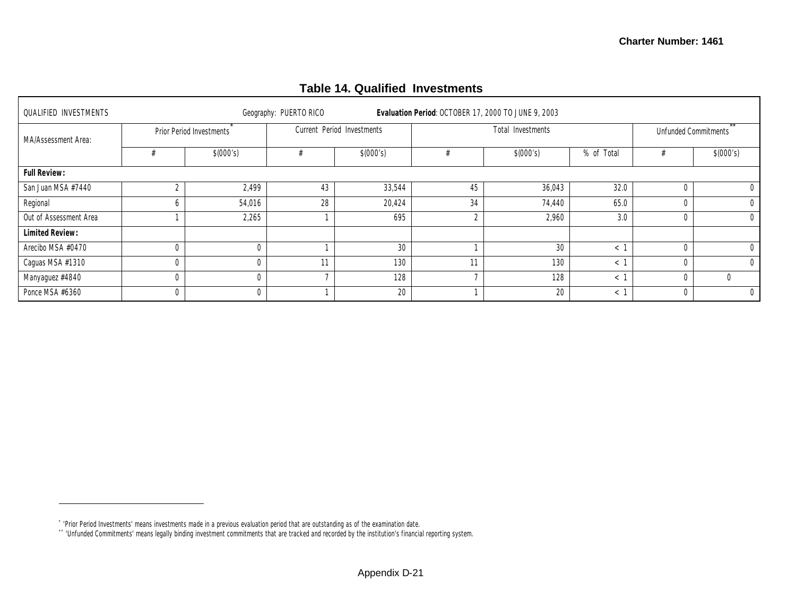## **Table 14. Qualified Investments**

| <b>QUALIFIED INVESTMENTS</b> |   |                          | Geography: PUERTO RICO |                            |        | Evaluation Period: OCTOBER 17, 2000 TO JUNE 9, 2003 |            |          |                             |
|------------------------------|---|--------------------------|------------------------|----------------------------|--------|-----------------------------------------------------|------------|----------|-----------------------------|
| MA/Assessment Area:          |   | Prior Period Investments |                        | Current Period Investments |        | Total Investments                                   |            |          | <b>Unfunded Commitments</b> |
|                              |   | \$(000's)                |                        | \$(000's)                  |        | \$(000's)                                           | % of Total |          | \$(000's)                   |
| <b>Full Review:</b>          |   |                          |                        |                            |        |                                                     |            |          |                             |
| San Juan MSA #7440           |   | 2,499                    | 43                     | 33,544                     | 45     | 36,043                                              | 32.0       |          |                             |
| Regional                     | n | 54,016                   | 28                     | 20,424                     | 34     | 74,440                                              | 65.0       |          | 0                           |
| Out of Assessment Area       |   | 2,265                    |                        | 695                        | $\sim$ | 2,960                                               | 3.0        | $\Omega$ | $\mathbf 0$                 |
| <b>Limited Review:</b>       |   |                          |                        |                            |        |                                                     |            |          |                             |
| Arecibo MSA #0470            |   | $\Omega$                 |                        | 30                         |        | 30                                                  | $\,<\,$    |          | 0                           |
| Caguas MSA #1310             |   | $\Omega$                 | 11                     | 130                        | 11     | 130                                                 | $\,<\,$    |          | $\Omega$                    |
| Manyaguez #4840              |   | $\Omega$                 |                        | 128                        |        | 128                                                 | $\lt$      |          |                             |
| Ponce MSA #6360              |   | $\overline{0}$           |                        | 20                         |        | 20                                                  | $\,<\,$    | $\Omega$ | $\Omega$                    |

<sup>\*</sup> 'Prior Period Investments' means investments made in a previous evaluation period that are outstanding as of the examination date.

<sup>\*\*</sup> 'Unfunded Commitments' means legally binding investment commitments that are tracked and recorded by the institution's financial reporting system.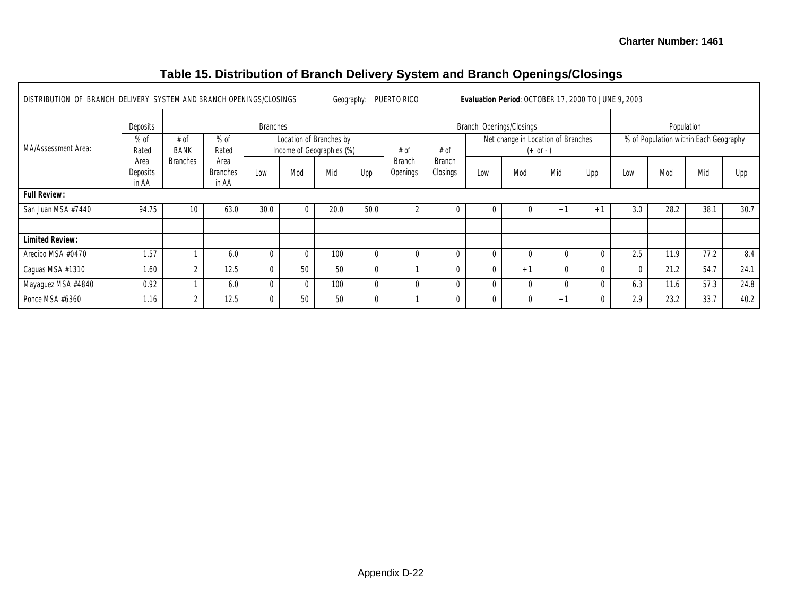#### DISTRIBUTION OF BRANCH DELIVERY SYSTEM AND BRANCH OPENINGS/CLOSINGS Geography: PUERTO RICO **Evaluation Period**: OCTOBER 17, 2000 TO JUNE 9, 2003 Deposits **Branches** Branches **Branch Openings/Closings** Population **Properties Branch Openings/Closings** Population Location of Branches by Income of Geographies (%) Net change in Location of Branches  $(+ or -)$ % of Population within Each Geography MA/Assessment Area:  $%$  of Rated Area **Deposits** in AA  $# of$ BANK Branches  $%$  of Rated Area Branches in AA Low Mod Mid Upp  $# of$ Branch Openings # of Branch Closings Low Mod Mid Upp Low Mod Mid Upp **Full Review:** San Juan MSA #7440 | 94.75 | 10 | 63.0 | 30.0 | 0 | 20.0 | 50.0 | 2 | 0 | 0 | 0 | +1 | +1 | 3.0 | 28.2 | 38.1 | 30.7 **Limited Review:** Arecibo MSA #0470 1.57 1 6.0 0 0 100 0 0 0 0 0 0 0 2.5 11.9 77.2 8.4 Caguas MSA #1310 | 1.60 | 2 | 12.5 | 0 | 50 | 50 | 0 | 1 | 0 | 0 | +1 | 0 | 0 | 0 | 21.2 | 54.7 | 24.1 Mayaguez MSA #4840 0.92 1 6.0 0 0 100 0 0 0 0 0 0 0 6.3 11.6 57.3 24.8 Ponce MSA #6360 | 1.16 | 2 | 12.5 | 0 | 50 | 50 | 0 | 1 | 0 | 0 | 0 | +1 | 0 | 2.9 | 23.2 | 33.7 | 40.2

### **Table 15. Distribution of Branch Delivery System and Branch Openings/Closings**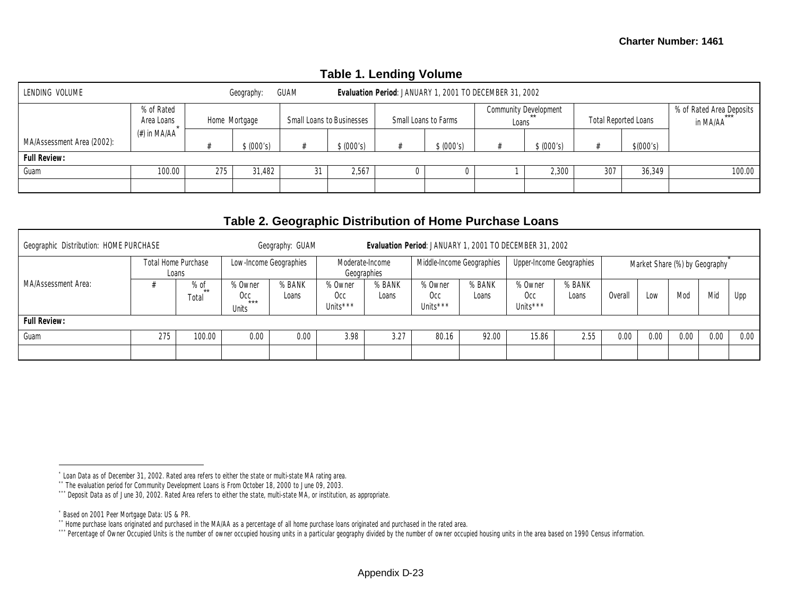|                            |                          |               |            |                                  |            | TANIC T. LCITUMITY VUIDITIC |                                                         |       |                       |                             |           |                                      |
|----------------------------|--------------------------|---------------|------------|----------------------------------|------------|-----------------------------|---------------------------------------------------------|-------|-----------------------|-----------------------------|-----------|--------------------------------------|
| LENDING VOLUME             |                          |               | Geography: | GUAM                             |            |                             | Evaluation Period: JANUARY 1, 2001 TO DECEMBER 31, 2002 |       |                       |                             |           |                                      |
|                            | % of Rated<br>Area Loans | Home Mortgage |            | <b>Small Loans to Businesses</b> |            | Small Loans to Farms        |                                                         | Loans | Community Development | <b>Total Reported Loans</b> |           | % of Rated Area Deposits<br>in MA/AA |
| MA/Assessment Area (2002): | (#) in MA/AA             |               | \$ (000's) |                                  | \$ (000's) |                             | \$ (000's)                                              |       | \$ (000's)            |                             | \$(000's) |                                      |
| <b>Full Review:</b>        |                          |               |            |                                  |            |                             |                                                         |       |                       |                             |           |                                      |
| Guam                       | 100.00                   | 275           | 31,482     | 31                               | 2,567      |                             |                                                         |       | 2,300                 | 307                         | 36.349    | 100.00                               |
|                            |                          |               |            |                                  |            |                             |                                                         |       |                       |                             |           |                                      |

## **Table 1. Lending Volume**

## **Table 2. Geographic Distribution of Home Purchase Loans**

| Geographic Distribution: HOME PURCHASE |     |                              |                                  | Geography: GUAM        |                            |                                | Evaluation Period: JANUARY 1, 2001 TO DECEMBER 31, 2002 |                 |                                        |                          |                              |                               |      |      |      |
|----------------------------------------|-----|------------------------------|----------------------------------|------------------------|----------------------------|--------------------------------|---------------------------------------------------------|-----------------|----------------------------------------|--------------------------|------------------------------|-------------------------------|------|------|------|
|                                        |     | Total Home Purchase<br>Loans |                                  | Low-Income Geographies |                            | Moderate-Income<br>Geographies | Middle-Income Geographies                               |                 |                                        | Upper-Income Geographies |                              | Market Share (%) by Geography |      |      |      |
| <b>MA/Assessment Area:</b>             |     | % of<br>**<br>Total          | % Owner<br>Occ<br>$***$<br>Units | % BANK<br>Loans        | % Owner<br>Occ<br>Units*** | % BANK<br>Loans                | % Owner<br>Occ<br>Units <sup>***</sup>                  | % BANK<br>Loans | % Owner<br>Occ<br>Units <sup>***</sup> | % BANK<br>Loans          | Mid<br>Mod<br>Overall<br>Low |                               |      |      | Upp  |
| <b>Full Review:</b>                    |     |                              |                                  |                        |                            |                                |                                                         |                 |                                        |                          |                              |                               |      |      |      |
| Guam                                   | 275 | 100.00                       | 0.00                             | 0.00                   | 3.98                       | 3.27                           | 80.16                                                   | 92.00           | 15.86                                  | 2.55                     | 0.00                         | 0.00                          | 0.00 | 0.00 | 0.00 |
|                                        |     |                              |                                  |                        |                            |                                |                                                         |                 |                                        |                          |                              |                               |      |      |      |

<sup>\*</sup> Loan Data as of December 31, 2002. Rated area refers to either the state or multi-state MA rating area.

<sup>\*\*</sup> The evaluation period for Community Development Loans is From October 18, 2000 to June 09, 2003.

<sup>\*\*\*</sup> Deposit Data as of June 30, 2002. Rated Area refers to either the state, multi-state MA, or institution, as appropriate.

<sup>\*</sup> Based on 2001 Peer Mortgage Data: US & PR.

<sup>\*\*</sup> Home purchase loans originated and purchased in the MA/AA as a percentage of all home purchase loans originated and purchased in the rated area.

<sup>\*\*\*</sup> Percentage of Owner Occupied Units is the number of owner occupied housing units in a particular geography divided by the number of owner occupied housing units in the area based on 1990 Census information.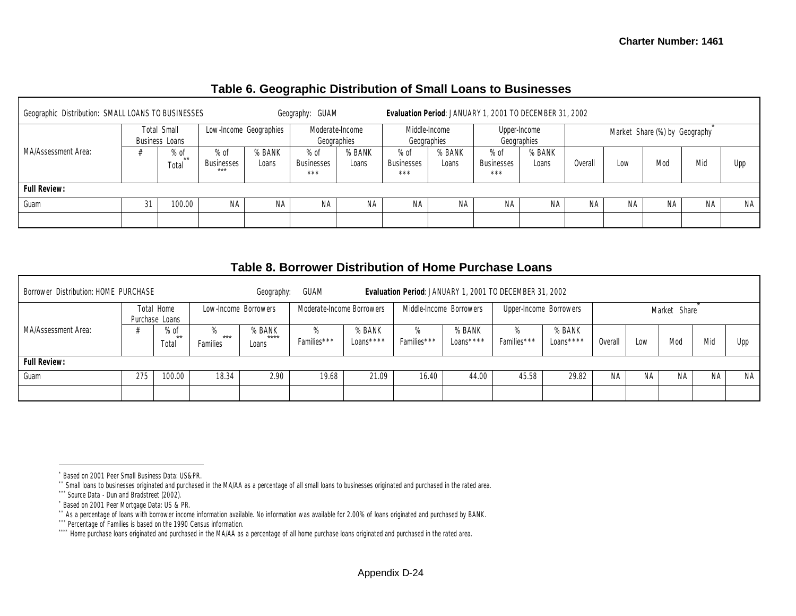## **Table 6. Geographic Distribution of Small Loans to Businesses**

| Geographic Distribution: SMALL LOANS TO BUSINESSES |    |                                      |                                      |                 | Geography: GUAM             |                 |                                    |                              | Evaluation Period: JANUARY 1, 2001 TO DECEMBER 31, 2002 |                             |                              |    |                               |    |     |
|----------------------------------------------------|----|--------------------------------------|--------------------------------------|-----------------|-----------------------------|-----------------|------------------------------------|------------------------------|---------------------------------------------------------|-----------------------------|------------------------------|----|-------------------------------|----|-----|
|                                                    |    | <b>Total Small</b><br>Business Loans | Low-Income Geographies               |                 | Geographies                 | Moderate-Income |                                    | Middle-Income<br>Geographies |                                                         | Upper-Income<br>Geographies |                              |    | Market Share (%) by Geography |    |     |
| MA/Assessment Area:                                |    | % of<br>$***$<br>Total               | $%$ of<br><b>Businesses</b><br>$***$ | % BANK<br>Loans | $%$ of<br>Businesses<br>*** | % BANK<br>Loans | $%$ of<br><b>Businesses</b><br>*** | % BANK<br>Loans              | $%$ of<br><b>Businesses</b><br>$***$                    | % BANK<br>Loans             | Mio<br>Mod<br>Overall<br>Low |    |                               |    | Upp |
| Full Review:                                       |    |                                      |                                      |                 |                             |                 |                                    |                              |                                                         |                             |                              |    |                               |    |     |
| Guam                                               | 31 | 100.00                               | ΝA                                   | ΝA              | NА                          | ΝA              | NА                                 | NA.                          | ΝA                                                      | NA                          | NA.                          | ΝA | ΝA                            | ΝA | NA  |
|                                                    |    |                                      |                                      |                 |                             |                 |                                    |                              |                                                         |                             |                              |    |                               |    |     |

## **Table 8. Borrower Distribution of Home Purchase Loans**

| Borrower Distribution: HOME PURCHASE |     |                              |                        | Geography:              | GUAM                      |                      |                  | Evaluation Period: JANUARY 1, 2001 TO DECEMBER 31, 2002 |                        |                      |           |     |              |           |           |
|--------------------------------------|-----|------------------------------|------------------------|-------------------------|---------------------------|----------------------|------------------|---------------------------------------------------------|------------------------|----------------------|-----------|-----|--------------|-----------|-----------|
|                                      |     | Total Home<br>Purchase Loans | Low-Income Borrowers   |                         | Moderate-Income Borrowers |                      |                  | Middle-Income Borrowers                                 | Upper-Income Borrowers |                      |           |     | Market Share |           |           |
| MA/Assessment Area:                  |     | % of<br>$**$<br>rotal        | %<br>$***$<br>Families | % BANK<br>****<br>Loans |                           | % BANK<br>Loans **** | %<br>Families*** | % BANK<br>$Loans***$                                    | %<br>Families***       | % BANK<br>$Loans***$ | Overall   | Low | Mod          | Mid       | Upp       |
| <b>Full Review:</b>                  |     |                              |                        |                         |                           |                      |                  |                                                         |                        |                      |           |     |              |           |           |
| Guam                                 | 275 | 100.00                       | 18.34                  | 2.90                    | 19.68                     | 21.09                | 16.40            | 44.00                                                   | 45.58                  | 29.82                | <b>NA</b> | NA. | ΝA           | <b>NA</b> | <b>NA</b> |
|                                      |     |                              |                        |                         |                           |                      |                  |                                                         |                        |                      |           |     |              |           |           |

<sup>\*</sup> Based on 2001 Peer Small Business Data: US&PR.

<sup>\*\*</sup> Small loans to businesses originated and purchased in the MA/AA as a percentage of all small loans to businesses originated and purchased in the rated area.

<sup>\*\*\*</sup> Source Data - Dun and Bradstreet (2002).

<sup>\*</sup> Based on 2001 Peer Mortgage Data: US & PR.

<sup>\*\*</sup> As a percentage of loans with borrower income information available. No information was available for 2.00% of loans originated and purchased by BANK.

<sup>\*\*\*</sup> Percentage of Families is based on the 1990 Census information.

<sup>\*\*\*\*\*</sup> Home purchase loans originated and purchased in the MA/AA as a percentage of all home purchase loans originated and purchased in the rated area.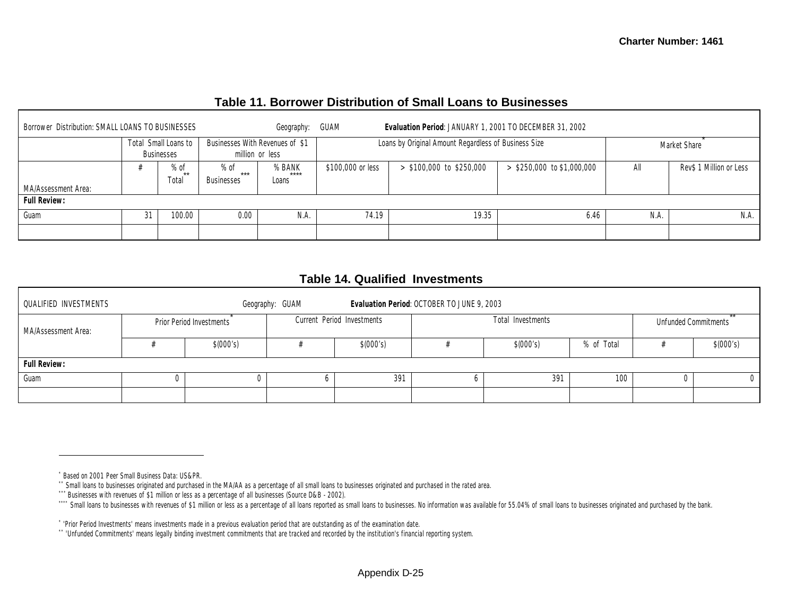|  | Table 11. Borrower Distribution of Small Loans to Businesses |
|--|--------------------------------------------------------------|
|--|--------------------------------------------------------------|

| Borrower Distribution: SMALL LOANS TO BUSINESSES |                                           |                                                                 | Geography:                                         | GUAM              | Evaluation Period: JANUARY 1, 2001 TO DECEMBER 31, 2002 |                              |      |                         |
|--------------------------------------------------|-------------------------------------------|-----------------------------------------------------------------|----------------------------------------------------|-------------------|---------------------------------------------------------|------------------------------|------|-------------------------|
|                                                  | Total Small Loans to<br><b>Businesses</b> |                                                                 | Businesses With Revenues of \$1<br>million or less |                   | Loans by Original Amount Regardless of Business Size    | Market Share                 |      |                         |
| MA/Assessment Area:                              | $%$ of<br>$**$<br>Total                   | % BANK<br>$%$ of<br>$***$<br>****<br><b>Businesses</b><br>Loans |                                                    | \$100,000 or less | $>$ \$100,000 to \$250,000                              | $>$ \$250,000 to \$1,000,000 | All  | Rev\$ 1 Million or Less |
| <b>Full Review:</b>                              |                                           |                                                                 |                                                    |                   |                                                         |                              |      |                         |
| Guam                                             | 100.00                                    | 0.00                                                            | N.A.                                               | 74.19             | 19.35                                                   | 6.46                         | N.A. | N.A.                    |
|                                                  |                                           |                                                                 |                                                    |                   |                                                         |                              |      |                         |

## **Table 14. Qualified Investments**

| <b>QUALIFIED INVESTMENTS</b> |           |                                 | Geography: GUAM |                            | Evaluation Period: OCTOBER TO JUNE 9, 2003 |                   |                             |  |           |  |  |  |  |
|------------------------------|-----------|---------------------------------|-----------------|----------------------------|--------------------------------------------|-------------------|-----------------------------|--|-----------|--|--|--|--|
| MA/Assessment Area:          |           | <b>Prior Period Investments</b> |                 | Current Period Investments |                                            | Total Investments | <b>Unfunded Commitments</b> |  |           |  |  |  |  |
|                              | \$(000's) |                                 |                 | \$(000's)                  |                                            | \$(000's)         | % of Total                  |  | \$(000's) |  |  |  |  |
| <b>Full Review:</b>          |           |                                 |                 |                            |                                            |                   |                             |  |           |  |  |  |  |
| Guam                         |           |                                 |                 | 391                        |                                            | 391               | 100                         |  |           |  |  |  |  |
|                              |           |                                 |                 |                            |                                            |                   |                             |  |           |  |  |  |  |

<sup>\*</sup> Based on 2001 Peer Small Business Data: US&PR.

<sup>\*\*</sup> Small loans to businesses originated and purchased in the MA/AA as a percentage of all small loans to businesses originated and purchased in the rated area.

<sup>\*\*\*</sup> Businesses with revenues of \$1 million or less as a percentage of all businesses (Source D&B - 2002).

Sand Joans to businesses with revenues of \$1 million or less as a percentage of all loans reported as small loans to businesses. No information was available for 55.04% of small loans to businesses originated and purchased

<sup>\*</sup> 'Prior Period Investments' means investments made in a previous evaluation period that are outstanding as of the examination date.

<sup>\*\*</sup> 'Unfunded Commitments' means legally binding investment commitments that are tracked and recorded by the institution's financial reporting system.